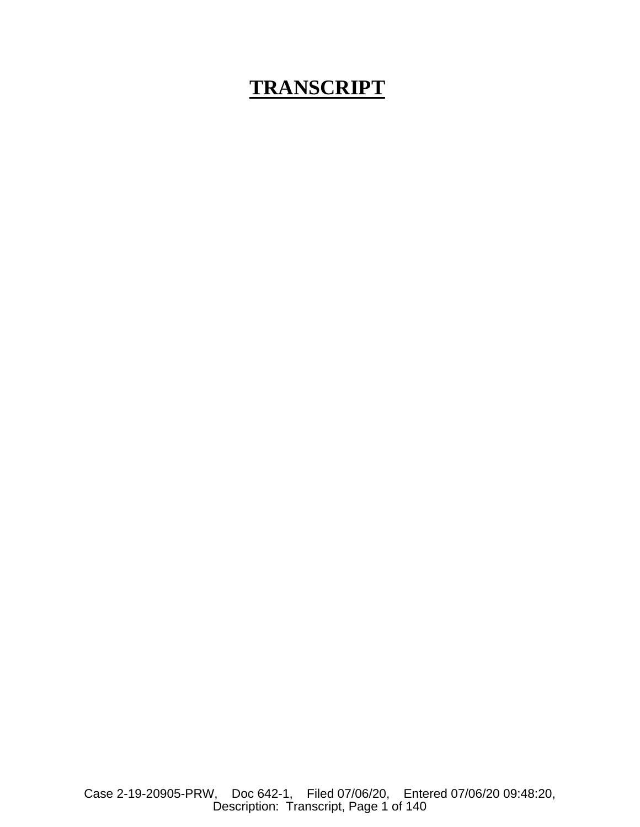## **TRANSCRIPT**

Case 2-19-20905-PRW, Doc 642-1, Filed 07/06/20, Entered 07/06/20 09:48:20, Description: Transcript, Page 1 of 140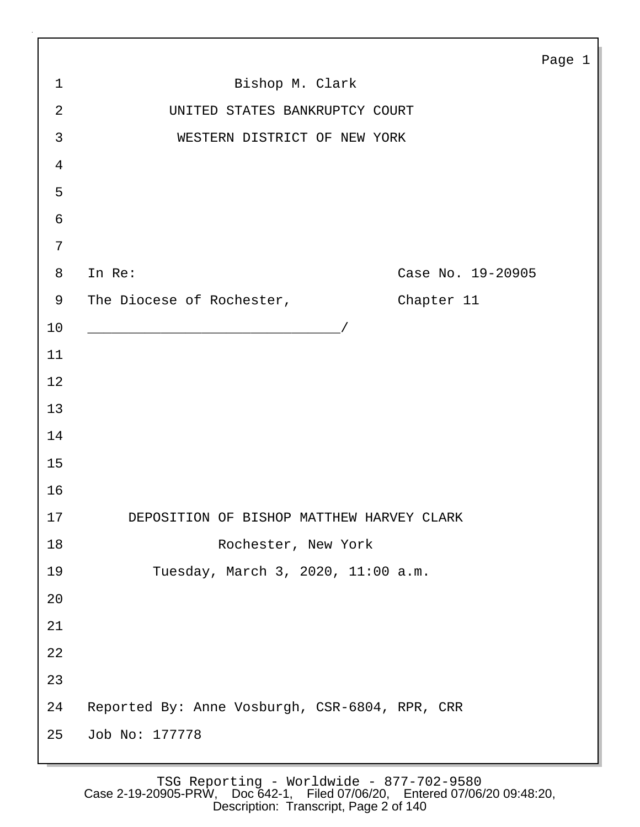|                |                                                         | Page 1 |  |
|----------------|---------------------------------------------------------|--------|--|
| $\mathbf{1}$   | Bishop M. Clark                                         |        |  |
| $\overline{2}$ | UNITED STATES BANKRUPTCY COURT                          |        |  |
| 3              | WESTERN DISTRICT OF NEW YORK                            |        |  |
| $\overline{4}$ |                                                         |        |  |
| 5              |                                                         |        |  |
| 6              |                                                         |        |  |
| $7\phantom{.}$ |                                                         |        |  |
| 8              | Case No. 19-20905<br>In Re:                             |        |  |
| 9              | The Diocese of Rochester,<br>Chapter 11                 |        |  |
| 10             | <u> 1989 - Johann Barbara, martin amerikan basar da</u> |        |  |
| 11             |                                                         |        |  |
| 12             |                                                         |        |  |
| 13             |                                                         |        |  |
| 14             |                                                         |        |  |
| 15             |                                                         |        |  |
| 16             |                                                         |        |  |
| 17             | DEPOSITION OF BISHOP MATTHEW HARVEY CLARK               |        |  |
| 18             | Rochester, New York                                     |        |  |
| 19             | Tuesday, March 3, 2020, 11:00 a.m.                      |        |  |
| 20             |                                                         |        |  |
| 21             |                                                         |        |  |
| 22             |                                                         |        |  |
| 23             |                                                         |        |  |
| 24             | Reported By: Anne Vosburgh, CSR-6804, RPR, CRR          |        |  |
| 25             | Job No: 177778                                          |        |  |

Г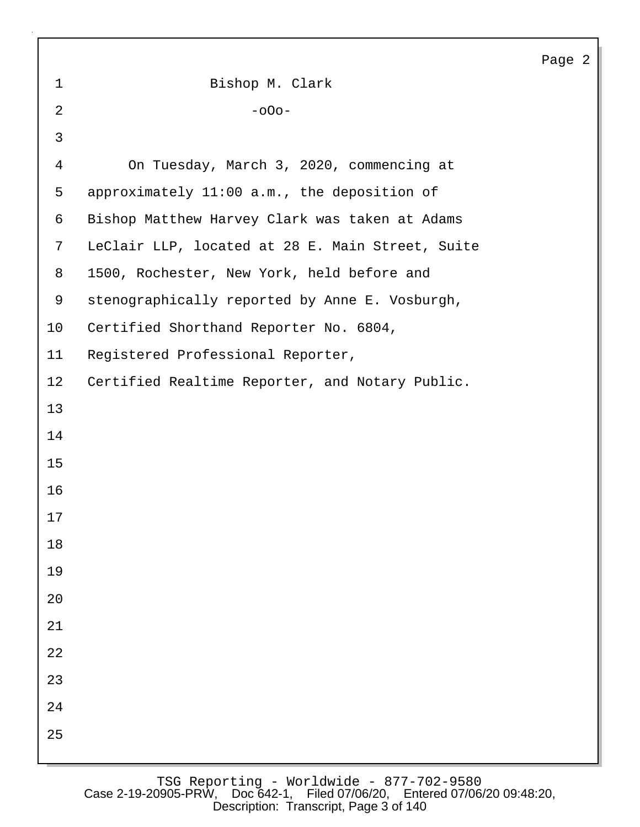|              |                                                  | Page 2 |
|--------------|--------------------------------------------------|--------|
| $\mathbf 1$  | Bishop M. Clark                                  |        |
| 2            | $-000-$                                          |        |
| $\mathbf{3}$ |                                                  |        |
| 4            | On Tuesday, March 3, 2020, commencing at         |        |
| 5            | approximately 11:00 a.m., the deposition of      |        |
| 6            | Bishop Matthew Harvey Clark was taken at Adams   |        |
| 7            | LeClair LLP, located at 28 E. Main Street, Suite |        |
| 8            | 1500, Rochester, New York, held before and       |        |
| 9            | stenographically reported by Anne E. Vosburgh,   |        |
| 10           | Certified Shorthand Reporter No. 6804,           |        |
| 11           | Registered Professional Reporter,                |        |
| 12           | Certified Realtime Reporter, and Notary Public.  |        |
| 13           |                                                  |        |
| 14           |                                                  |        |
| 15           |                                                  |        |
| 16           |                                                  |        |
| 17           |                                                  |        |
| 18           |                                                  |        |
| 19           |                                                  |        |
| $20$         |                                                  |        |
| 21           |                                                  |        |
| 22           |                                                  |        |
| 23           |                                                  |        |
| 24           |                                                  |        |
| 25           |                                                  |        |
|              |                                                  |        |

Г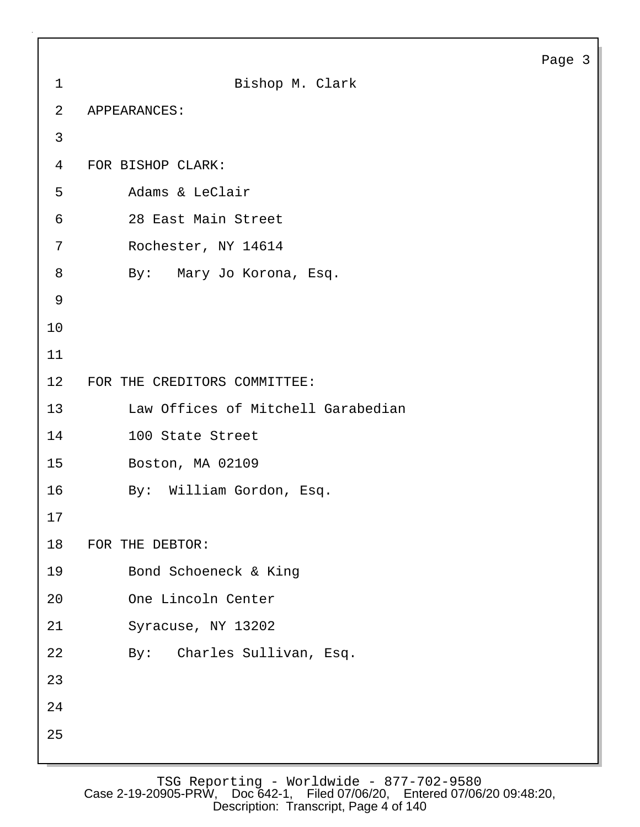```
Page 3
```

```
1 Bishop M. Clark
2 APPEARANCES:
3
4 FOR BISHOP CLARK:
5 Adams & LeClair
6 28 East Main Street
7 Rochester, NY 14614
8 By: Mary Jo Korona, Esq.
9
10
11
12 FOR THE CREDITORS COMMITTEE:
13 Law Offices of Mitchell Garabedian
14 100 State Street
15 Boston, MA 02109
16 By: William Gordon, Esq.
17
18 FOR THE DEBTOR:
19 Bond Schoeneck & King
20 One Lincoln Center
21 Syracuse, NY 13202
22 By: Charles Sullivan, Esq.
23
24
25
```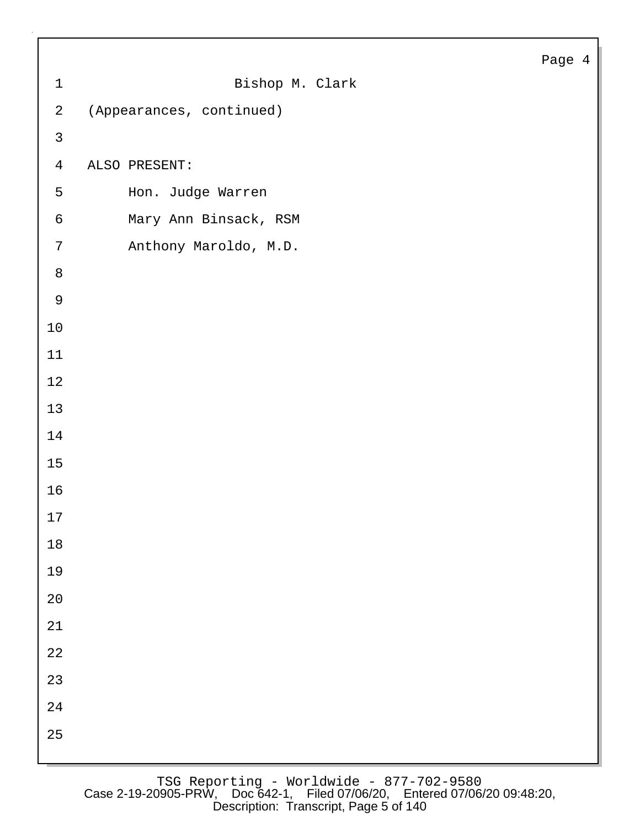| $\mathbf 1$    | Bishop M. Clark          |
|----------------|--------------------------|
| $\overline{a}$ | (Appearances, continued) |
| $\mathsf{3}$   |                          |
| $\overline{4}$ | ALSO PRESENT:            |
| 5              | Hon. Judge Warren        |
| $\epsilon$     | Mary Ann Binsack, RSM    |
| $\sqrt{ }$     | Anthony Maroldo, M.D.    |
| $\,8\,$        |                          |
| $\mathsf 9$    |                          |
| $10$           |                          |
| 11             |                          |
| 12             |                          |
| 13             |                          |
| 14             |                          |
| $15\,$         |                          |
| 16             |                          |
| $17\,$         |                          |
| $18\,$         |                          |
| 19             |                          |
| $20\,$         |                          |
| 21             |                          |
| 22             |                          |
| 23             |                          |
| $2\sqrt{4}$    |                          |
| 25             |                          |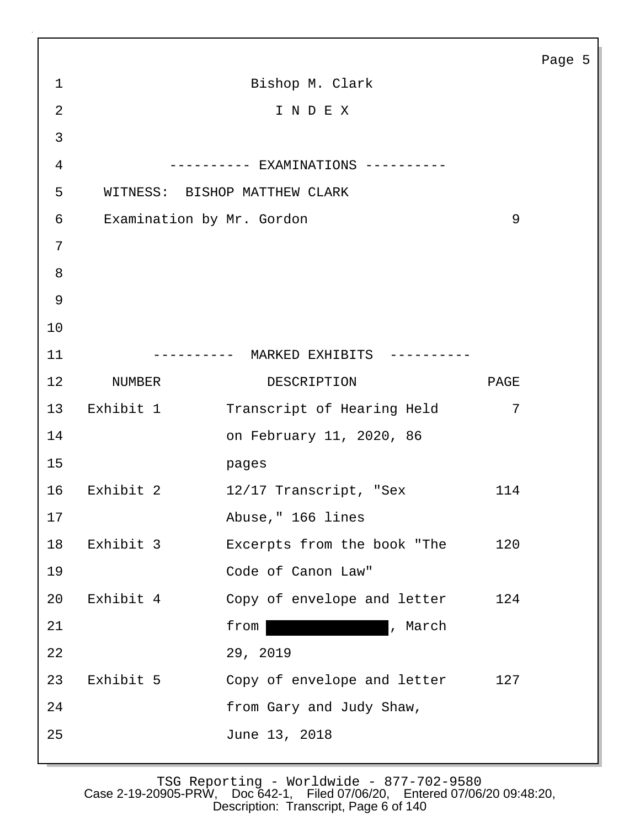|                 |           |                                       |      | Page 5 |
|-----------------|-----------|---------------------------------------|------|--------|
| $\mathbf{1}$    |           | Bishop M. Clark                       |      |        |
| $\overline{2}$  |           | INDEX                                 |      |        |
| 3               |           |                                       |      |        |
| $\overline{4}$  |           | ---------- EXAMINATIONS ----------    |      |        |
| 5               |           | WITNESS: BISHOP MATTHEW CLARK         |      |        |
| 6               |           | Examination by Mr. Gordon             | 9    |        |
| 7               |           |                                       |      |        |
| 8               |           |                                       |      |        |
| $\mathsf 9$     |           |                                       |      |        |
| 10              |           |                                       |      |        |
| 11              |           | ---------- MARKED EXHIBITS ---------- |      |        |
| 12 <sup>°</sup> | NUMBER    | DESCRIPTION                           | PAGE |        |
| 13              | Exhibit 1 | Transcript of Hearing Held            | 7    |        |
| 14              |           | on February 11, 2020, 86              |      |        |
| 15              |           | pages                                 |      |        |
| 16              | Exhibit 2 | 12/17 Transcript, "Sex                | 114  |        |
| 17              |           | Abuse, " 166 lines                    |      |        |
| 18              | Exhibit 3 | Excerpts from the book "The           | 120  |        |
| 19              |           | Code of Canon Law"                    |      |        |
| 20              | Exhibit 4 | Copy of envelope and letter           | 124  |        |
| 21              |           | , March<br>from                       |      |        |
| 22              |           | 29, 2019                              |      |        |
| 23              | Exhibit 5 | Copy of envelope and letter           | 127  |        |
| 24              |           | from Gary and Judy Shaw,              |      |        |
| 25              |           | June 13, 2018                         |      |        |
|                 |           |                                       |      |        |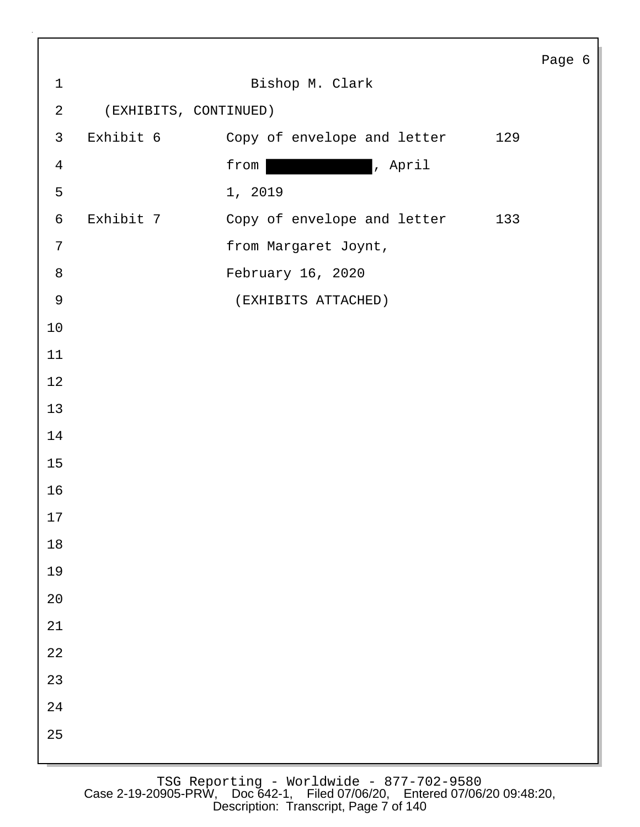|                |                       |                             | Page 6 |
|----------------|-----------------------|-----------------------------|--------|
| $\mathbf 1$    |                       | Bishop M. Clark             |        |
| $\sqrt{2}$     | (EXHIBITS, CONTINUED) |                             |        |
| $\mathsf{3}$   | Exhibit 6             | Copy of envelope and letter | 129    |
| $\overline{4}$ |                       | , April<br>from             |        |
| 5              |                       | 1, 2019                     |        |
| $\epsilon$     | Exhibit 7             | Copy of envelope and letter | 133    |
| 7              |                       | from Margaret Joynt,        |        |
| $\,8\,$        |                       | February 16, 2020           |        |
| $\mathsf 9$    |                       | (EXHIBITS ATTACHED)         |        |
| $10$           |                       |                             |        |
| 11             |                       |                             |        |
| $12$           |                       |                             |        |
| 13             |                       |                             |        |
| 14             |                       |                             |        |
| $15$           |                       |                             |        |
| 16             |                       |                             |        |
| 17             |                       |                             |        |
| $18\,$         |                       |                             |        |
| 19             |                       |                             |        |
| $20\,$         |                       |                             |        |
| $21\,$         |                       |                             |        |
| 22             |                       |                             |        |
| 23             |                       |                             |        |
| 24             |                       |                             |        |
| 25             |                       |                             |        |
|                |                       |                             |        |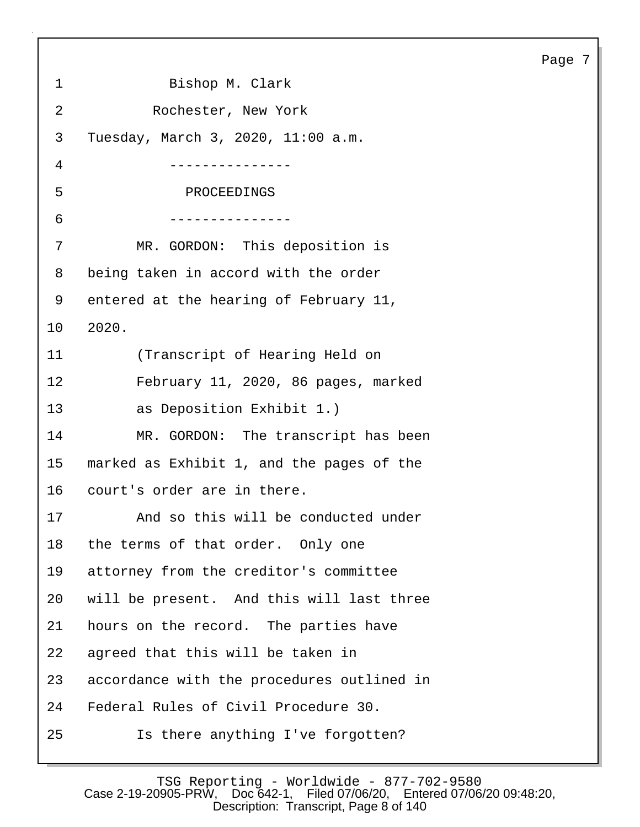Page 7 1 Bishop M. Clark 2 Rochester, New York 3 Tuesday, March 3, 2020, 11:00 a.m. 4 --------------- 5 PROCEEDINGS 6 --------------- 7 MR. GORDON: This deposition is 8 being taken in accord with the order 9 entered at the hearing of February 11, 10 2020. 11 (Transcript of Hearing Held on 12 February 11, 2020, 86 pages, marked 13 as Deposition Exhibit 1.) 14 MR. GORDON: The transcript has been 15 marked as Exhibit 1, and the pages of the 16 court's order are in there. 17 And so this will be conducted under 18 the terms of that order. Only one 19 attorney from the creditor's committee 20 will be present. And this will last three 21 hours on the record. The parties have 22 agreed that this will be taken in 23 accordance with the procedures outlined in 24 Federal Rules of Civil Procedure 30. 25 Is there anything I've forgotten?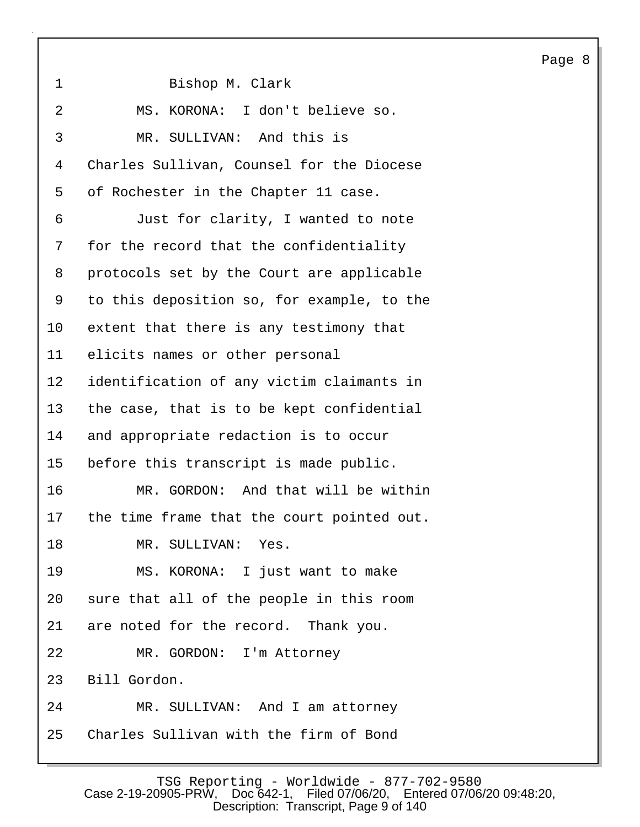1 Bishop M. Clark 2 MS. KORONA: I don't believe so. 3 MR. SULLIVAN: And this is 4 Charles Sullivan, Counsel for the Diocese 5 of Rochester in the Chapter 11 case. 6 Just for clarity, I wanted to note 7 for the record that the confidentiality 8 protocols set by the Court are applicable 9 to this deposition so, for example, to the 10 extent that there is any testimony that 11 elicits names or other personal 12 identification of any victim claimants in 13 the case, that is to be kept confidential 14 and appropriate redaction is to occur 15 before this transcript is made public. 16 MR. GORDON: And that will be within 17 the time frame that the court pointed out. 18 MR. SULLIVAN: Yes. 19 MS. KORONA: I just want to make 20 sure that all of the people in this room 21 are noted for the record. Thank you. 22 MR. GORDON: I'm Attorney 23 Bill Gordon. 24 MR. SULLIVAN: And I am attorney 25 Charles Sullivan with the firm of Bond

Page 8

TSG Reporting - Worldwide - 877-702-9580<br>Case 2-19-20905-PRW, Doc 642-1, Filed 07/06/20, Entered 07/06 Filed 07/06/20, Entered 07/06/20 09:48:20, Description: Transcript, Page 9 of 140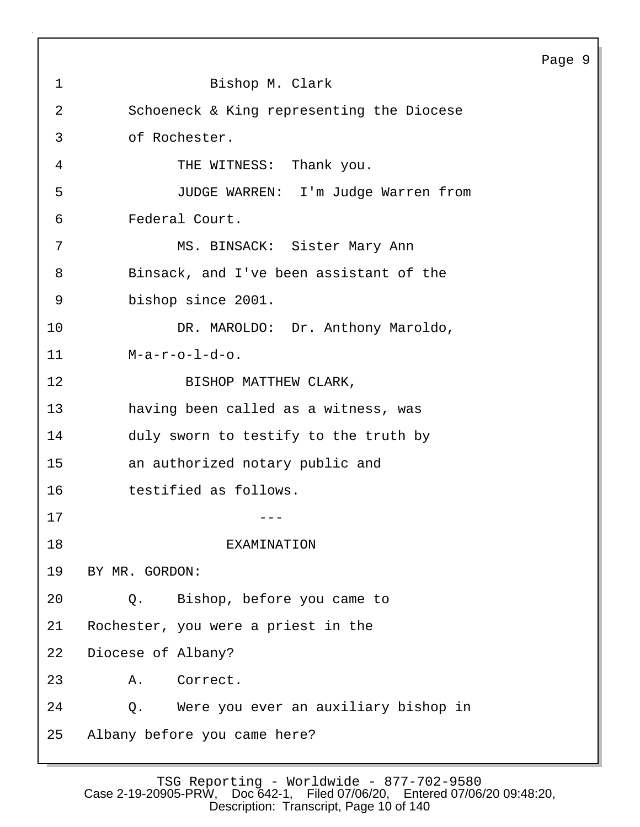|    |                                            | Page 9 |
|----|--------------------------------------------|--------|
| 1  | Bishop M. Clark                            |        |
| 2  | Schoeneck & King representing the Diocese  |        |
| 3  | of Rochester.                              |        |
| 4  | THE WITNESS: Thank you.                    |        |
| 5  | JUDGE WARREN: I'm Judge Warren from        |        |
| 6  | Federal Court.                             |        |
| 7  | MS. BINSACK: Sister Mary Ann               |        |
| 8  | Binsack, and I've been assistant of the    |        |
| 9  | bishop since 2001.                         |        |
| 10 | DR. MAROLDO: Dr. Anthony Maroldo,          |        |
| 11 | $M-a-r-o-1-d-o.$                           |        |
| 12 | BISHOP MATTHEW CLARK,                      |        |
| 13 | having been called as a witness, was       |        |
| 14 | duly sworn to testify to the truth by      |        |
| 15 | an authorized notary public and            |        |
| 16 | testified as follows.                      |        |
| 17 |                                            |        |
| 18 | EXAMINATION                                |        |
| 19 | BY MR. GORDON:                             |        |
| 20 | Bishop, before you came to<br>$Q$ .        |        |
| 21 | Rochester, you were a priest in the        |        |
| 22 | Diocese of Albany?                         |        |
| 23 | Correct.<br>Α.                             |        |
| 24 | Were you ever an auxiliary bishop in<br>Q. |        |
| 25 | Albany before you came here?               |        |
|    |                                            |        |

 $\sqrt{ }$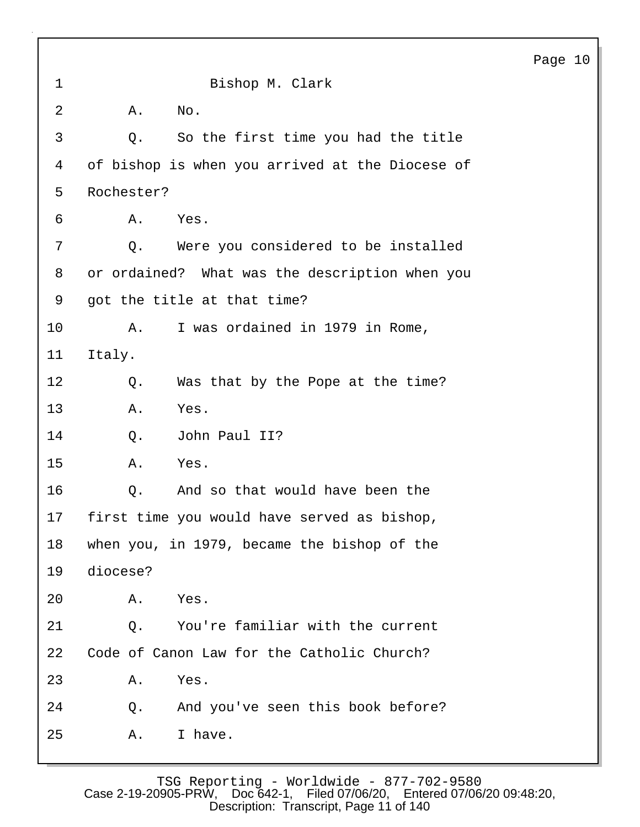1 Bishop M. Clark 2 A. No. 3 Q. So the first time you had the title 4 of bishop is when you arrived at the Diocese of 5 Rochester? 6 A. Yes. 7 Q. Were you considered to be installed 8 or ordained? What was the description when you 9 got the title at that time? 10 A. I was ordained in 1979 in Rome, 11 Italy. 12 Q. Was that by the Pope at the time? 13 A. Yes. 14 Q. John Paul II? 15 A. Yes. 16 Q. And so that would have been the 17 first time you would have served as bishop, 18 when you, in 1979, became the bishop of the 19 diocese? 20 A. Yes. 21 Q. You're familiar with the current 22 Code of Canon Law for the Catholic Church? 23 A. Yes. 24 Q. And you've seen this book before? 25 A. I have.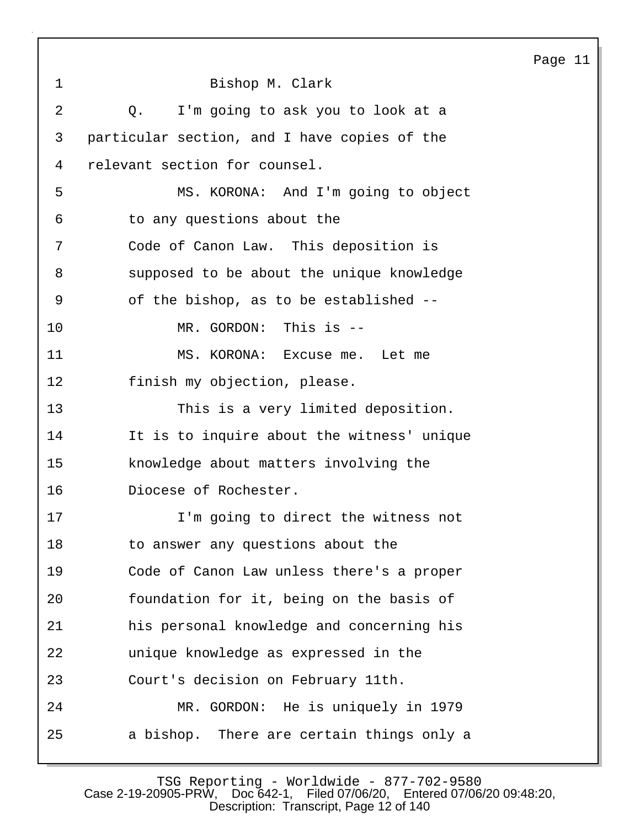| $\mathbf 1$    | Bishop M. Clark                              |
|----------------|----------------------------------------------|
| $\overline{2}$ | Q. I'm going to ask you to look at a         |
| 3              | particular section, and I have copies of the |
| 4              | relevant section for counsel.                |
| 5              | MS. KORONA: And I'm going to object          |
| 6              | to any questions about the                   |
| 7              | Code of Canon Law. This deposition is        |
| 8              | supposed to be about the unique knowledge    |
| 9              | of the bishop, as to be established --       |
| 10             | MR. GORDON: This is --                       |
| 11             | MS. KORONA: Excuse me. Let me                |
| 12             | finish my objection, please.                 |
| 13             | This is a very limited deposition.           |
| 14             | It is to inquire about the witness' unique   |
| 15             | knowledge about matters involving the        |
| 16             | Diocese of Rochester.                        |
| 17             | I'm going to direct the witness not          |
| 18             | to answer any questions about the            |
| 19             | Code of Canon Law unless there's a proper    |
| 20             | foundation for it, being on the basis of     |
| 21             | his personal knowledge and concerning his    |
| 22             | unique knowledge as expressed in the         |
| 23             | Court's decision on February 11th.           |
| 24             | MR. GORDON: He is uniquely in 1979           |
| 25             | a bishop. There are certain things only a    |

TSG Reporting - Worldwide - 877-702-9580 Case 2-19-20905-PRW, Doc 642-1, Filed 07/06/20, Entered 07/06/20 09:48:20, Description: Transcript, Page 12 of 140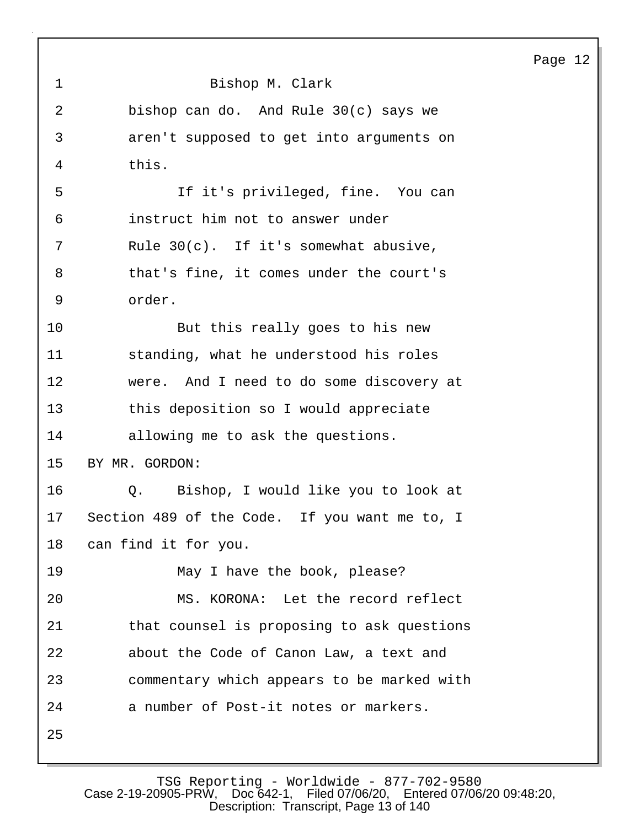| $\mathbf 1$ | Bishop M. Clark                               |
|-------------|-----------------------------------------------|
| 2           | bishop can do. And Rule $30(c)$ says we       |
| 3           | aren't supposed to get into arguments on      |
| 4           | this.                                         |
| 5           | If it's privileged, fine. You can             |
| 6           | instruct him not to answer under              |
| 7           | Rule $30(c)$ . If it's somewhat abusive,      |
| 8           | that's fine, it comes under the court's       |
| 9           | order.                                        |
| 10          | But this really goes to his new               |
| 11          | standing, what he understood his roles        |
| 12          | were. And I need to do some discovery at      |
| 13          | this deposition so I would appreciate         |
| 14          | allowing me to ask the questions.             |
| 15          | BY MR. GORDON:                                |
| 16          | Q. Bishop, I would like you to look at        |
| 17          | Section 489 of the Code. If you want me to, I |
| 18          | can find it for you.                          |
| 19          | May I have the book, please?                  |
| 20          | MS. KORONA: Let the record reflect            |
| 21          | that counsel is proposing to ask questions    |
| 22          | about the Code of Canon Law, a text and       |
| 23          | commentary which appears to be marked with    |
| 24          | a number of Post-it notes or markers.         |
| 25          |                                               |

TSG Reporting - Worldwide - 877-702-9580 Case 2-19-20905-PRW, Doc 642-1, Filed 07/06/20, Entered 07/06/20 09:48:20, Description: Transcript, Page 13 of 140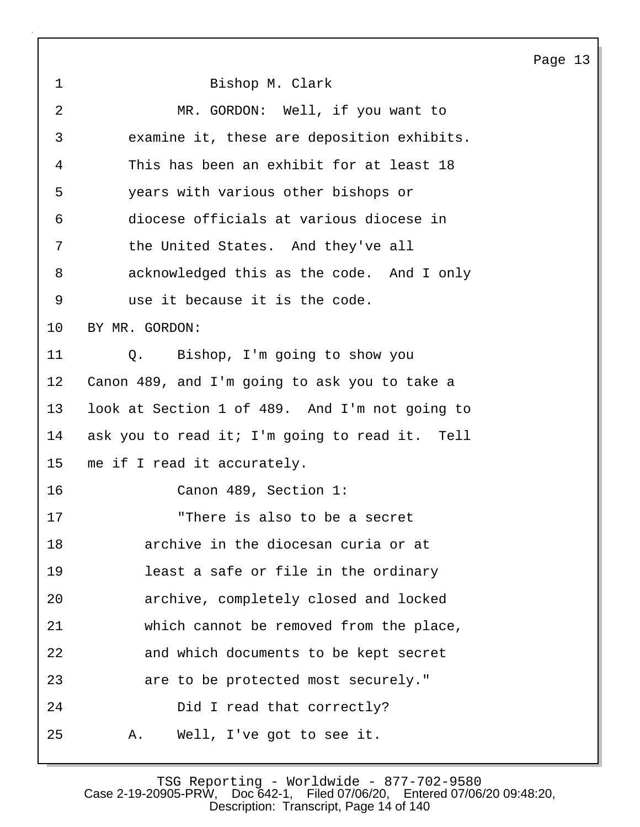1 Bishop M. Clark 2 MR. GORDON: Well, if you want to 3 examine it, these are deposition exhibits. 4 This has been an exhibit for at least 18 5 years with various other bishops or 6 diocese officials at various diocese in 7 the United States. And they've all 8 acknowledged this as the code. And I only 9 use it because it is the code. 10 BY MR. GORDON: 11 Q. Bishop, I'm going to show you 12 Canon 489, and I'm going to ask you to take a 13 look at Section 1 of 489. And I'm not going to 14 ask you to read it; I'm going to read it. Tell 15 me if I read it accurately. 16 Canon 489, Section 1: 17 "There is also to be a secret 18 archive in the diocesan curia or at 19 least a safe or file in the ordinary 20 archive, completely closed and locked 21 which cannot be removed from the place, 22 and which documents to be kept secret 23 are to be protected most securely." 24 Did I read that correctly? 25 A. Well, I've got to see it.

TSG Reporting - Worldwide - 877-702-9580<br>Case 2-19-20905-PRW, Doc 642-1, Filed 07/06/20, Entered 07/06 Filed 07/06/20, Entered 07/06/20 09:48:20, Description: Transcript, Page 14 of 140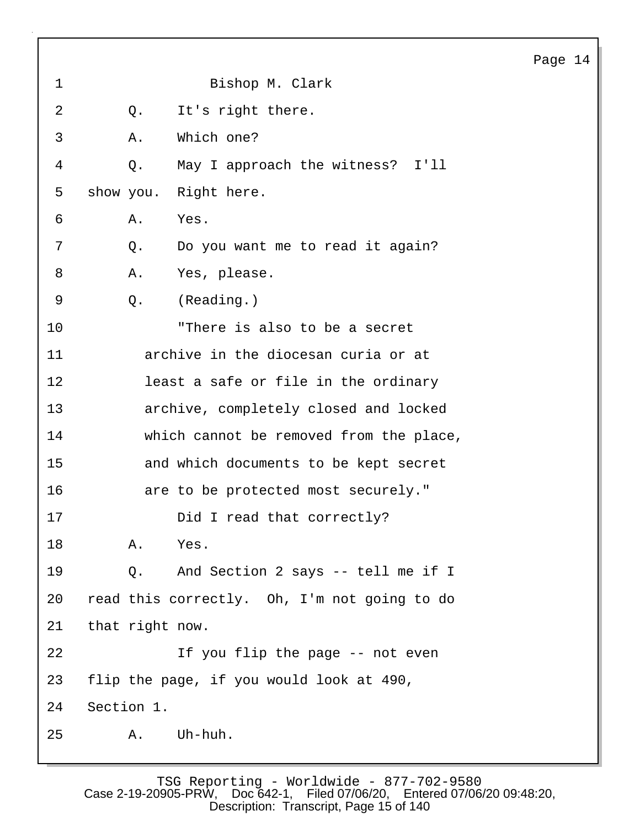| $\mathbf 1$ |                 | Bishop M. Clark                              |
|-------------|-----------------|----------------------------------------------|
| 2           | Q.              | It's right there.                            |
| 3           | Α.              | Which one?                                   |
| 4           | Q.              | May I approach the witness? I'll             |
| 5           |                 | show you. Right here.                        |
| 6           | Α.              | Yes.                                         |
| 7           | Q.              | Do you want me to read it again?             |
| 8           | Α.              | Yes, please.                                 |
| 9           | Q.              | (Reading.)                                   |
| 10          |                 | "There is also to be a secret                |
| 11          |                 | archive in the diocesan curia or at          |
| 12          |                 | least a safe or file in the ordinary         |
| 13          |                 | archive, completely closed and locked        |
| 14          |                 | which cannot be removed from the place,      |
| 15          |                 | and which documents to be kept secret        |
| 16          |                 | are to be protected most securely."          |
| 17          |                 | Did I read that correctly?                   |
| 18          | Α.              | Yes.                                         |
| 19          | Q.              | And Section 2 says -- tell me if I           |
| 20          |                 | read this correctly. Oh, I'm not going to do |
| 21          | that right now. |                                              |
| 22          |                 | If you flip the page -- not even             |
| 23          |                 | flip the page, if you would look at 490,     |
| 24          | Section 1.      |                                              |
| 25          | Α.              | Uh-huh.                                      |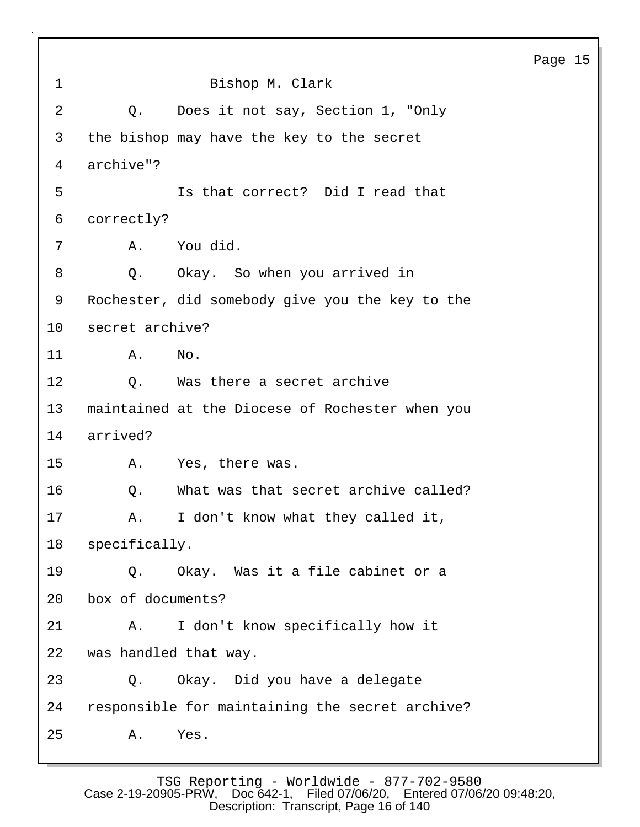Page 15 1 Bishop M. Clark 2 Q. Does it not say, Section 1, "Only 3 the bishop may have the key to the secret 4 archive"? 5 Is that correct? Did I read that 6 correctly? 7 A. You did. 8 Q. Okay. So when you arrived in 9 Rochester, did somebody give you the key to the 10 secret archive? 11 A. No. 12 0. Was there a secret archive 13 maintained at the Diocese of Rochester when you 14 arrived? 15 A. Yes, there was. 16 Q. What was that secret archive called? 17 A. I don't know what they called it, 18 specifically. 19 Q. Okay. Was it a file cabinet or a 20 box of documents? 21 A. I don't know specifically how it 22 was handled that way. 23 Q. Okay. Did you have a delegate 24 responsible for maintaining the secret archive? 25 A. Yes.

TSG Reporting - Worldwide - 877-702-9580 Case 2-19-20905-PRW, Doc 642-1, Filed 07/06/20, Entered 07/06/20 09:48:20, Description: Transcript, Page 16 of 140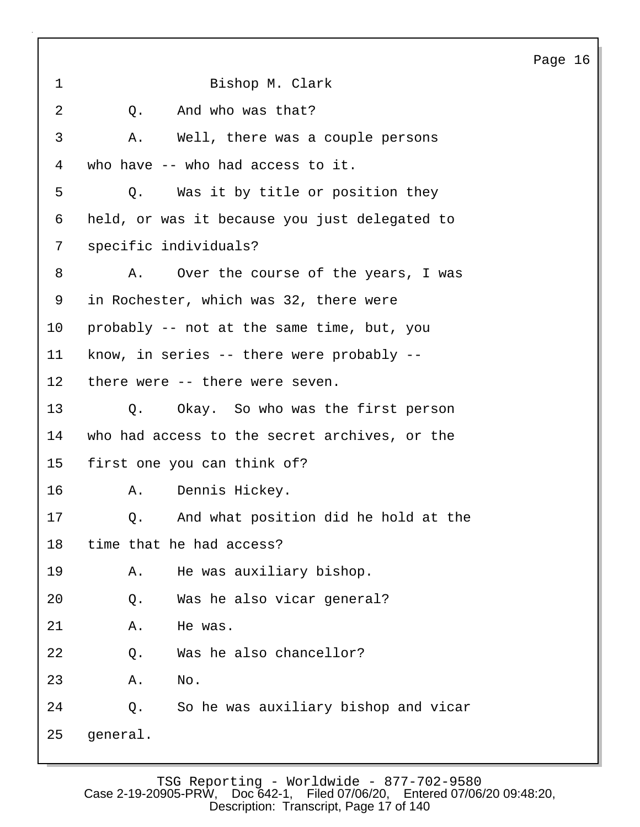1 Bishop M. Clark 2 0. And who was that? 3 A. Well, there was a couple persons 4 who have -- who had access to it. 5 Q. Was it by title or position they 6 held, or was it because you just delegated to 7 specific individuals? 8 A. Over the course of the years, I was 9 in Rochester, which was 32, there were 10 probably -- not at the same time, but, you 11 know, in series -- there were probably -- 12 there were -- there were seven. 13 Q. Okay. So who was the first person 14 who had access to the secret archives, or the 15 first one you can think of? 16 A. Dennis Hickey. 17 Q. And what position did he hold at the 18 time that he had access? 19 A. He was auxiliary bishop. 20 Q. Was he also vicar general? 21 A. He was. 22 Q. Was he also chancellor? 23 A. No. 24 Q. So he was auxiliary bishop and vicar 25 general.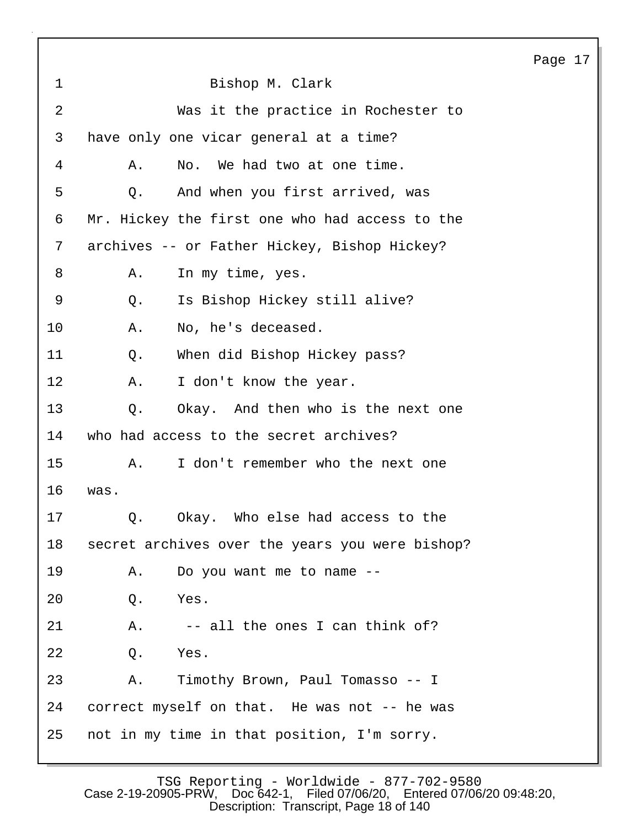|                |                                                 | Page 17 |  |
|----------------|-------------------------------------------------|---------|--|
| $\mathbf 1$    | Bishop M. Clark                                 |         |  |
| $\overline{2}$ | Was it the practice in Rochester to             |         |  |
| 3              | have only one vicar general at a time?          |         |  |
| 4              | No. We had two at one time.<br>Α.               |         |  |
| 5              | And when you first arrived, was<br>Q.           |         |  |
| 6              | Mr. Hickey the first one who had access to the  |         |  |
| 7              | archives -- or Father Hickey, Bishop Hickey?    |         |  |
| 8              | In my time, yes.<br>Α.                          |         |  |
| 9              | Is Bishop Hickey still alive?<br>Q.             |         |  |
| 10             | No, he's deceased.<br>Α.                        |         |  |
| 11             | When did Bishop Hickey pass?<br>Q.              |         |  |
| 12             | I don't know the year.<br>Α.                    |         |  |
| 13             | Okay. And then who is the next one<br>Q.        |         |  |
| 14             | who had access to the secret archives?          |         |  |
| 15             | I don't remember who the next one<br>Α.         |         |  |
| 16             | was.                                            |         |  |
| 17             | Okay. Who else had access to the<br>$Q$ .       |         |  |
| 18             | secret archives over the years you were bishop? |         |  |
| 19             | Do you want me to name --<br>Α.                 |         |  |
| 20             | Yes.<br>Q.                                      |         |  |
| 21             | -- all the ones I can think of?<br>Α.           |         |  |
| 22             | Yes.<br>Q.                                      |         |  |
| 23             | Timothy Brown, Paul Tomasso -- I<br>Α.          |         |  |
| 24             | correct myself on that. He was not -- he was    |         |  |
| 25             | not in my time in that position, I'm sorry.     |         |  |

TSG Reporting - Worldwide - 877-702-9580 Case 2-19-20905-PRW, Doc 642-1, Filed 07/06/20, Entered 07/06/20 09:48:20, Description: Transcript, Page 18 of 140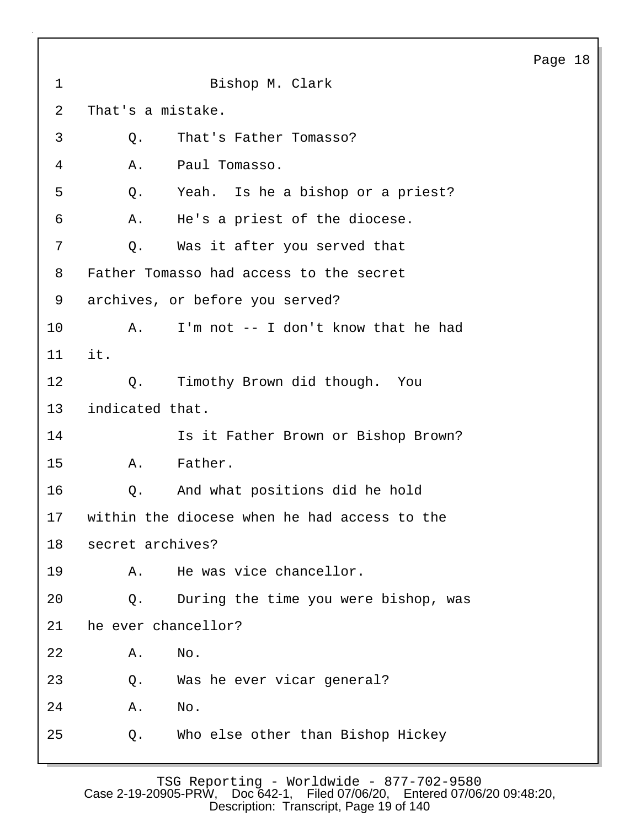1 Bishop M. Clark 2 That's a mistake. 3 Q. That's Father Tomasso? 4 A. Paul Tomasso. 5 Q. Yeah. Is he a bishop or a priest? 6 A. He's a priest of the diocese. 7 Q. Was it after you served that 8 Father Tomasso had access to the secret 9 archives, or before you served? 10 A. I'm not -- I don't know that he had 11 it. 12 Q. Timothy Brown did though. You 13 indicated that. 14 **Is it Father Brown or Bishop Brown?** 15 A. Father. 16 Q. And what positions did he hold 17 within the diocese when he had access to the 18 secret archives? 19 A. He was vice chancellor. 20 Q. During the time you were bishop, was 21 he ever chancellor? 22 A. No. 23 Q. Was he ever vicar general? 24 A. No. 25 Q. Who else other than Bishop Hickey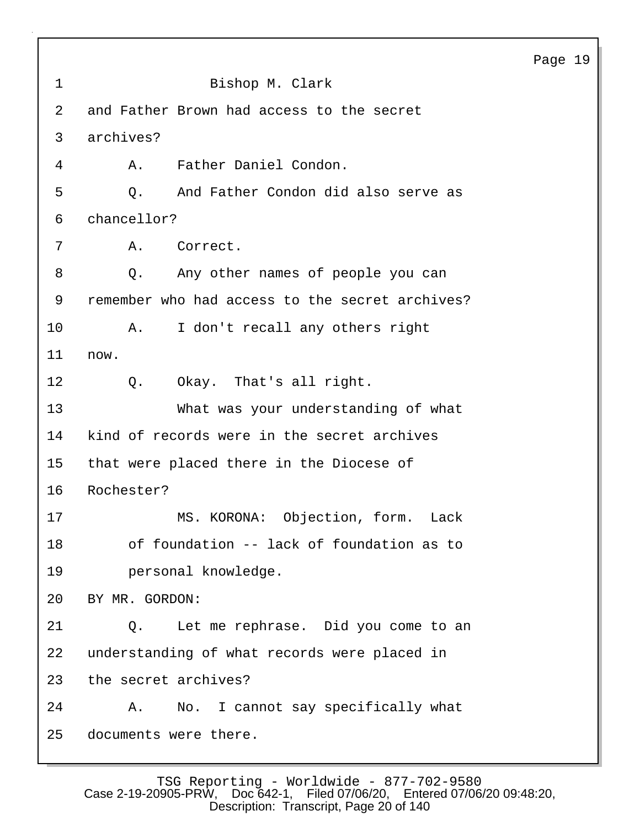1 Bishop M. Clark 2 and Father Brown had access to the secret 3 archives? 4 A. Father Daniel Condon. 5 Q. And Father Condon did also serve as 6 chancellor? 7 A. Correct. 8 Q. Any other names of people you can 9 remember who had access to the secret archives? 10 A. I don't recall any others right 11 now. 12 Q. Okay. That's all right. 13 What was your understanding of what 14 kind of records were in the secret archives 15 that were placed there in the Diocese of 16 Rochester? 17 MS. KORONA: Objection, form. Lack 18 of foundation -- lack of foundation as to 19 personal knowledge. 20 BY MR. GORDON: 21 Q. Let me rephrase. Did you come to an 22 understanding of what records were placed in 23 the secret archives? 24 A. No. I cannot say specifically what 25 documents were there.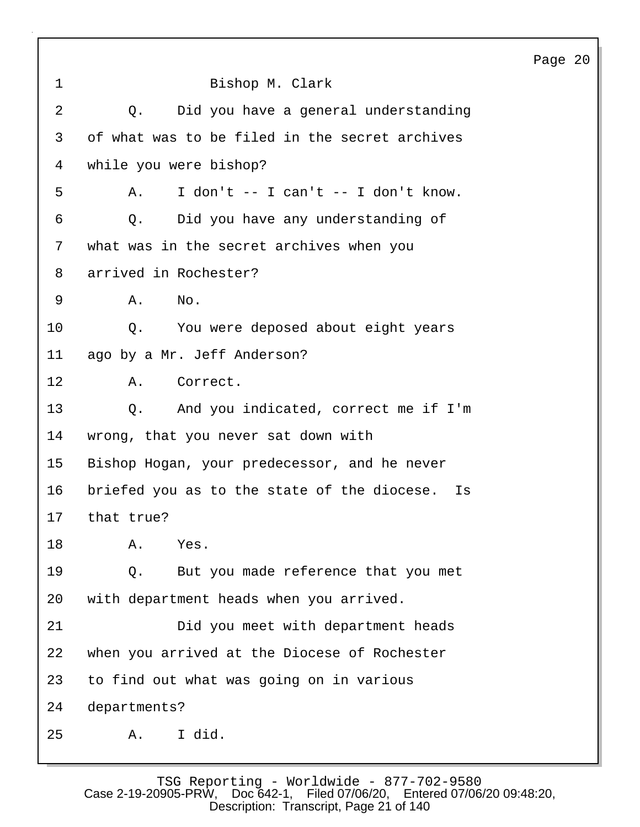| $\mathbf 1$ | Bishop M. Clark                                   |
|-------------|---------------------------------------------------|
| 2           | Q. Did you have a general understanding           |
| 3           | of what was to be filed in the secret archives    |
| 4           | while you were bishop?                            |
| 5           | I don't $-$ I can't $-$ I don't know.<br>Α.       |
| 6           | Did you have any understanding of<br>Q.           |
| 7           | what was in the secret archives when you          |
| 8           | arrived in Rochester?                             |
| 9           | Α.<br>$N$ o.                                      |
| 10          | You were deposed about eight years<br>Q.          |
| 11          | ago by a Mr. Jeff Anderson?                       |
| 12          | A.<br>Correct.                                    |
| 13          | And you indicated, correct me if I'm<br>$\circ$ . |
| 14          | wrong, that you never sat down with               |
| 15          | Bishop Hogan, your predecessor, and he never      |
| 16          | briefed you as to the state of the diocese. Is    |
| 17          | that true?                                        |
| 18          | Α.<br>Yes.                                        |
| 19          | But you made reference that you met<br>$Q$ .      |
| 20          | with department heads when you arrived.           |
| 21          | Did you meet with department heads                |
| 22          | when you arrived at the Diocese of Rochester      |
| 23          | to find out what was going on in various          |
| 24          | departments?                                      |
| 25          | I did.<br>Α.                                      |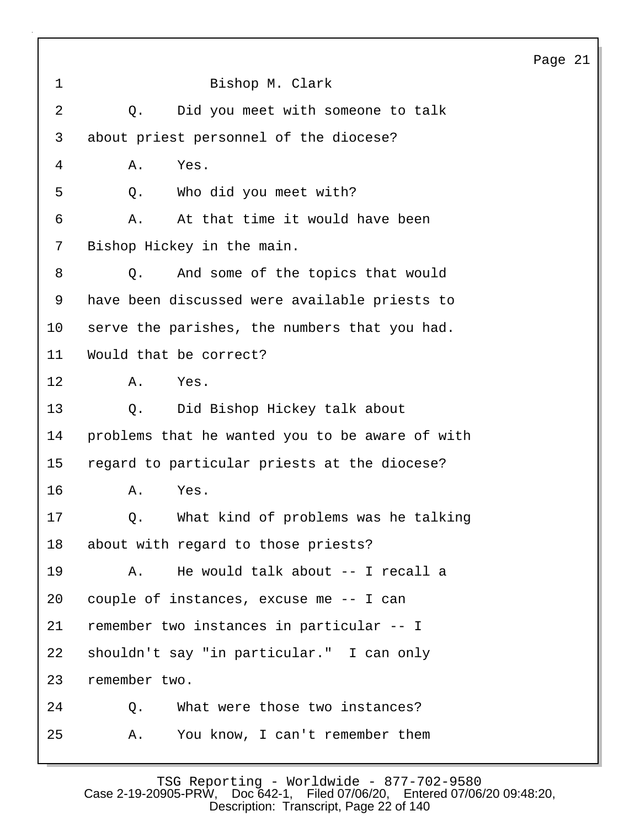| $\mathbf 1$    | Bishop M. Clark                                 |
|----------------|-------------------------------------------------|
| $\overline{a}$ | Did you meet with someone to talk<br>Q.         |
| 3              | about priest personnel of the diocese?          |
| 4              | Yes.<br>Α.                                      |
| 5              | Who did you meet with?<br>Q.                    |
| 6              | At that time it would have been<br>Α.           |
| 7              | Bishop Hickey in the main.                      |
| 8              | And some of the topics that would<br>Q.         |
| 9              | have been discussed were available priests to   |
| 10             | serve the parishes, the numbers that you had.   |
| 11             | Would that be correct?                          |
| $12 \,$        | Yes.<br>Α.                                      |
| 13             | Did Bishop Hickey talk about<br>Q.              |
| 14             | problems that he wanted you to be aware of with |
| 15             | regard to particular priests at the diocese?    |
| 16             | Yes.<br>Α.                                      |
| 17             | Q. What kind of problems was he talking         |
| 18             | about with regard to those priests?             |
| 19             | He would talk about -- I recall a<br>Α.         |
| 20             | couple of instances, excuse me -- I can         |
| 21             | remember two instances in particular -- I       |
| 22             | shouldn't say "in particular." I can only       |
| 23             | remember two.                                   |
| 24             | What were those two instances?<br>Q.            |
| 25             | You know, I can't remember them<br>Α.           |
|                |                                                 |

TSG Reporting - Worldwide - 877-702-9580 Case 2-19-20905-PRW, Doc 642-1, Filed 07/06/20, Entered 07/06/20 09:48:20, Description: Transcript, Page 22 of 140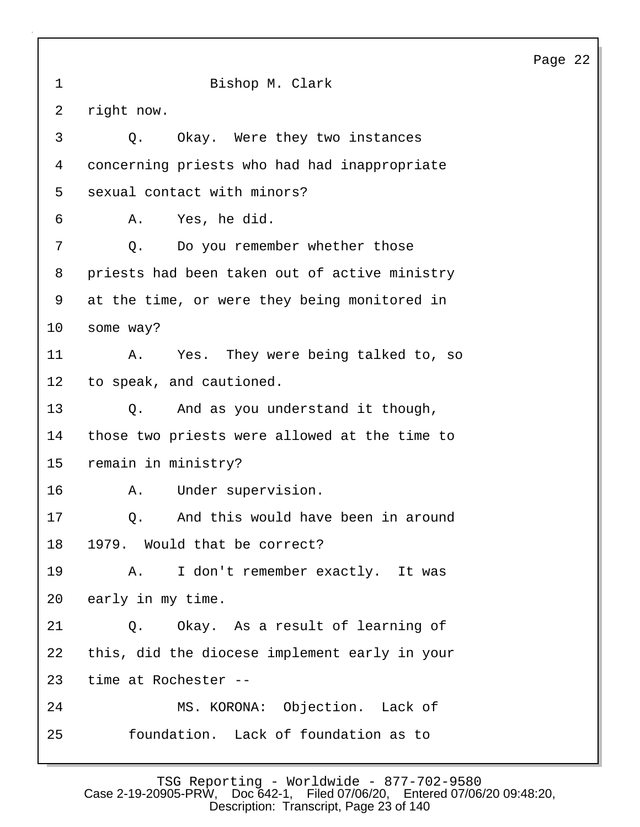1 Bishop M. Clark 2 right now. 3 Q. Okay. Were they two instances 4 concerning priests who had had inappropriate 5 sexual contact with minors? 6 A. Yes, he did. 7 Q. Do you remember whether those 8 priests had been taken out of active ministry 9 at the time, or were they being monitored in 10 some way? 11 A. Yes. They were being talked to, so 12 to speak, and cautioned. 13 Q. And as you understand it though, 14 those two priests were allowed at the time to 15 remain in ministry? 16 A. Under supervision. 17 0. And this would have been in around 18 1979. Would that be correct? 19 A. I don't remember exactly. It was 20 early in my time. 21 Q. Okay. As a result of learning of 22 this, did the diocese implement early in your 23 time at Rochester -- 24 MS. KORONA: Objection. Lack of 25 foundation. Lack of foundation as to

Page 22

TSG Reporting - Worldwide - 877-702-9580 Case 2-19-20905-PRW, Doc 642-1, Filed 07/06/20, Entered 07/06/20 09:48:20, Description: Transcript, Page 23 of 140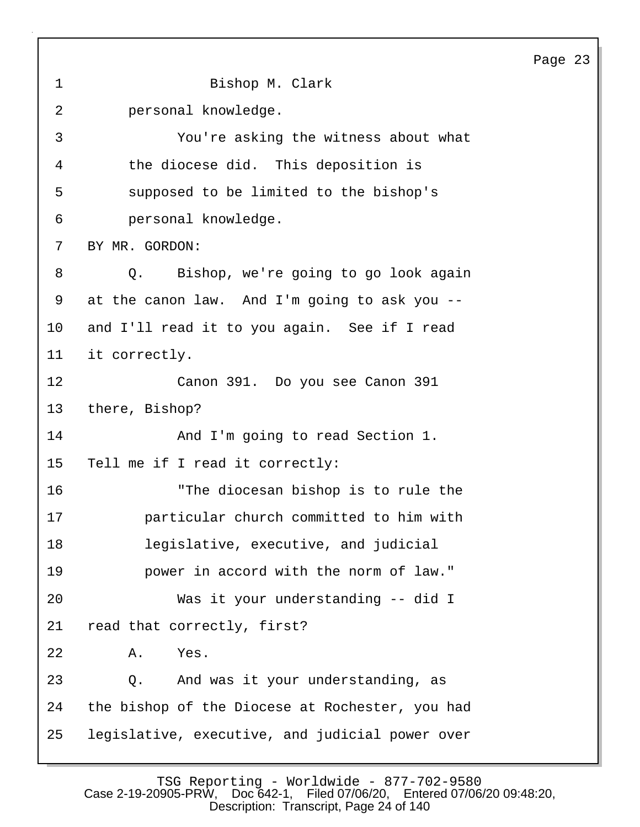1 Bishop M. Clark 2 personal knowledge. 3 You're asking the witness about what 4 the diocese did. This deposition is 5 supposed to be limited to the bishop's 6 personal knowledge. 7 BY MR. GORDON: 8 Q. Bishop, we're going to go look again 9 at the canon law. And I'm going to ask you -- 10 and I'll read it to you again. See if I read 11 it correctly. 12 Canon 391. Do you see Canon 391 13 there, Bishop? 14 And I'm going to read Section 1. 15 Tell me if I read it correctly: 16 "The diocesan bishop is to rule the 17 particular church committed to him with 18 legislative, executive, and judicial 19 power in accord with the norm of law." 20 Was it your understanding -- did I 21 read that correctly, first? 22 A. Yes. 23 Q. And was it your understanding, as 24 the bishop of the Diocese at Rochester, you had 25 legislative, executive, and judicial power over

TSG Reporting - Worldwide - 877-702-9580<br>Case 2-19-20905-PRW, Doc 642-1, Filed 07/06/20, Entered 07/06 Filed 07/06/20, Entered 07/06/20 09:48:20, Description: Transcript, Page 24 of 140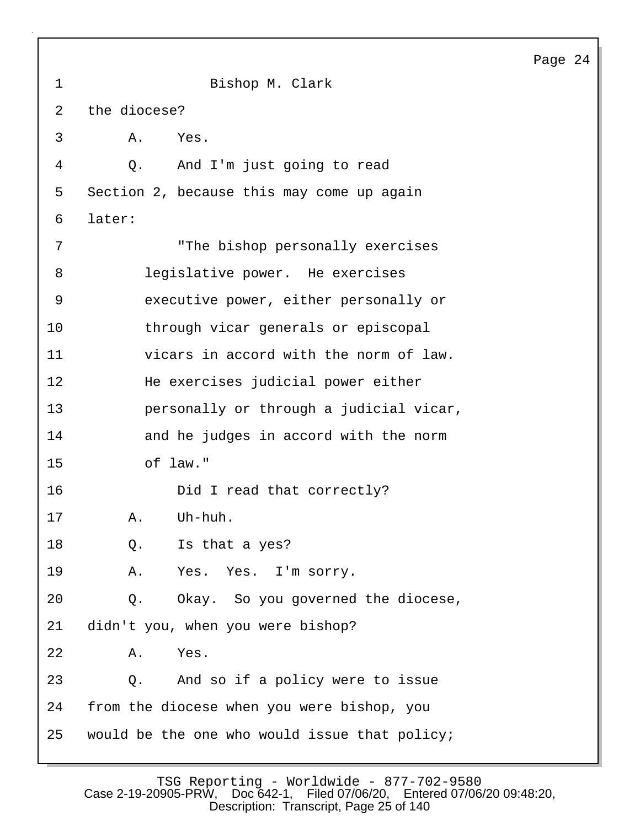|                |                                               | Page 24 |
|----------------|-----------------------------------------------|---------|
| $\mathbf 1$    | Bishop M. Clark                               |         |
| $\overline{2}$ | the diocese?                                  |         |
| 3              | Α.<br>Yes.                                    |         |
| 4              | Q. And I'm just going to read                 |         |
| 5              | Section 2, because this may come up again     |         |
| 6              | later:                                        |         |
| 7              | "The bishop personally exercises              |         |
| 8              | legislative power. He exercises               |         |
| 9              | executive power, either personally or         |         |
| 10             | through vicar generals or episcopal           |         |
| 11             | vicars in accord with the norm of law.        |         |
| 12             | He exercises judicial power either            |         |
| 13             | personally or through a judicial vicar,       |         |
| 14             | and he judges in accord with the norm         |         |
| 15             | of law."                                      |         |
| 16             | Did I read that correctly?                    |         |
| 17             | A. Uh-huh.                                    |         |
| 18             | Is that a yes?<br>Q.                          |         |
| 19             | Yes. Yes. I'm sorry.<br>Α.                    |         |
| 20             | Okay. So you governed the diocese,<br>Q.      |         |
| 21             | didn't you, when you were bishop?             |         |
| 22             | Yes.<br>Α.                                    |         |
| 23             | And so if a policy were to issue<br>$Q$ .     |         |
| 24             | from the diocese when you were bishop, you    |         |
| 25             | would be the one who would issue that policy; |         |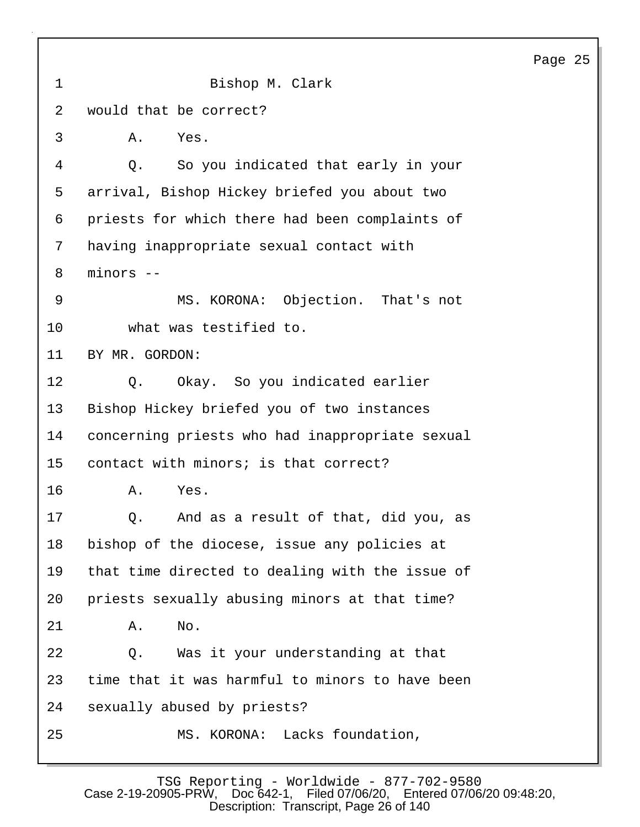1 Bishop M. Clark 2 would that be correct? 3 A. Yes. 4 Q. So you indicated that early in your 5 arrival, Bishop Hickey briefed you about two 6 priests for which there had been complaints of 7 having inappropriate sexual contact with 8 minors -- 9 MS. KORONA: Objection. That's not 10 what was testified to. 11 BY MR. GORDON: 12 0. Okay. So you indicated earlier 13 Bishop Hickey briefed you of two instances 14 concerning priests who had inappropriate sexual 15 contact with minors; is that correct? 16 A. Yes. 17 6. And as a result of that, did you, as 18 bishop of the diocese, issue any policies at 19 that time directed to dealing with the issue of 20 priests sexually abusing minors at that time? 21 A. No. 22 Q. Was it your understanding at that 23 time that it was harmful to minors to have been 24 sexually abused by priests? 25 MS. KORONA: Lacks foundation,

TSG Reporting - Worldwide - 877-702-9580<br>Case 2-19-20905-PRW, Doc 642-1, Filed 07/06/20, Entered 07/06 Filed 07/06/20, Entered 07/06/20 09:48:20, Description: Transcript, Page 26 of 140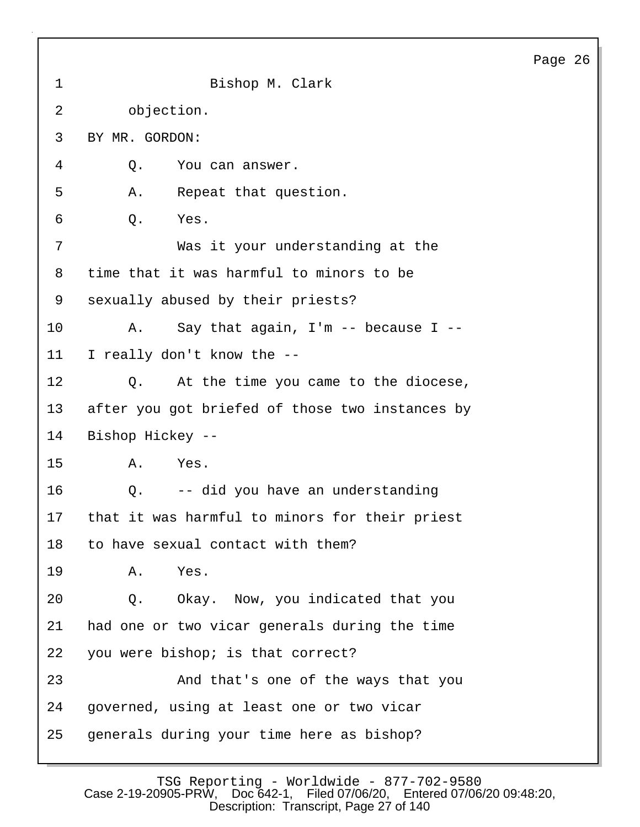| aα∈ | r.<br>╭. |
|-----|----------|
|-----|----------|

| $\mathbf 1$ | Bishop M. Clark                                 |
|-------------|-------------------------------------------------|
| 2           | objection.                                      |
| 3           | BY MR. GORDON:                                  |
| 4           | Q.<br>You can answer.                           |
| 5           | Repeat that question.<br>Α.                     |
| 6           | Yes.<br>Q.                                      |
| 7           | Was it your understanding at the                |
| 8           | time that it was harmful to minors to be        |
| 9           | sexually abused by their priests?               |
| 10          | Say that again, $I'm -- because I --$<br>Α.     |
| 11          | I really don't know the --                      |
| 12          | At the time you came to the diocese,<br>Q.      |
| 13          | after you got briefed of those two instances by |
| 14          | Bishop Hickey --                                |
| 15          | Yes.<br>Α.                                      |
| 16          | -- did you have an understanding<br>Q.          |
| 17          | that it was harmful to minors for their priest  |
| 18          | to have sexual contact with them?               |
| 19          | Α.<br>Yes.                                      |
| 20          | Okay. Now, you indicated that you<br>Q.         |
| 21          | had one or two vicar generals during the time   |
| 22          | you were bishop; is that correct?               |
| 23          | And that's one of the ways that you             |
| 24          | governed, using at least one or two vicar       |
| 25          | generals during your time here as bishop?       |

TSG Reporting - Worldwide - 877-702-9580 Case 2-19-20905-PRW, Doc 642-1, Filed 07/06/20, Entered 07/06/20 09:48:20, Description: Transcript, Page 27 of 140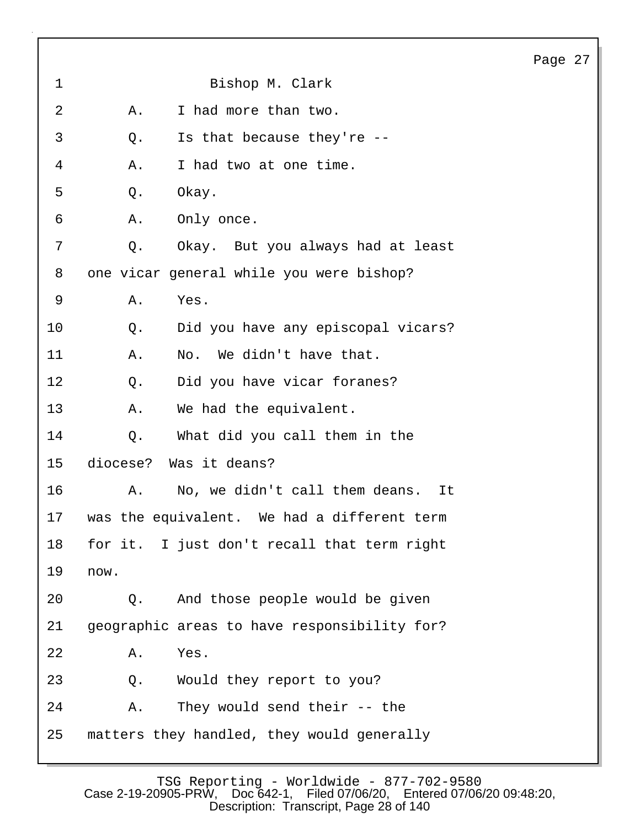| 1<br>Bishop M. Clark                               |  |
|----------------------------------------------------|--|
| 2<br>I had more than two.<br>Α.                    |  |
| 3<br>Is that because they're --<br>Q.              |  |
| 4<br>I had two at one time.<br>Α.                  |  |
| 5<br>Q.<br>Okay.                                   |  |
| 6<br>Α.<br>Only once.                              |  |
| 7<br>Okay. But you always had at least<br>Q.       |  |
| 8<br>one vicar general while you were bishop?      |  |
| 9<br>Α.<br>Yes.                                    |  |
| 10<br>Did you have any episcopal vicars?<br>Q.     |  |
| 11<br>No. We didn't have that.<br>Α.               |  |
| 12<br>Did you have vicar foranes?<br>Q.            |  |
| 13<br>We had the equivalent.<br>Α.                 |  |
| 14<br>What did you call them in the<br>Q.          |  |
| diocese? Was it deans?<br>15                       |  |
| 16<br>No, we didn't call them deans.<br>Α.<br>It   |  |
| was the equivalent. We had a different term<br>17  |  |
| 18<br>for it. I just don't recall that term right  |  |
| 19<br>now.                                         |  |
| 20<br>And those people would be given<br>Q.        |  |
| 21<br>geographic areas to have responsibility for? |  |
| 22<br>Yes.<br>Α.                                   |  |
| 23<br>Would they report to you?<br>Q.              |  |
| 24<br>They would send their -- the<br>Α.           |  |
|                                                    |  |

 $\sqrt{ }$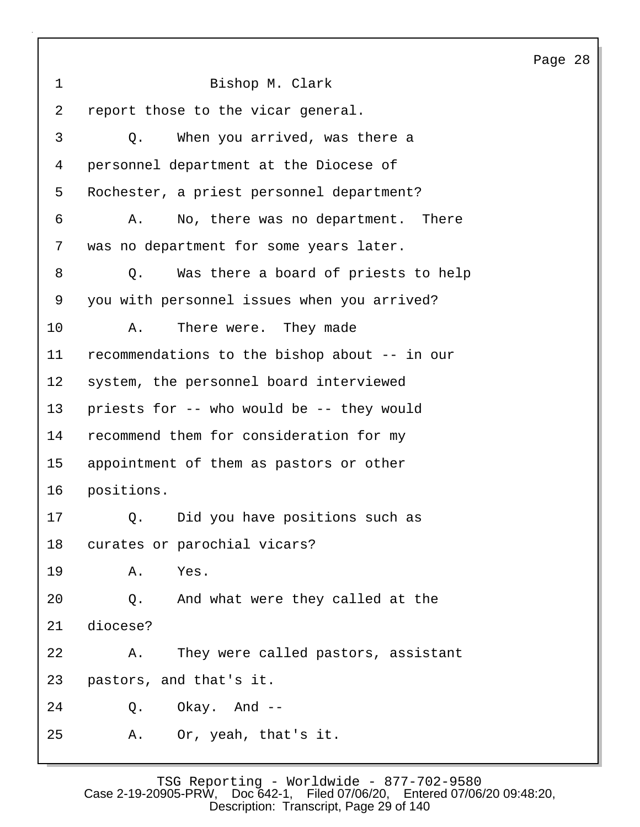Page 28 1 Bishop M. Clark 2 report those to the vicar general. 3 Q. When you arrived, was there a 4 personnel department at the Diocese of 5 Rochester, a priest personnel department? 6 A. No, there was no department. There 7 was no department for some years later. 8 Q. Was there a board of priests to help 9 you with personnel issues when you arrived? 10 A. There were. They made 11 recommendations to the bishop about -- in our 12 system, the personnel board interviewed 13 priests for -- who would be -- they would 14 recommend them for consideration for my 15 appointment of them as pastors or other 16 positions. 17 0. Did you have positions such as 18 curates or parochial vicars? 19 A. Yes. 20 Q. And what were they called at the 21 diocese? 22 A. They were called pastors, assistant 23 pastors, and that's it. 24 Q. Okay. And -- 25 A. Or, yeah, that's it.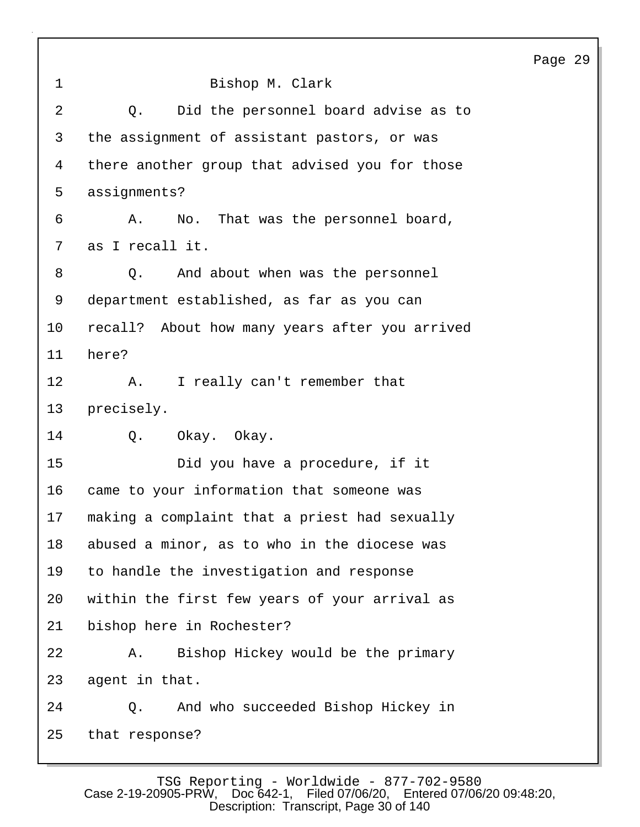1 Bishop M. Clark 2 Q. Did the personnel board advise as to 3 the assignment of assistant pastors, or was 4 there another group that advised you for those 5 assignments? 6 A. No. That was the personnel board, 7 as I recall it. 8 Q. And about when was the personnel 9 department established, as far as you can 10 recall? About how many years after you arrived 11 here? 12 A. I really can't remember that 13 precisely. 14 Q. Okay. Okay. 15 Did you have a procedure, if it 16 came to your information that someone was 17 making a complaint that a priest had sexually 18 abused a minor, as to who in the diocese was 19 to handle the investigation and response 20 within the first few years of your arrival as 21 bishop here in Rochester? 22 A. Bishop Hickey would be the primary 23 agent in that. 24 Q. And who succeeded Bishop Hickey in 25 that response?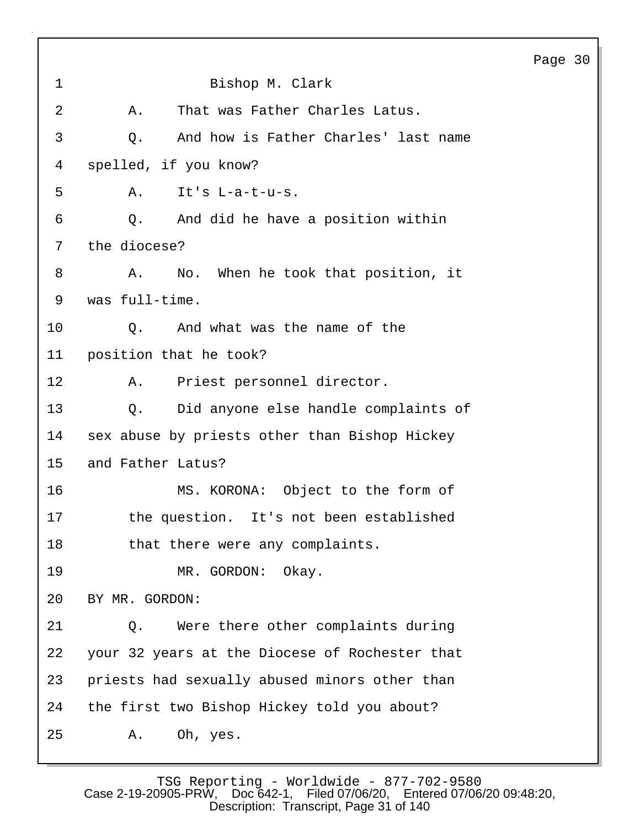Page 30 1 Bishop M. Clark 2 A. That was Father Charles Latus. 3 Q. And how is Father Charles' last name 4 spelled, if you know? 5 A. It's L-a-t-u-s. 6 Q. And did he have a position within 7 the diocese? 8 A. No. When he took that position, it 9 was full-time. 10 Q. And what was the name of the 11 position that he took? 12 A. Priest personnel director. 13 Q. Did anyone else handle complaints of 14 sex abuse by priests other than Bishop Hickey 15 and Father Latus? 16 MS. KORONA: Object to the form of 17 the question. It's not been established 18 that there were any complaints. 19 MR. GORDON: Okay. 20 BY MR. GORDON: 21 Q. Were there other complaints during 22 your 32 years at the Diocese of Rochester that 23 priests had sexually abused minors other than 24 the first two Bishop Hickey told you about? 25 A. Oh, yes.

TSG Reporting - Worldwide - 877-702-9580<br>Case 2-19-20905-PRW, Doc 642-1, Filed 07/06/20, Entered 07/06 Filed 07/06/20, Entered 07/06/20 09:48:20, Description: Transcript, Page 31 of 140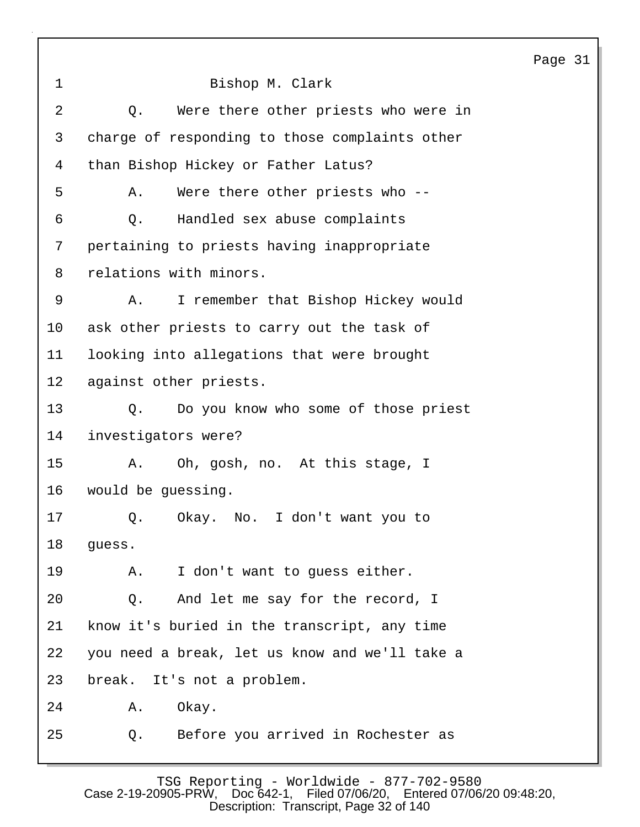1 Bishop M. Clark 2 Q. Were there other priests who were in 3 charge of responding to those complaints other 4 than Bishop Hickey or Father Latus? 5 A. Were there other priests who -- 6 Q. Handled sex abuse complaints 7 pertaining to priests having inappropriate 8 relations with minors. 9 A. I remember that Bishop Hickey would 10 ask other priests to carry out the task of 11 looking into allegations that were brought 12 against other priests. 13 Q. Do you know who some of those priest 14 investigators were? 15 A. Oh, gosh, no. At this stage, I 16 would be guessing. 17 0. Okay. No. I don't want you to 18 guess. 19 A. I don't want to guess either. 20 Q. And let me say for the record, I 21 know it's buried in the transcript, any time 22 you need a break, let us know and we'll take a 23 break. It's not a problem. 24 A. Okay. 25 Q. Before you arrived in Rochester as

Page 31

TSG Reporting - Worldwide - 877-702-9580<br>Case 2-19-20905-PRW. Doc 642-1. Filed 07/06/20. Entered 07/06 Filed 07/06/20, Entered 07/06/20 09:48:20, Description: Transcript, Page 32 of 140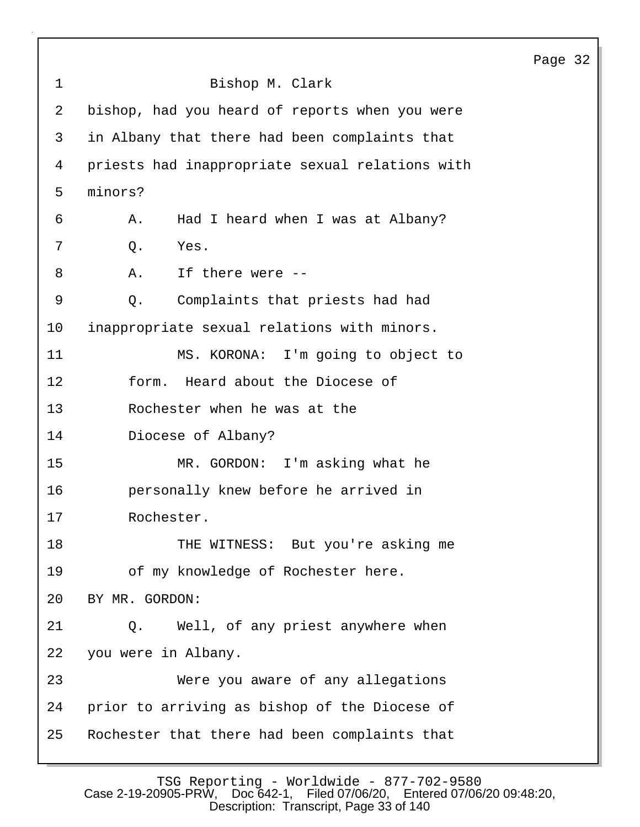|                |                                                 | Page 32 |  |
|----------------|-------------------------------------------------|---------|--|
| $\mathbf 1$    | Bishop M. Clark                                 |         |  |
| $\overline{2}$ | bishop, had you heard of reports when you were  |         |  |
| 3              | in Albany that there had been complaints that   |         |  |
| 4              | priests had inappropriate sexual relations with |         |  |
| 5              | minors?                                         |         |  |
| 6              | Had I heard when I was at Albany?<br>Α.         |         |  |
| 7              | Yes.<br>$Q$ .                                   |         |  |
| 8              | If there were --<br>Α.                          |         |  |
| 9              | Complaints that priests had had<br>Q.           |         |  |
| 10             | inappropriate sexual relations with minors.     |         |  |
| 11             | MS. KORONA: I'm going to object to              |         |  |
| 12             | Heard about the Diocese of<br>form.             |         |  |
| 13             | Rochester when he was at the                    |         |  |
| 14             | Diocese of Albany?                              |         |  |
| 15             | MR. GORDON: I'm asking what he                  |         |  |
| 16             | personally knew before he arrived in            |         |  |
| 17             | Rochester.                                      |         |  |
| 18             | THE WITNESS: But you're asking me               |         |  |
| 19             | of my knowledge of Rochester here.              |         |  |
| 20             | BY MR. GORDON:                                  |         |  |
| 21             | Well, of any priest anywhere when<br>Q.         |         |  |
| 22             | you were in Albany.                             |         |  |
| 23             | Were you aware of any allegations               |         |  |
| 24             | prior to arriving as bishop of the Diocese of   |         |  |
| 25             | Rochester that there had been complaints that   |         |  |
|                |                                                 |         |  |

TSG Reporting - Worldwide - 877-702-9580 Case 2-19-20905-PRW, Doc 642-1, Filed 07/06/20, Entered 07/06/20 09:48:20, Description: Transcript, Page 33 of 140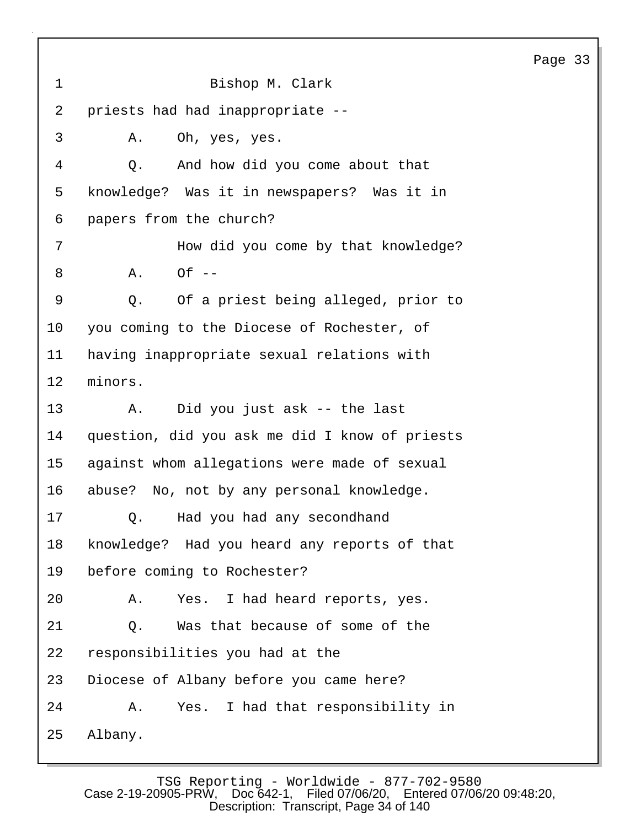| $\mathbf 1$ | Bishop M. Clark                                |
|-------------|------------------------------------------------|
| 2           | priests had had inappropriate --               |
| 3           | Oh, yes, yes.<br>Α.                            |
| 4           | And how did you come about that<br>Q.          |
| 5           | knowledge? Was it in newspapers? Was it in     |
| 6           | papers from the church?                        |
| 7           | How did you come by that knowledge?            |
| 8           | $Of --$<br>Α.                                  |
| 9           | Of a priest being alleged, prior to<br>Q.      |
| 10          | you coming to the Diocese of Rochester, of     |
| 11          | having inappropriate sexual relations with     |
| 12          | minors.                                        |
| 13          | Did you just ask -- the last<br>Α.             |
| 14          | question, did you ask me did I know of priests |
| 15          | against whom allegations were made of sexual   |
| 16          | abuse? No, not by any personal knowledge.      |
| 17          | Had you had any secondhand<br>$Q$ .            |
| 18          | knowledge? Had you heard any reports of that   |
| 19          | before coming to Rochester?                    |
| 20          | Yes. I had heard reports, yes.<br>Α.           |
| 21          | Was that because of some of the<br>Q.          |
| 22          | responsibilities you had at the                |
| 23          | Diocese of Albany before you came here?        |
| 24          | Yes. I had that responsibility in<br>Α.        |
| 25          | Albany.                                        |

TSG Reporting - Worldwide - 877-702-9580 Case 2-19-20905-PRW, Doc 642-1, Filed 07/06/20, Entered 07/06/20 09:48:20, Description: Transcript, Page 34 of 140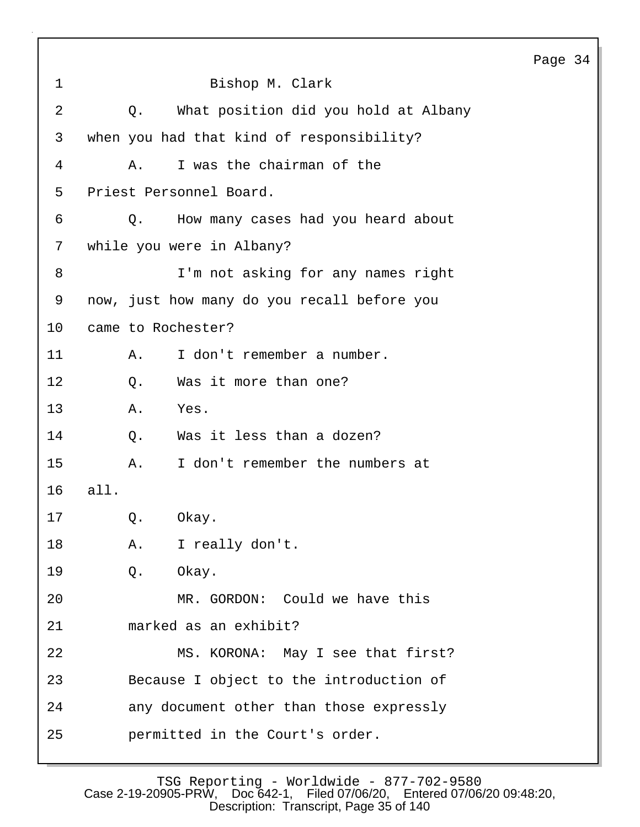1 Bishop M. Clark 2 Q. What position did you hold at Albany 3 when you had that kind of responsibility? 4 A. I was the chairman of the 5 Priest Personnel Board. 6 Q. How many cases had you heard about 7 while you were in Albany? 8 I'm not asking for any names right 9 now, just how many do you recall before you 10 came to Rochester? 11 A. I don't remember a number. 12 0. Was it more than one? 13 A. Yes. 14 Q. Was it less than a dozen? 15 A. I don't remember the numbers at 16 all. 17 Q. Okay. 18 A. I really don't. 19 Q. Okay. 20 MR. GORDON: Could we have this 21 marked as an exhibit? 22 MS. KORONA: May I see that first? 23 Because I object to the introduction of 24 any document other than those expressly 25 permitted in the Court's order.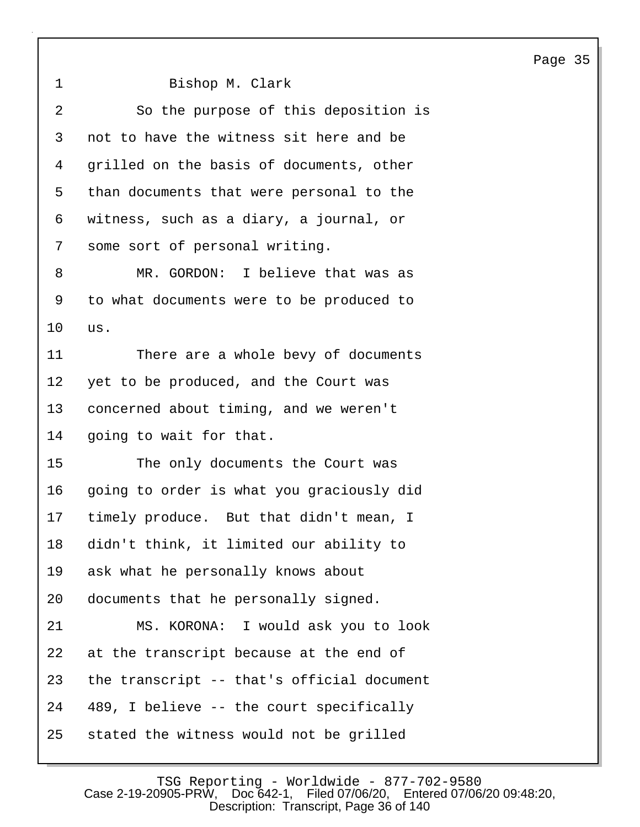1 Bishop M. Clark 2 So the purpose of this deposition is 3 not to have the witness sit here and be 4 grilled on the basis of documents, other 5 than documents that were personal to the 6 witness, such as a diary, a journal, or 7 some sort of personal writing. 8 MR. GORDON: I believe that was as 9 to what documents were to be produced to 10 us. 11 There are a whole bevy of documents 12 yet to be produced, and the Court was 13 concerned about timing, and we weren't 14 going to wait for that. 15 The only documents the Court was 16 going to order is what you graciously did 17 timely produce. But that didn't mean, I 18 didn't think, it limited our ability to 19 ask what he personally knows about

20 documents that he personally signed.

21 MS. KORONA: I would ask you to look 22 at the transcript because at the end of 23 the transcript -- that's official document 24 489, I believe -- the court specifically 25 stated the witness would not be grilled

> TSG Reporting - Worldwide - 877-702-9580<br>Case 2-19-20905-PRW. Doc 642-1. Filed 07/06/20. Entered 07/06 Filed 07/06/20, Entered 07/06/20 09:48:20, Description: Transcript, Page 36 of 140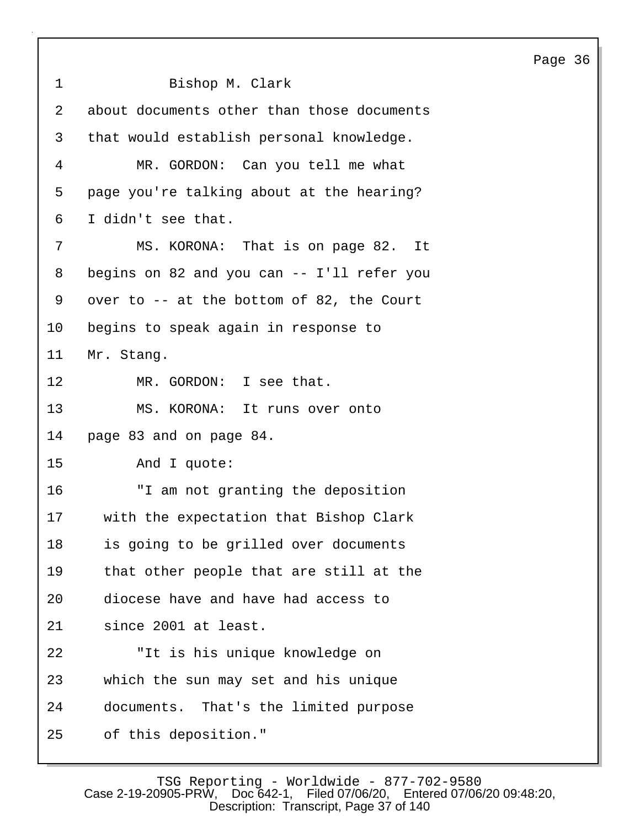1 Bishop M. Clark 2 about documents other than those documents 3 that would establish personal knowledge. 4 MR. GORDON: Can you tell me what 5 page you're talking about at the hearing? 6 I didn't see that. 7 MS. KORONA: That is on page 82. It 8 begins on 82 and you can -- I'll refer you 9 over to -- at the bottom of 82, the Court 10 begins to speak again in response to 11 Mr. Stang. 12 MR. GORDON: I see that. 13 MS. KORONA: It runs over onto 14 page 83 and on page 84. 15 And I quote: 16 "I am not granting the deposition 17 with the expectation that Bishop Clark 18 is going to be grilled over documents 19 that other people that are still at the 20 diocese have and have had access to 21 since 2001 at least. 22 "It is his unique knowledge on 23 which the sun may set and his unique 24 documents. That's the limited purpose 25 of this deposition."

Page 36

TSG Reporting - Worldwide - 877-702-9580<br>Case 2-19-20905-PRW. Doc 642-1. Filed 07/06/20. Entered 07/06 Filed 07/06/20, Entered 07/06/20 09:48:20, Description: Transcript, Page 37 of 140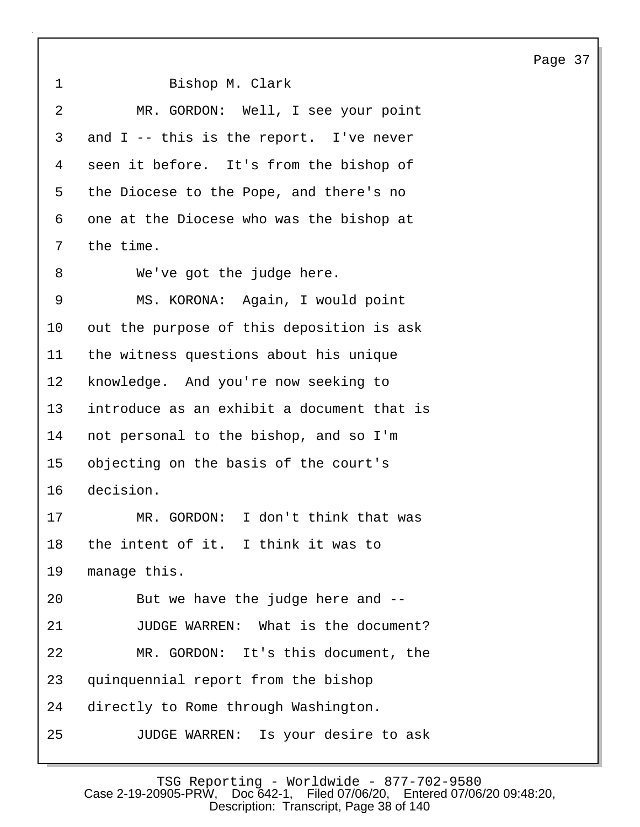1 Bishop M. Clark 2 MR. GORDON: Well, I see your point 3 and I -- this is the report. I've never 4 seen it before. It's from the bishop of 5 the Diocese to the Pope, and there's no 6 one at the Diocese who was the bishop at 7 the time. 8 We've got the judge here. 9 MS. KORONA: Again, I would point 10 out the purpose of this deposition is ask 11 the witness questions about his unique 12 knowledge. And you're now seeking to 13 introduce as an exhibit a document that is 14 not personal to the bishop, and so I'm 15 objecting on the basis of the court's 16 decision. 17 MR. GORDON: I don't think that was 18 the intent of it. I think it was to 19 manage this. 20 But we have the judge here and -- 21 JUDGE WARREN: What is the document? 22 MR. GORDON: It's this document, the 23 quinquennial report from the bishop 24 directly to Rome through Washington. 25 JUDGE WARREN: Is your desire to ask

TSG Reporting - Worldwide - 877-702-9580<br>Case 2-19-20905-PRW, Doc 642-1, Filed 07/06/20, Entered 07/06 Filed 07/06/20, Entered 07/06/20 09:48:20, Description: Transcript, Page 38 of 140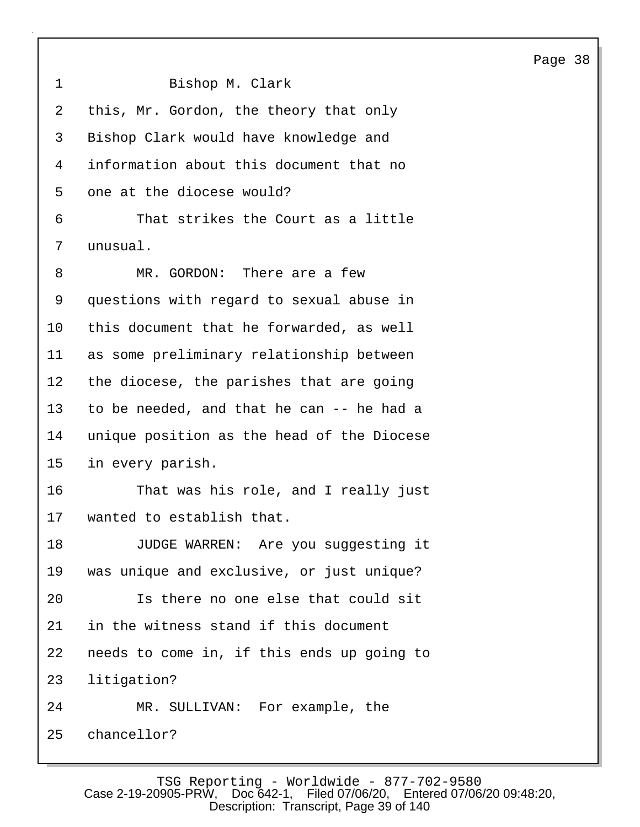1 Bishop M. Clark 2 this, Mr. Gordon, the theory that only 3 Bishop Clark would have knowledge and 4 information about this document that no 5 one at the diocese would? 6 That strikes the Court as a little 7 unusual. 8 MR. GORDON: There are a few 9 questions with regard to sexual abuse in 10 this document that he forwarded, as well 11 as some preliminary relationship between 12 the diocese, the parishes that are going 13 to be needed, and that he can -- he had a 14 unique position as the head of the Diocese 15 in every parish. 16 That was his role, and I really just 17 wanted to establish that. 18 JUDGE WARREN: Are you suggesting it 19 was unique and exclusive, or just unique? 20 Is there no one else that could sit 21 in the witness stand if this document 22 needs to come in, if this ends up going to 23 litigation? 24 MR. SULLIVAN: For example, the 25 chancellor?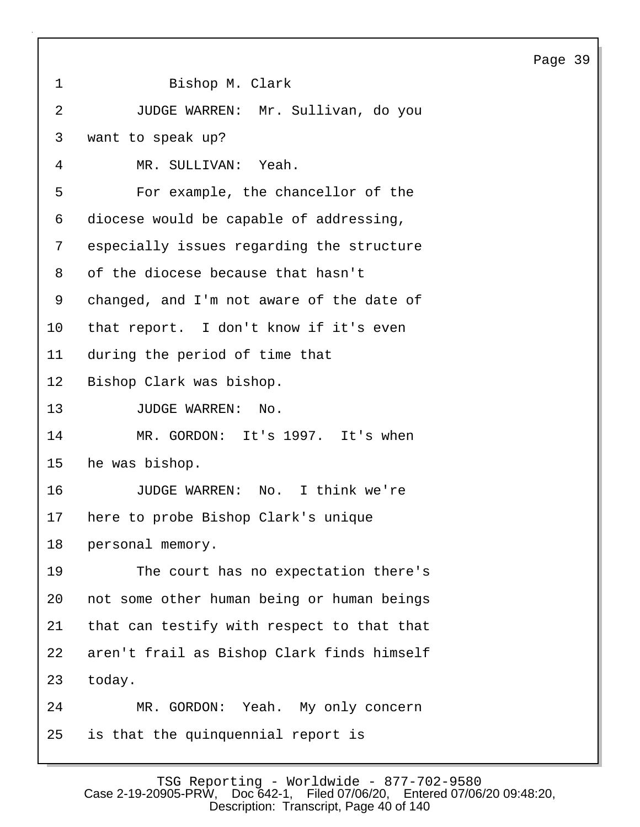| $\mathbf 1$     | Bishop M. Clark                            |
|-----------------|--------------------------------------------|
| $\overline{2}$  | JUDGE WARREN: Mr. Sullivan, do you         |
| 3               | want to speak up?                          |
| 4               | MR. SULLIVAN: Yeah.                        |
| 5               | For example, the chancellor of the         |
| 6               | diocese would be capable of addressing,    |
| 7               | especially issues regarding the structure  |
| 8               | of the diocese because that hasn't         |
| 9               | changed, and I'm not aware of the date of  |
| 10              | that report. I don't know if it's even     |
| 11              | during the period of time that             |
| 12              | Bishop Clark was bishop.                   |
| 13              | JUDGE WARREN: No.                          |
| 14              | MR. GORDON: It's 1997. It's when           |
| 15 <sub>1</sub> | he was bishop.                             |
| 16              | JUDGE WARREN: No. I think we're            |
| 17              | here to probe Bishop Clark's unique        |
| 18              | personal memory.                           |
| 19              | The court has no expectation there's       |
| 20              | not some other human being or human beings |
| 21              | that can testify with respect to that that |
| 22              | aren't frail as Bishop Clark finds himself |
| 23              | today.                                     |
| 24              | MR. GORDON: Yeah. My only concern          |
| 25              | is that the quinquennial report is         |

TSG Reporting - Worldwide - 877-702-9580 Case 2-19-20905-PRW, Doc 642-1, Filed 07/06/20, Entered 07/06/20 09:48:20, Description: Transcript, Page 40 of 140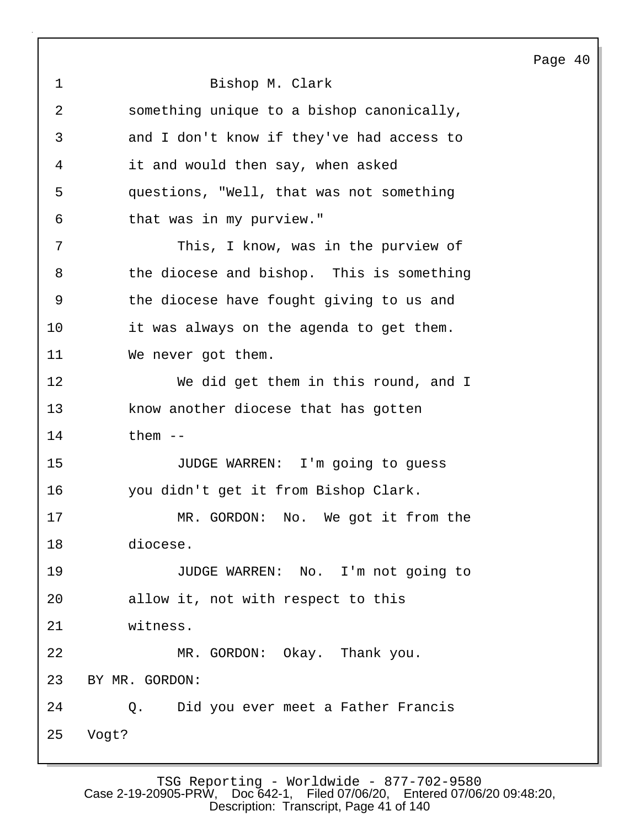1 Bishop M. Clark 2 something unique to a bishop canonically, 3 and I don't know if they've had access to 4 it and would then say, when asked 5 questions, "Well, that was not something 6 that was in my purview." 7 This, I know, was in the purview of 8 the diocese and bishop. This is something 9 the diocese have fought giving to us and 10 it was always on the agenda to get them. 11 We never got them. 12 We did get them in this round, and I 13 know another diocese that has gotten 14 them -- 15 JUDGE WARREN: I'm going to guess 16 you didn't get it from Bishop Clark. 17 MR. GORDON: No. We got it from the 18 diocese. 19 JUDGE WARREN: No. I'm not going to 20 allow it, not with respect to this 21 witness. 22 MR. GORDON: Okay. Thank you. 23 BY MR. GORDON: 24 Q. Did you ever meet a Father Francis 25 Vogt?

Page 40

TSG Reporting - Worldwide - 877-702-9580 Case 2-19-20905-PRW, Doc 642-1, Filed 07/06/20, Entered 07/06/20 09:48:20, Description: Transcript, Page 41 of 140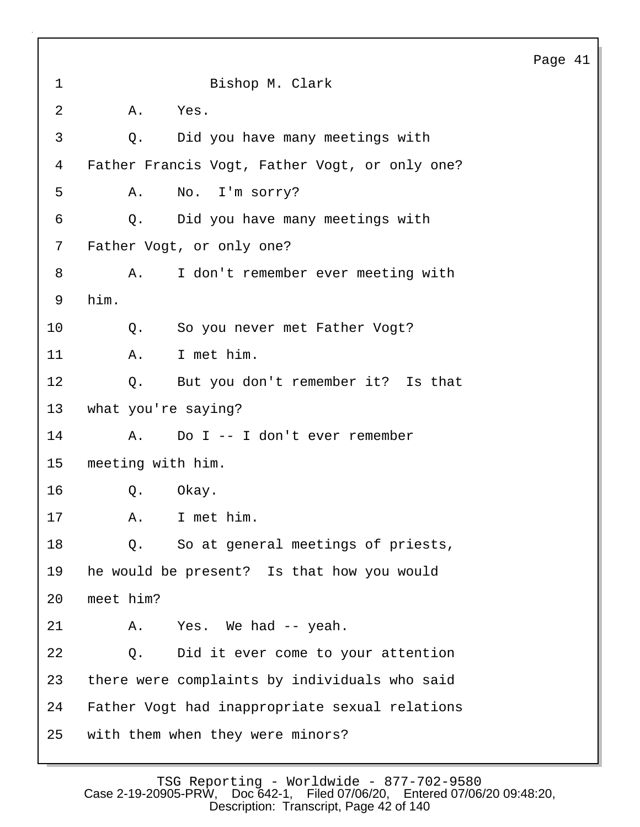1 Bishop M. Clark 2 A. Yes. 3 Q. Did you have many meetings with 4 Father Francis Vogt, Father Vogt, or only one? 5 A. No. I'm sorry? 6 Q. Did you have many meetings with 7 Father Vogt, or only one? 8 A. I don't remember ever meeting with 9 him. 10 Q. So you never met Father Vogt? 11 A. I met him. 12 Q. But you don't remember it? Is that 13 what you're saying? 14 A. Do I -- I don't ever remember 15 meeting with him. 16 Q. Okay. 17 A. I met him. 18 Q. So at general meetings of priests, 19 he would be present? Is that how you would 20 meet him? 21 A. Yes. We had -- yeah. 22 Q. Did it ever come to your attention 23 there were complaints by individuals who said 24 Father Vogt had inappropriate sexual relations 25 with them when they were minors?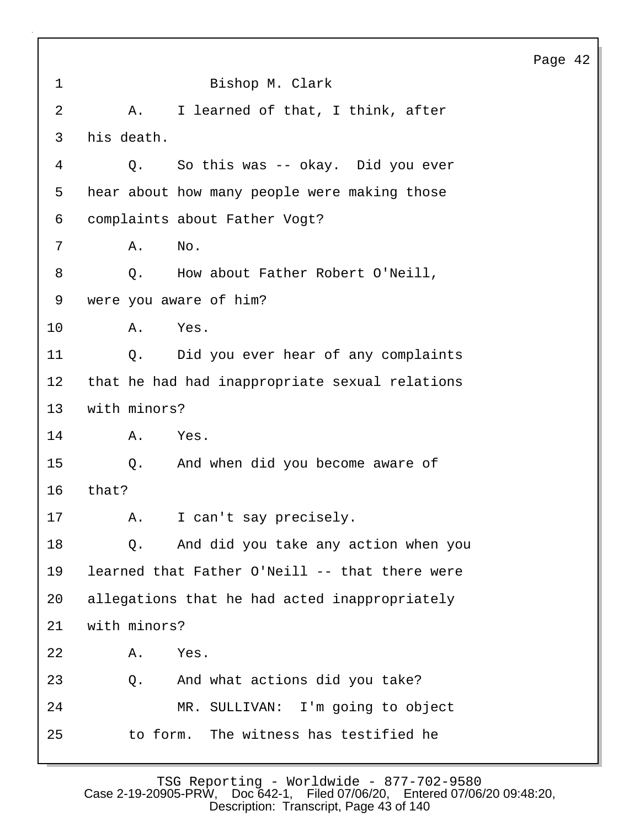|                |                                                | Page 42 |  |
|----------------|------------------------------------------------|---------|--|
| $\mathbf 1$    | Bishop M. Clark                                |         |  |
| $\overline{2}$ | I learned of that, I think, after<br>Α.        |         |  |
| $\mathsf{3}$   | his death.                                     |         |  |
| 4              | So this was -- okay. Did you ever<br>Q.        |         |  |
| 5              | hear about how many people were making those   |         |  |
| 6              | complaints about Father Vogt?                  |         |  |
| 7              | Α.<br>No.                                      |         |  |
| 8              | How about Father Robert O'Neill,<br>Q.         |         |  |
| 9              | were you aware of him?                         |         |  |
| 10             | Yes.<br>Α.                                     |         |  |
| 11             | Q. Did you ever hear of any complaints         |         |  |
| $12 \,$        | that he had had inappropriate sexual relations |         |  |
| 13             | with minors?                                   |         |  |
| 14             | Yes.<br>Α.                                     |         |  |
| 15             | And when did you become aware of<br>$Q$ .      |         |  |
| 16             | that?                                          |         |  |
| 17             | I can't say precisely.<br><b>A.</b>            |         |  |
| 18             | And did you take any action when you<br>Q.     |         |  |
| 19             | learned that Father O'Neill -- that there were |         |  |
| 20             | allegations that he had acted inappropriately  |         |  |
| 21             | with minors?                                   |         |  |
| 22             | Yes.<br>Α.                                     |         |  |
| 23             | And what actions did you take?<br>Q.           |         |  |
| 24             | MR. SULLIVAN: I'm going to object              |         |  |
| 25             | to form. The witness has testified he          |         |  |
|                |                                                |         |  |

TSG Reporting - Worldwide - 877-702-9580 Case 2-19-20905-PRW, Doc 642-1, Filed 07/06/20, Entered 07/06/20 09:48:20, Description: Transcript, Page 43 of 140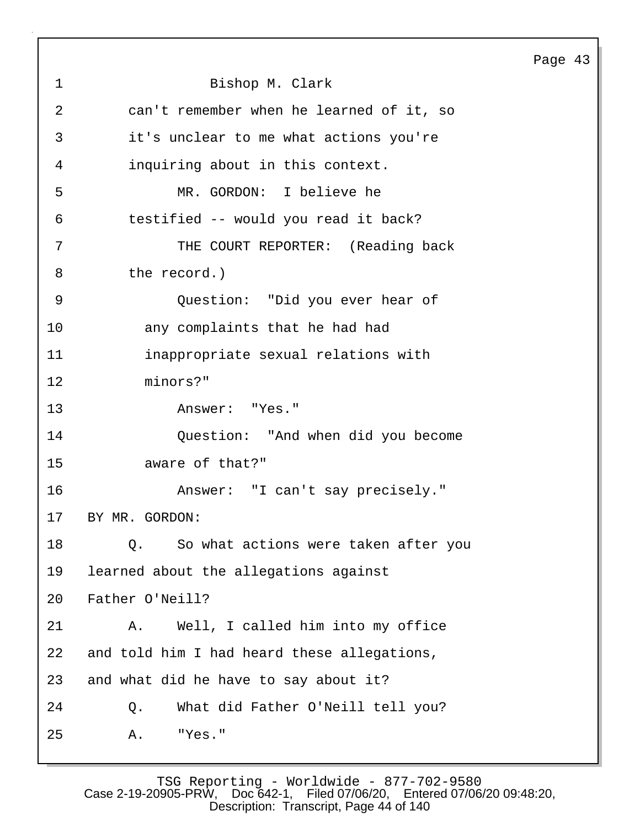|                |                                             | Page 43 |  |
|----------------|---------------------------------------------|---------|--|
| $\mathbf{1}$   | Bishop M. Clark                             |         |  |
| $\overline{2}$ | can't remember when he learned of it, so    |         |  |
| 3              | it's unclear to me what actions you're      |         |  |
| 4              | inquiring about in this context.            |         |  |
| 5              | MR. GORDON: I believe he                    |         |  |
| 6              | testified -- would you read it back?        |         |  |
| 7              | THE COURT REPORTER: (Reading back           |         |  |
| 8              | the record.)                                |         |  |
| 9              | Question: "Did you ever hear of             |         |  |
| 10             | any complaints that he had had              |         |  |
| 11             | inappropriate sexual relations with         |         |  |
| 12             | minors?"                                    |         |  |
| 13             | Answer: "Yes."                              |         |  |
| 14             | Question: "And when did you become          |         |  |
| 15             | aware of that?"                             |         |  |
| 16             | Answer: "I can't say precisely."            |         |  |
| 17             | BY MR. GORDON:                              |         |  |
| 18             | So what actions were taken after you<br>Q.  |         |  |
| 19             | learned about the allegations against       |         |  |
| 20             | Father O'Neill?                             |         |  |
| 21             | Well, I called him into my office<br>Α.     |         |  |
| 22             | and told him I had heard these allegations, |         |  |
| 23             | and what did he have to say about it?       |         |  |
| 24             | What did Father O'Neill tell you?<br>Q.     |         |  |
| 25             | "Yes."<br>Α.                                |         |  |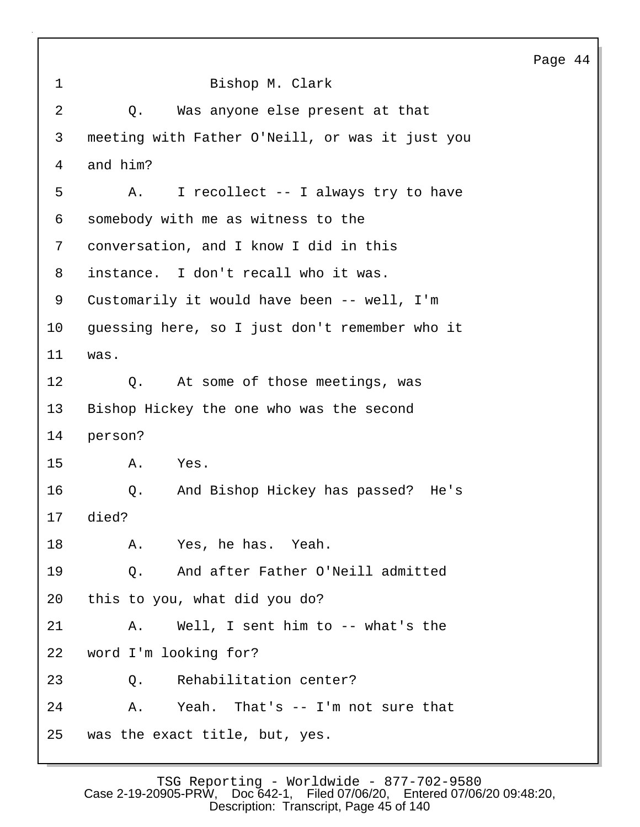| $\mathbf 1$ | Bishop M. Clark                                 |
|-------------|-------------------------------------------------|
| 2           | Was anyone else present at that<br>Q.           |
| 3           | meeting with Father O'Neill, or was it just you |
| 4           | and him?                                        |
| 5           | I recollect -- I always try to have<br>A.       |
| 6           | somebody with me as witness to the              |
| 7           | conversation, and I know I did in this          |
| 8           | instance. I don't recall who it was.            |
| 9           | Customarily it would have been -- well, I'm     |
| 10          | guessing here, so I just don't remember who it  |
| 11          | was.                                            |
| 12          | Q. At some of those meetings, was               |
| 13          | Bishop Hickey the one who was the second        |
| 14          | person?                                         |
| 15          | Α.<br>Yes.                                      |
| 16          | And Bishop Hickey has passed? He's<br>Q.        |
|             | 17 died?                                        |
| 18          | A. Yes, he has. Yeah.                           |
| 19          | Q. And after Father O'Neill admitted            |
| 20          | this to you, what did you do?                   |
| 21          | A. Well, I sent him to -- what's the            |
| 22          | word I'm looking for?                           |
| 23          | Q. Rehabilitation center?                       |
| 24          | A. Yeah. That's -- I'm not sure that            |
| 25          | was the exact title, but, yes.                  |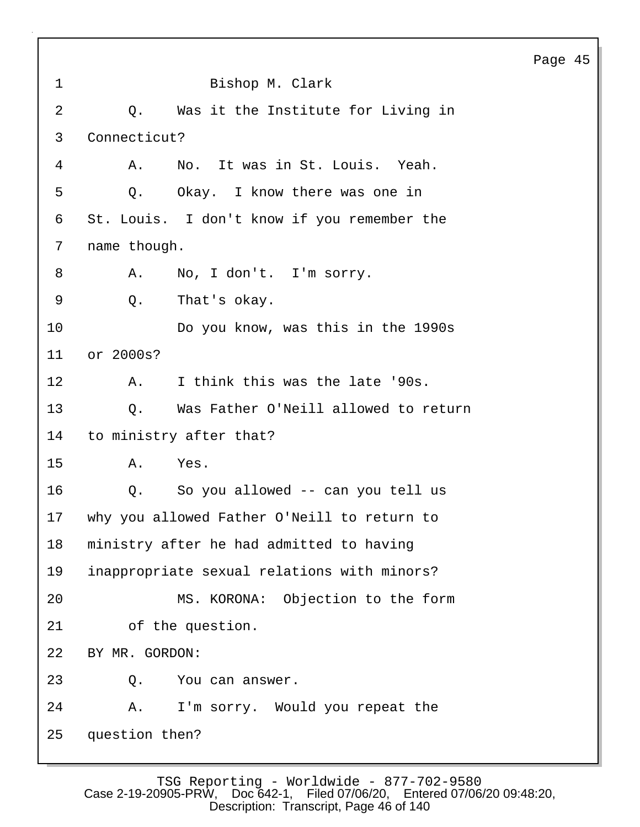| $\mathbf 1$    | Bishop M. Clark                             |
|----------------|---------------------------------------------|
| $\overline{2}$ | Was it the Institute for Living in<br>Q.    |
| 3              | Connecticut?                                |
| 4              | No. It was in St. Louis. Yeah.<br>Α.        |
| 5              | Q. Okay. I know there was one in            |
| 6              | St. Louis. I don't know if you remember the |
| 7              | name though.                                |
| 8              | No, I don't. I'm sorry.<br>Α.               |
| 9              | That's okay.<br>Q.                          |
| 10             | Do you know, was this in the 1990s          |
| 11             | or 2000s?                                   |
| 12             | I think this was the late '90s.<br>A.       |
| 13             | Was Father O'Neill allowed to return<br>Q.  |
| 14             | to ministry after that?                     |
| 15             | Α.<br>Yes.                                  |
| 16             | Q. So you allowed -- can you tell us        |
| 17             | why you allowed Father O'Neill to return to |
| 18             | ministry after he had admitted to having    |
| 19             | inappropriate sexual relations with minors? |
| 20             | MS. KORONA: Objection to the form           |
| 21             | of the question.                            |
| 22             | BY MR. GORDON:                              |
| 23             | Q.<br>You can answer.                       |
| 24             | I'm sorry. Would you repeat the<br>Α.       |
| 25             | question then?                              |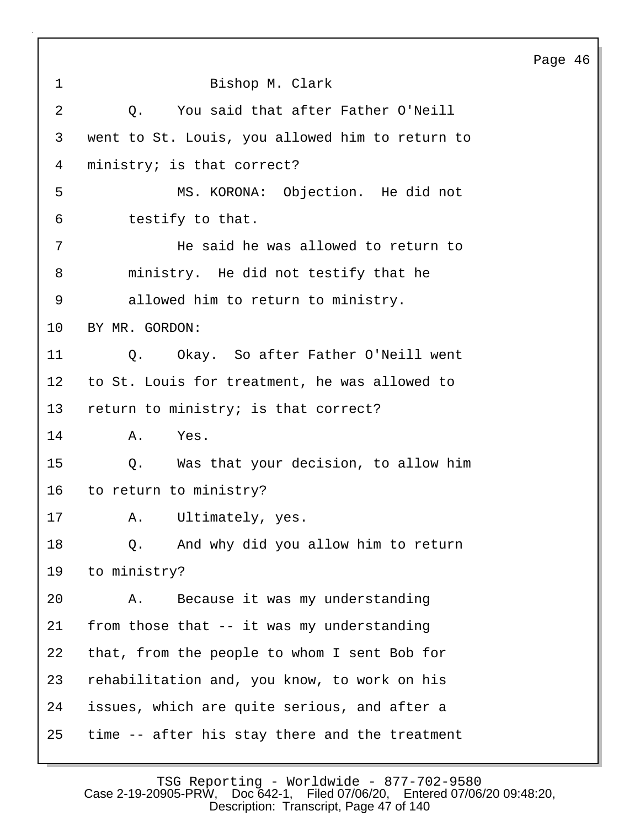|                |                                                 | Page 46 |  |
|----------------|-------------------------------------------------|---------|--|
| $\mathbf 1$    | Bishop M. Clark                                 |         |  |
| $\overline{2}$ | You said that after Father O'Neill<br>Q.        |         |  |
| 3              | went to St. Louis, you allowed him to return to |         |  |
| 4              | ministry; is that correct?                      |         |  |
| 5              | MS. KORONA: Objection. He did not               |         |  |
| 6              | testify to that.                                |         |  |
| 7              | He said he was allowed to return to             |         |  |
| 8              | ministry. He did not testify that he            |         |  |
| 9              | allowed him to return to ministry.              |         |  |
| 10             | BY MR. GORDON:                                  |         |  |
| 11             | Q. Okay. So after Father O'Neill went           |         |  |
| 12             | to St. Louis for treatment, he was allowed to   |         |  |
| 13             | return to ministry; is that correct?            |         |  |
| 14             | Yes.<br>Α.                                      |         |  |
| 15             | Q. Was that your decision, to allow him         |         |  |
| 16             | to return to ministry?                          |         |  |
| 17             | A. Ultimately, yes.                             |         |  |
| 18             | And why did you allow him to return<br>Q.       |         |  |
| 19             | to ministry?                                    |         |  |
| 20             | Because it was my understanding<br>Α.           |         |  |
| 21             | from those that -- it was my understanding      |         |  |
| 22             | that, from the people to whom I sent Bob for    |         |  |
| 23             | rehabilitation and, you know, to work on his    |         |  |
| 24             | issues, which are quite serious, and after a    |         |  |
| 25             | time -- after his stay there and the treatment  |         |  |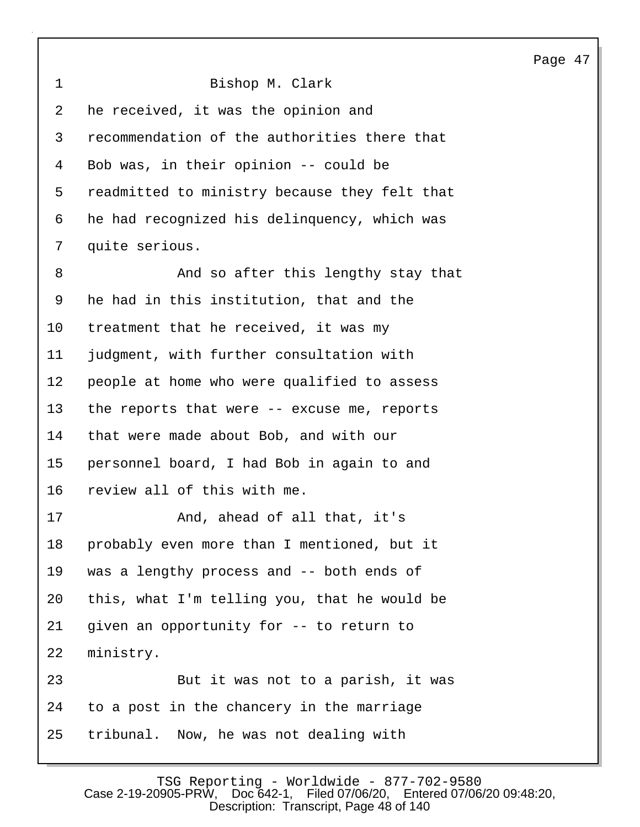| C<br>÷ |  |
|--------|--|
|--------|--|

| $\mathbf 1$ | Bishop M. Clark                               |
|-------------|-----------------------------------------------|
| 2           | he received, it was the opinion and           |
| 3           | recommendation of the authorities there that  |
| 4           | Bob was, in their opinion -- could be         |
| 5           | readmitted to ministry because they felt that |
| 6           | he had recognized his delinquency, which was  |
| 7           | quite serious.                                |
| 8           | And so after this lengthy stay that           |
| 9           | he had in this institution, that and the      |
| $10 \,$     | treatment that he received, it was my         |
| 11          | judgment, with further consultation with      |
| 12          | people at home who were qualified to assess   |
| 13          | the reports that were -- excuse me, reports   |
| 14          | that were made about Bob, and with our        |
| 15          | personnel board, I had Bob in again to and    |
| 16          | review all of this with me.                   |
| 17          | And, ahead of all that, it's                  |
| 18          | probably even more than I mentioned, but it   |
| 19          | was a lengthy process and -- both ends of     |
| 20          | this, what I'm telling you, that he would be  |
| 21          | given an opportunity for -- to return to      |
| 22          | ministry.                                     |
| 23          | But it was not to a parish, it was            |
| 24          | to a post in the chancery in the marriage     |
| 25          | tribunal. Now, he was not dealing with        |

TSG Reporting - Worldwide - 877-702-9580 Case 2-19-20905-PRW, Doc 642-1, Filed 07/06/20, Entered 07/06/20 09:48:20, Description: Transcript, Page 48 of 140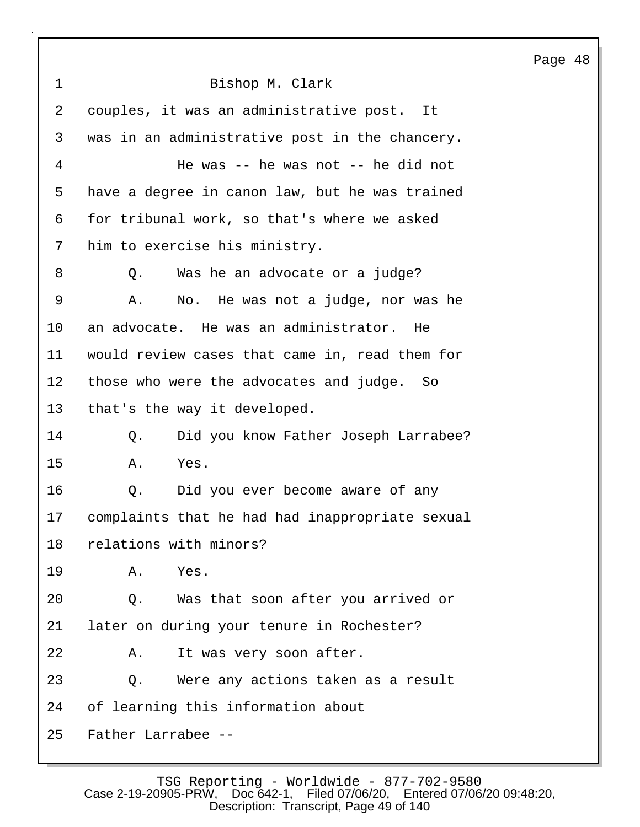1 Bishop M. Clark 2 couples, it was an administrative post. It 3 was in an administrative post in the chancery. 4 He was -- he was not -- he did not 5 have a degree in canon law, but he was trained 6 for tribunal work, so that's where we asked 7 him to exercise his ministry. 8 Q. Was he an advocate or a judge? 9 A. No. He was not a judge, nor was he 10 an advocate. He was an administrator. He 11 would review cases that came in, read them for 12 those who were the advocates and judge. So 13 that's the way it developed. 14 Q. Did you know Father Joseph Larrabee? 15 A. Yes. 16 Q. Did you ever become aware of any 17 complaints that he had had inappropriate sexual 18 relations with minors? 19 A. Yes. 20 Q. Was that soon after you arrived or 21 later on during your tenure in Rochester? 22 A. It was very soon after. 23 Q. Were any actions taken as a result 24 of learning this information about 25 Father Larrabee --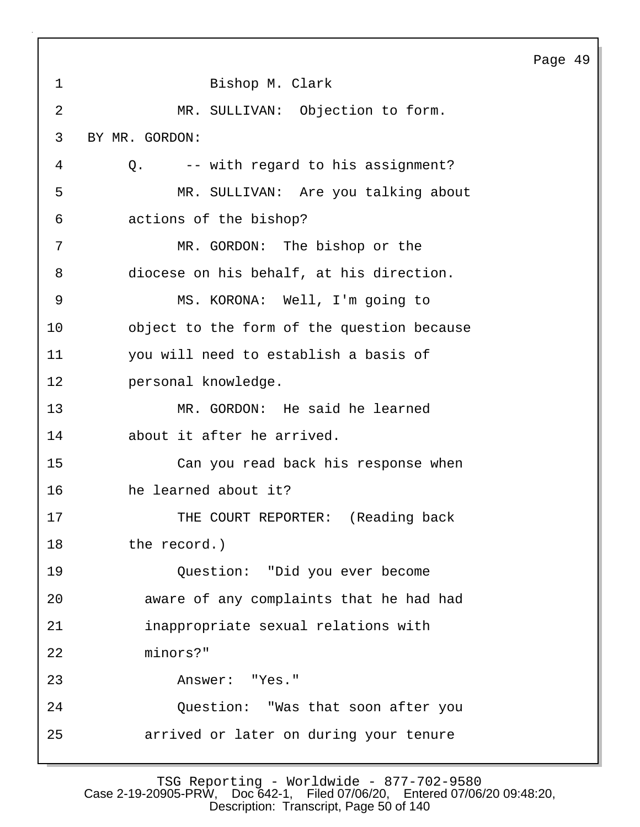|                |                                            | Page 49 |  |
|----------------|--------------------------------------------|---------|--|
| 1              | Bishop M. Clark                            |         |  |
| $\overline{2}$ | MR. SULLIVAN: Objection to form.           |         |  |
| 3              | BY MR. GORDON:                             |         |  |
| 4              | -- with regard to his assignment?<br>Q.    |         |  |
| 5              | MR. SULLIVAN: Are you talking about        |         |  |
| 6              | actions of the bishop?                     |         |  |
| 7              | MR. GORDON: The bishop or the              |         |  |
| 8              | diocese on his behalf, at his direction.   |         |  |
| $\overline{9}$ | MS. KORONA: Well, I'm going to             |         |  |
| 10             | object to the form of the question because |         |  |
| 11             | you will need to establish a basis of      |         |  |
| 12             | personal knowledge.                        |         |  |
| 13             | MR. GORDON: He said he learned             |         |  |
| 14             | about it after he arrived.                 |         |  |
| 15             | Can you read back his response when        |         |  |
| 16             | he learned about it?                       |         |  |
| 17             | THE COURT REPORTER: (Reading back          |         |  |
| 18             | the record.)                               |         |  |
| 19             | Question: "Did you ever become             |         |  |
| 20             | aware of any complaints that he had had    |         |  |
| 21             | inappropriate sexual relations with        |         |  |
| 22             | minors?"                                   |         |  |
| 23             | Answer: "Yes."                             |         |  |
| 24             | Question: "Was that soon after you         |         |  |
| 25             | arrived or later on during your tenure     |         |  |

Г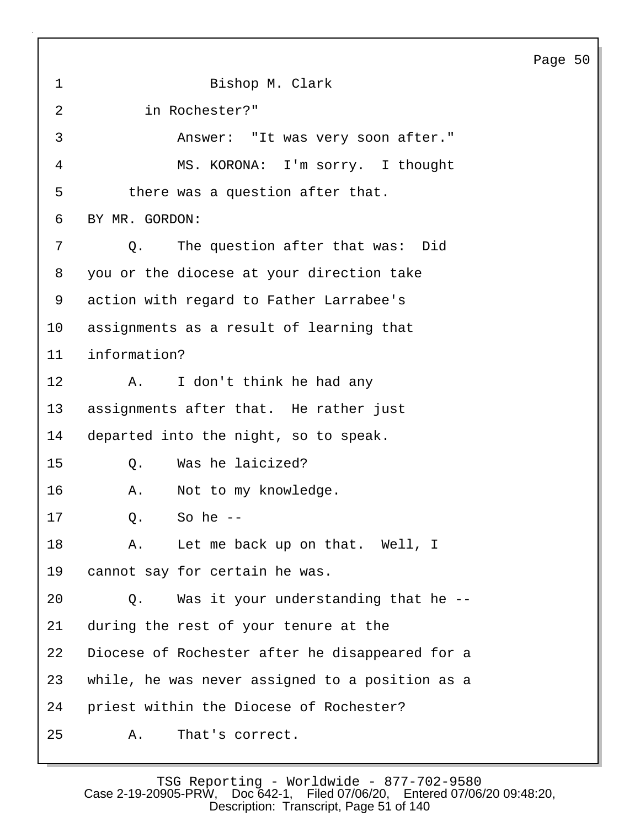Page 50 1 Bishop M. Clark 2 in Rochester?" 3 Answer: "It was very soon after." 4 MS. KORONA: I'm sorry. I thought 5 there was a question after that. 6 BY MR. GORDON: 7 Q. The question after that was: Did 8 you or the diocese at your direction take 9 action with regard to Father Larrabee's 10 assignments as a result of learning that 11 information? 12 A. I don't think he had any 13 assignments after that. He rather just 14 departed into the night, so to speak. 15 Q. Was he laicized? 16 A. Not to my knowledge. 17 Q. So he -- 18 A. Let me back up on that. Well, I 19 cannot say for certain he was. 20 Q. Was it your understanding that he -- 21 during the rest of your tenure at the 22 Diocese of Rochester after he disappeared for a 23 while, he was never assigned to a position as a 24 priest within the Diocese of Rochester? 25 A. That's correct.

TSG Reporting - Worldwide - 877-702-9580<br>Case 2-19-20905-PRW, Doc 642-1, Filed 07/06/20, Entered 07/06 Filed 07/06/20, Entered 07/06/20 09:48:20, Description: Transcript, Page 51 of 140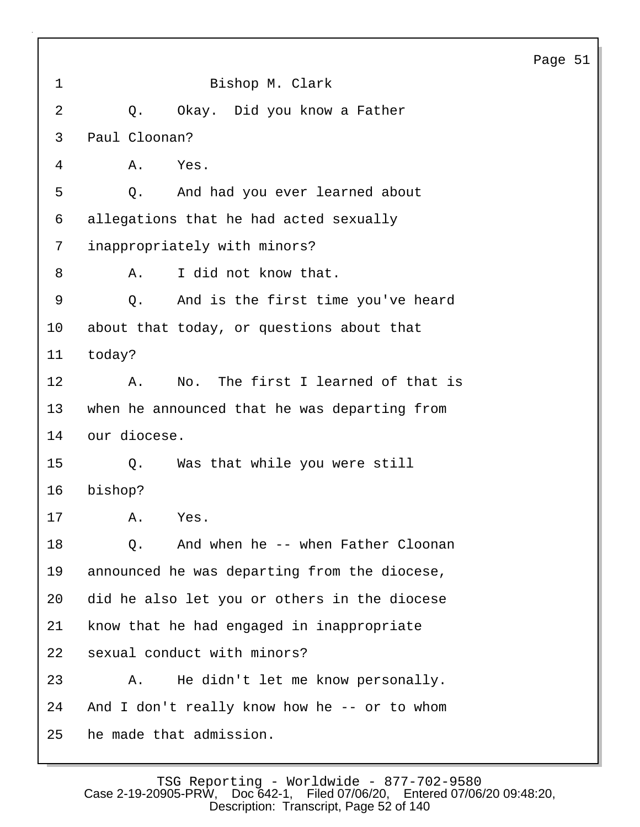|    |                                              | Pa |
|----|----------------------------------------------|----|
| 1  | Bishop M. Clark                              |    |
| 2  | Okay. Did you know a Father<br>Q.            |    |
| 3  | Paul Cloonan?                                |    |
| 4  | Α.<br>Yes.                                   |    |
| 5  | And had you ever learned about<br>Q.         |    |
| 6  | allegations that he had acted sexually       |    |
| 7  | inappropriately with minors?                 |    |
| 8  | I did not know that.<br>Α.                   |    |
| 9  | And is the first time you've heard<br>Q.     |    |
| 10 | about that today, or questions about that    |    |
| 11 | today?                                       |    |
| 12 | No. The first I learned of that is<br>Α.     |    |
| 13 | when he announced that he was departing from |    |
| 14 | our diocese.                                 |    |
| 15 | Was that while you were still<br>$Q$ .       |    |
| 16 | bishop?                                      |    |
| 17 | Yes.<br>Α.                                   |    |
| 18 | And when he -- when Father Cloonan<br>0.     |    |
| 19 | announced he was departing from the diocese, |    |
| 20 | did he also let you or others in the diocese |    |
| 21 | know that he had engaged in inappropriate    |    |
| 22 | sexual conduct with minors?                  |    |
| 23 | He didn't let me know personally.<br>Α.      |    |
| 24 | And I don't really know how he -- or to whom |    |
| 25 | he made that admission.                      |    |

**i**ge 51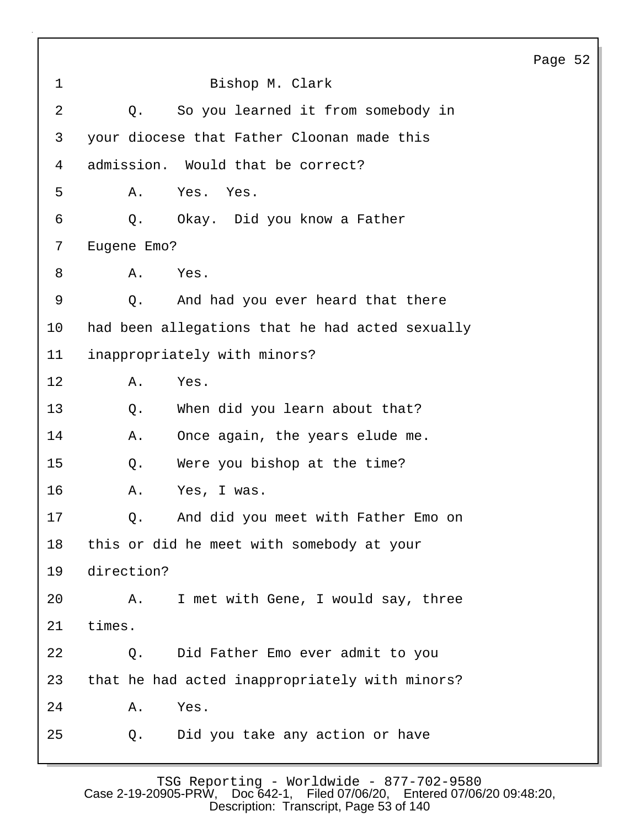Page 52 1 Bishop M. Clark 2 Q. So you learned it from somebody in 3 your diocese that Father Cloonan made this 4 admission. Would that be correct? 5 A. Yes. Yes. 6 Q. Okay. Did you know a Father 7 Eugene Emo? 8 A. Yes. 9 Q. And had you ever heard that there 10 had been allegations that he had acted sexually 11 inappropriately with minors? 12 A. Yes. 13 O. When did you learn about that? 14 A. Once again, the years elude me. 15 Q. Were you bishop at the time? 16 A. Yes, I was. 17 Q. And did you meet with Father Emo on 18 this or did he meet with somebody at your 19 direction? 20 A. I met with Gene, I would say, three 21 times. 22 Q. Did Father Emo ever admit to you 23 that he had acted inappropriately with minors? 24 A. Yes. 25 Q. Did you take any action or have

TSG Reporting - Worldwide - 877-702-9580 Case 2-19-20905-PRW, Doc 642-1, Filed 07/06/20, Entered 07/06/20 09:48:20, Description: Transcript, Page 53 of 140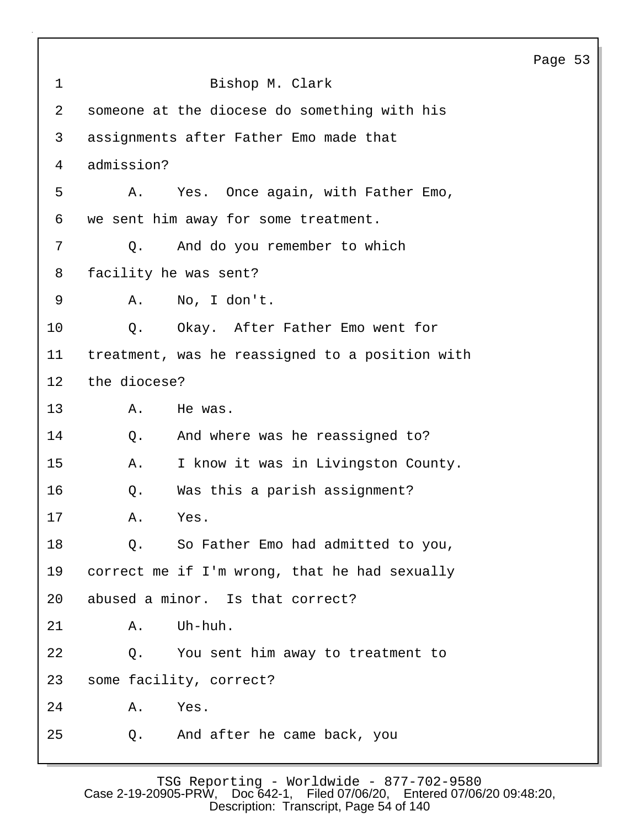|              |                                                 | Page 53 |  |
|--------------|-------------------------------------------------|---------|--|
| $\mathbf{1}$ | Bishop M. Clark                                 |         |  |
| 2            | someone at the diocese do something with his    |         |  |
| $\mathsf{3}$ | assignments after Father Emo made that          |         |  |
| 4            | admission?                                      |         |  |
| 5            | Α.<br>Yes. Once again, with Father Emo,         |         |  |
| 6            | we sent him away for some treatment.            |         |  |
| 7            | And do you remember to which<br>Q.              |         |  |
| 8            | facility he was sent?                           |         |  |
| 9            | No, I don't.<br>Α.                              |         |  |
| 10           | Okay. After Father Emo went for<br>Q.           |         |  |
| 11           | treatment, was he reassigned to a position with |         |  |
| 12           | the diocese?                                    |         |  |
| 13           | Α.<br>He was.                                   |         |  |
| 14           | And where was he reassigned to?<br>Q.           |         |  |
| 15           | I know it was in Livingston County.<br>Α.       |         |  |
| 16           | Was this a parish assignment?<br>Q.             |         |  |
| 17           | Yes<br>Α.                                       |         |  |
| 18           | So Father Emo had admitted to you,<br>Q.        |         |  |
| 19           | correct me if I'm wrong, that he had sexually   |         |  |
| 20           | abused a minor. Is that correct?                |         |  |
| 21           | Uh-huh.<br>Α.                                   |         |  |
| 22           | Q. You sent him away to treatment to            |         |  |
| 23           | some facility, correct?                         |         |  |
| 24           | Α.<br>Yes.                                      |         |  |
| 25           | And after he came back, you<br>Q.               |         |  |
|              |                                                 |         |  |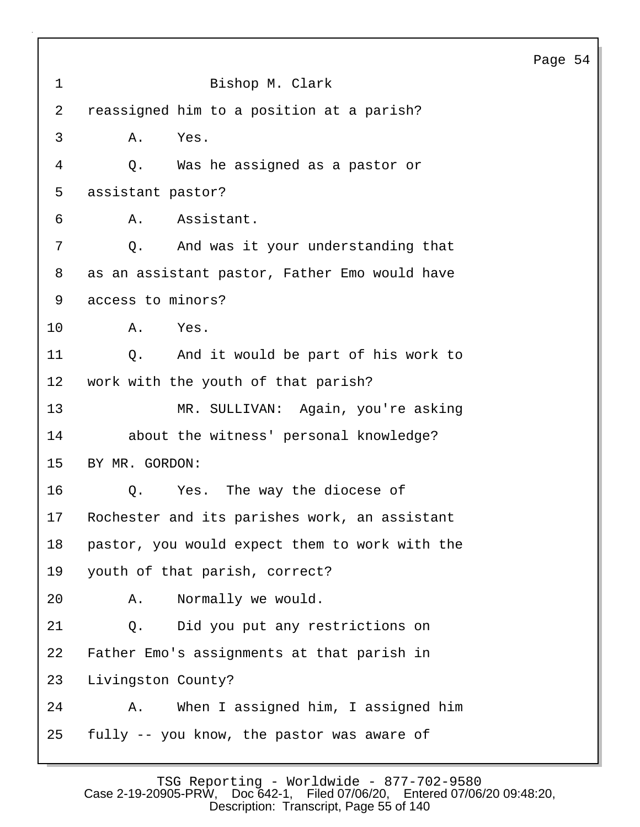| $\mathbf 1$     | Bishop M. Clark                                |
|-----------------|------------------------------------------------|
| $\overline{2}$  | reassigned him to a position at a parish?      |
| 3               | Yes.<br>Α.                                     |
| 4               | Was he assigned as a pastor or<br>Q.           |
| 5               | assistant pastor?                              |
| 6               | Assistant.<br>Α.                               |
| 7               | And was it your understanding that<br>Q.       |
| 8               | as an assistant pastor, Father Emo would have  |
| 9               | access to minors?                              |
| $10 \,$         | Α.<br>Yes.                                     |
| 11              | And it would be part of his work to<br>Q.      |
| 12              | work with the youth of that parish?            |
| 13              | MR. SULLIVAN: Again, you're asking             |
| 14              | about the witness' personal knowledge?         |
| 15 <sub>1</sub> | BY MR. GORDON:                                 |
| 16              | Yes. The way the diocese of<br>Q.              |
| 17              | Rochester and its parishes work, an assistant  |
| 18              | pastor, you would expect them to work with the |
| 19              | youth of that parish, correct?                 |
| 20              | Normally we would.<br>Α.                       |
| 21              | Did you put any restrictions on<br>Q.          |
| 22              | Father Emo's assignments at that parish in     |
| 23              | Livingston County?                             |
| 24              | When I assigned him, I assigned him<br>Α.      |
| 25              | fully -- you know, the pastor was aware of     |

TSG Reporting - Worldwide - 877-702-9580 Case 2-19-20905-PRW, Doc 642-1, Filed 07/06/20, Entered 07/06/20 09:48:20, Description: Transcript, Page 55 of 140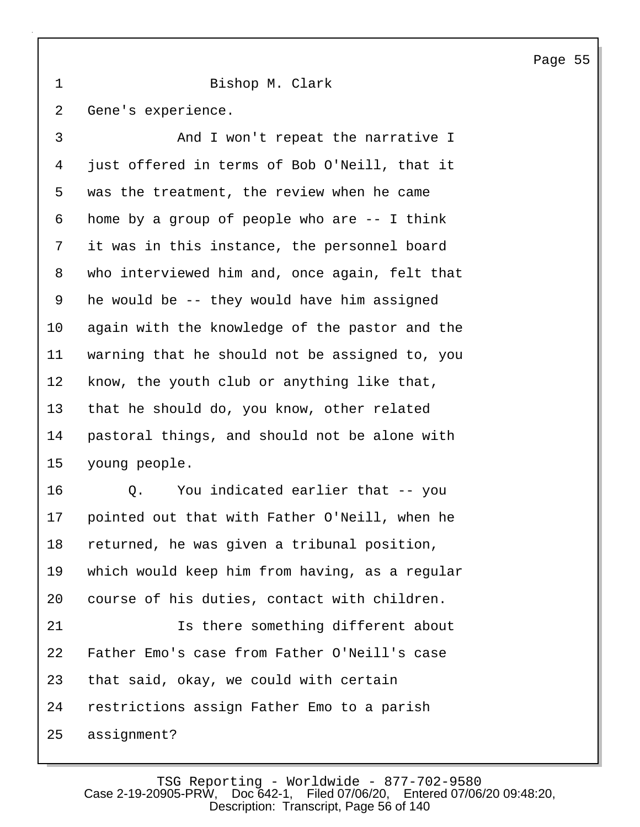1 Bishop M. Clark

2 Gene's experience.

3 And I won't repeat the narrative I 4 just offered in terms of Bob O'Neill, that it 5 was the treatment, the review when he came 6 home by a group of people who are -- I think 7 it was in this instance, the personnel board 8 who interviewed him and, once again, felt that 9 he would be -- they would have him assigned 10 again with the knowledge of the pastor and the 11 warning that he should not be assigned to, you 12 know, the youth club or anything like that, 13 that he should do, you know, other related 14 pastoral things, and should not be alone with 15 young people.

16 Q. You indicated earlier that -- you 17 pointed out that with Father O'Neill, when he 18 returned, he was given a tribunal position, 19 which would keep him from having, as a regular 20 course of his duties, contact with children. 21 Is there something different about

22 Father Emo's case from Father O'Neill's case 23 that said, okay, we could with certain 24 restrictions assign Father Emo to a parish 25 assignment?

TSG Reporting - Worldwide - 877-702-9580<br>Case 2-19-20905-PRW. Doc 642-1. Filed 07/06/20. Entered 07/06 Filed 07/06/20. Entered 07/06/20 09:48:20. Description: Transcript, Page 56 of 140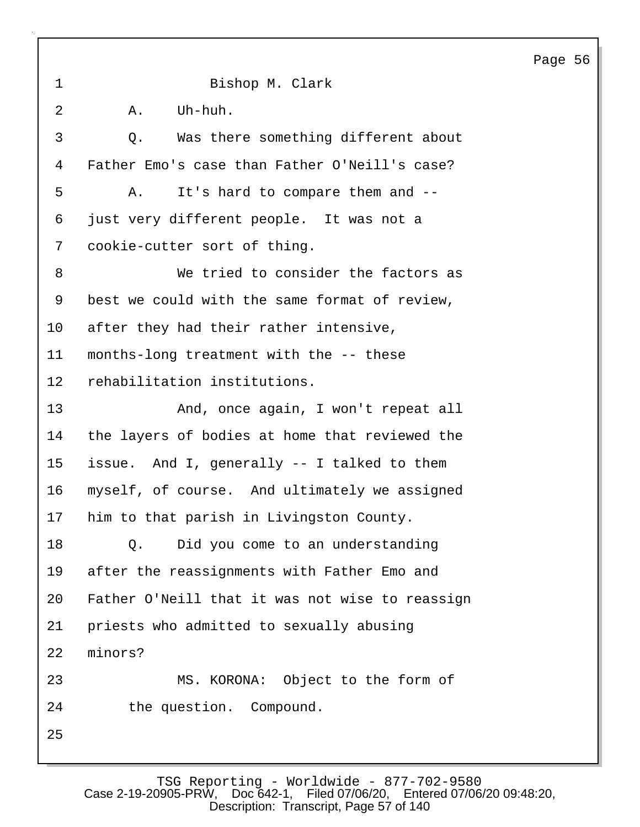| $\mathbf{1}$   | Bishop M. Clark                                 |
|----------------|-------------------------------------------------|
| $\overline{2}$ | Uh-huh.<br>Α.                                   |
| 3              | Was there something different about<br>Q.       |
| 4              | Father Emo's case than Father O'Neill's case?   |
| 5              | It's hard to compare them and --<br>Α.          |
| 6              | just very different people. It was not a        |
| 7              | cookie-cutter sort of thing.                    |
| 8              | We tried to consider the factors as             |
| 9              | best we could with the same format of review,   |
| 10             | after they had their rather intensive,          |
| 11             | months-long treatment with the -- these         |
| $12 \,$        | rehabilitation institutions.                    |
| 13             | And, once again, I won't repeat all             |
| 14             | the layers of bodies at home that reviewed the  |
| 15             | issue. And I, generally -- I talked to them     |
| 16             | myself, of course. And ultimately we assigned   |
| 17             | him to that parish in Livingston County.        |
| 18             | Did you come to an understanding<br>Q.          |
| 19             | after the reassignments with Father Emo and     |
| 20             | Father O'Neill that it was not wise to reassign |
| 21             | priests who admitted to sexually abusing        |
| 22             | minors?                                         |
| 23             | MS. KORONA: Object to the form of               |
| 24             | the question. Compound.                         |
| 25             |                                                 |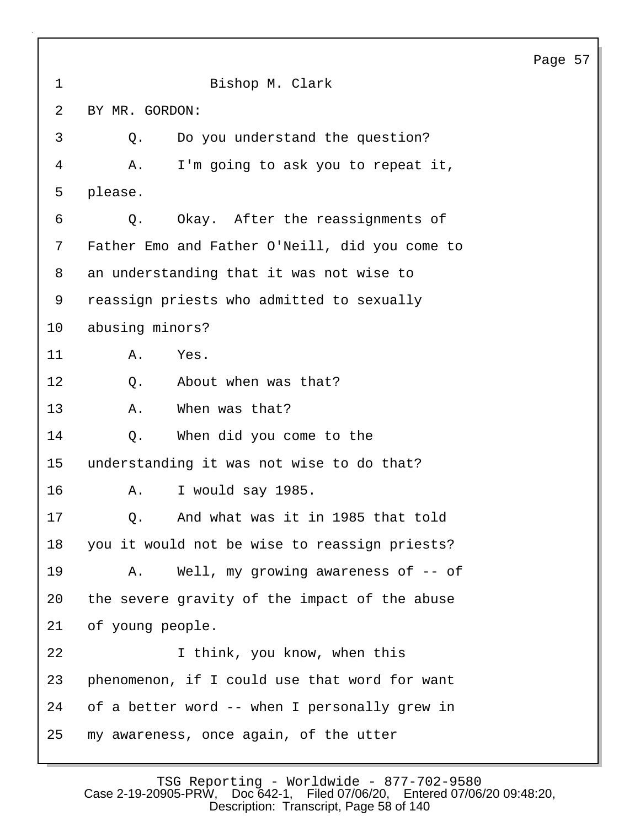1 Bishop M. Clark 2 BY MR. GORDON: 3 Q. Do you understand the question? 4 A. I'm going to ask you to repeat it, 5 please. 6 Q. Okay. After the reassignments of 7 Father Emo and Father O'Neill, did you come to 8 an understanding that it was not wise to 9 reassign priests who admitted to sexually 10 abusing minors? 11 A. Yes. 12 0. About when was that? 13 A. When was that? 14 Q. When did you come to the 15 understanding it was not wise to do that? 16 A. I would say 1985. 17 Q. And what was it in 1985 that told 18 you it would not be wise to reassign priests? 19 A. Well, my growing awareness of -- of 20 the severe gravity of the impact of the abuse 21 of young people. 22 I think, you know, when this 23 phenomenon, if I could use that word for want 24 of a better word -- when I personally grew in 25 my awareness, once again, of the utter

TSG Reporting - Worldwide - 877-702-9580<br>Case 2-19-20905-PRW, Doc 642-1, Filed 07/06/20, Entered 07/06 Filed 07/06/20, Entered 07/06/20 09:48:20, Description: Transcript, Page 58 of 140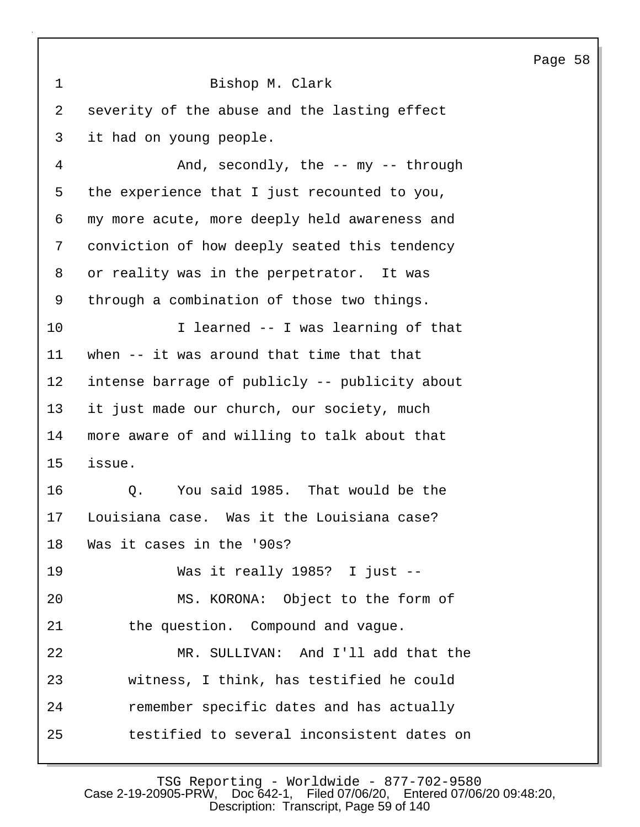|                |                                                | Page 58 |  |
|----------------|------------------------------------------------|---------|--|
| $\mathbf 1$    | Bishop M. Clark                                |         |  |
| 2              | severity of the abuse and the lasting effect   |         |  |
| 3              | it had on young people.                        |         |  |
| $\overline{4}$ | And, $secondary$ , the -- my -- through        |         |  |
| 5              | the experience that I just recounted to you,   |         |  |
| 6              | my more acute, more deeply held awareness and  |         |  |
| 7              | conviction of how deeply seated this tendency  |         |  |
| 8              | or reality was in the perpetrator. It was      |         |  |
| 9              | through a combination of those two things.     |         |  |
| 10             | I learned -- I was learning of that            |         |  |
| 11             | when -- it was around that time that that      |         |  |
| 12             | intense barrage of publicly -- publicity about |         |  |
| 13             | it just made our church, our society, much     |         |  |
| 14             | more aware of and willing to talk about that   |         |  |
| 15             | issue.                                         |         |  |
| 16             | You said 1985. That would be the<br>Q.         |         |  |
| 17             | Louisiana case. Was it the Louisiana case?     |         |  |
| 18             | Was it cases in the '90s?                      |         |  |
| 19             | Was it really 1985? I just --                  |         |  |
| 20             | MS. KORONA: Object to the form of              |         |  |
| 21             | the question. Compound and vague.              |         |  |
| 22             | MR. SULLIVAN: And I'll add that the            |         |  |
| 23             | witness, I think, has testified he could       |         |  |
| 24             | remember specific dates and has actually       |         |  |
| 25             | testified to several inconsistent dates on     |         |  |

 $\mathbf{I}$ 

TSG Reporting - Worldwide - 877-702-9580 Case 2-19-20905-PRW, Doc 642-1, Filed 07/06/20, Entered 07/06/20 09:48:20, Description: Transcript, Page 59 of 140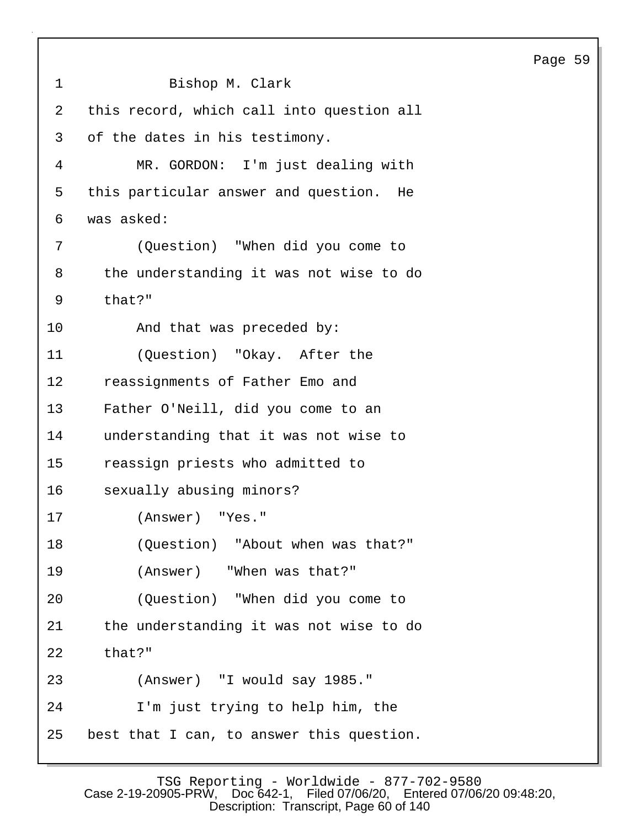1 Bishop M. Clark 2 this record, which call into question all 3 of the dates in his testimony. 4 MR. GORDON: I'm just dealing with 5 this particular answer and question. He 6 was asked: 7 (Question) "When did you come to 8 the understanding it was not wise to do 9 that?" 10 And that was preceded by: 11 (Question) "Okay. After the 12 reassignments of Father Emo and 13 Father O'Neill, did you come to an 14 understanding that it was not wise to 15 reassign priests who admitted to 16 sexually abusing minors? 17 (Answer) "Yes." 18 (Question) "About when was that?" 19 (Answer) "When was that?" 20 (Question) "When did you come to 21 the understanding it was not wise to do 22 that?" 23 (Answer) "I would say 1985." 24 I'm just trying to help him, the 25 best that I can, to answer this question.

Page 59

TSG Reporting - Worldwide - 877-702-9580<br>Case 2-19-20905-PRW, Doc 642-1, Filed 07/06/20, Entered 07/06 Filed 07/06/20, Entered 07/06/20 09:48:20, Description: Transcript, Page 60 of 140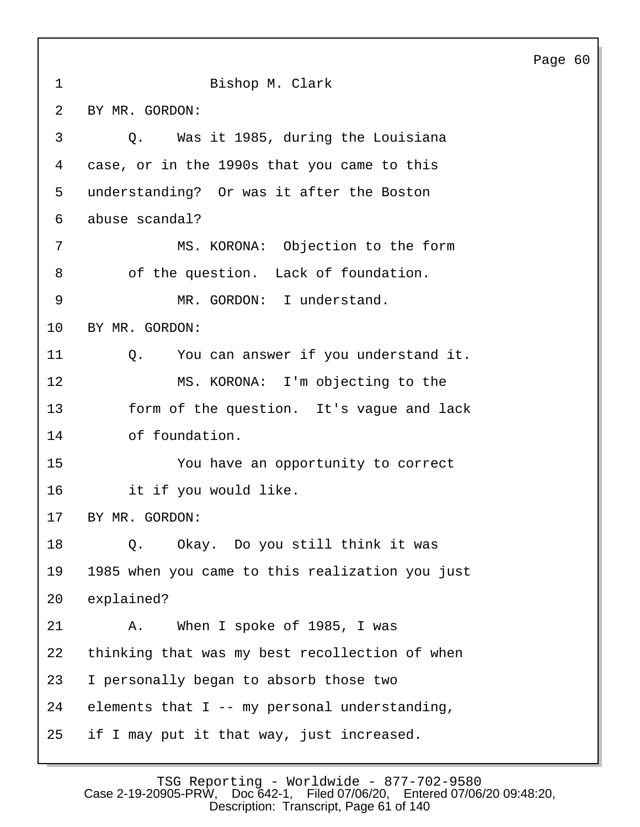Page 60 1 Bishop M. Clark 2 BY MR. GORDON: 3 Q. Was it 1985, during the Louisiana 4 case, or in the 1990s that you came to this 5 understanding? Or was it after the Boston 6 abuse scandal? 7 MS. KORONA: Objection to the form 8 of the question. Lack of foundation. 9 MR. GORDON: I understand. 10 BY MR. GORDON: 11 Q. You can answer if you understand it. 12 MS. KORONA: I'm objecting to the 13 form of the question. It's vague and lack 14 of foundation. 15 You have an opportunity to correct 16 it if you would like. 17 BY MR. GORDON: 18 Q. Okay. Do you still think it was 19 1985 when you came to this realization you just 20 explained? 21 A. When I spoke of 1985, I was 22 thinking that was my best recollection of when 23 I personally began to absorb those two 24 elements that I -- my personal understanding, 25 if I may put it that way, just increased.

TSG Reporting - Worldwide - 877-702-9580 Case 2-19-20905-PRW, Doc 642-1, Filed 07/06/20, Entered 07/06/20 09:48:20, Description: Transcript, Page 61 of 140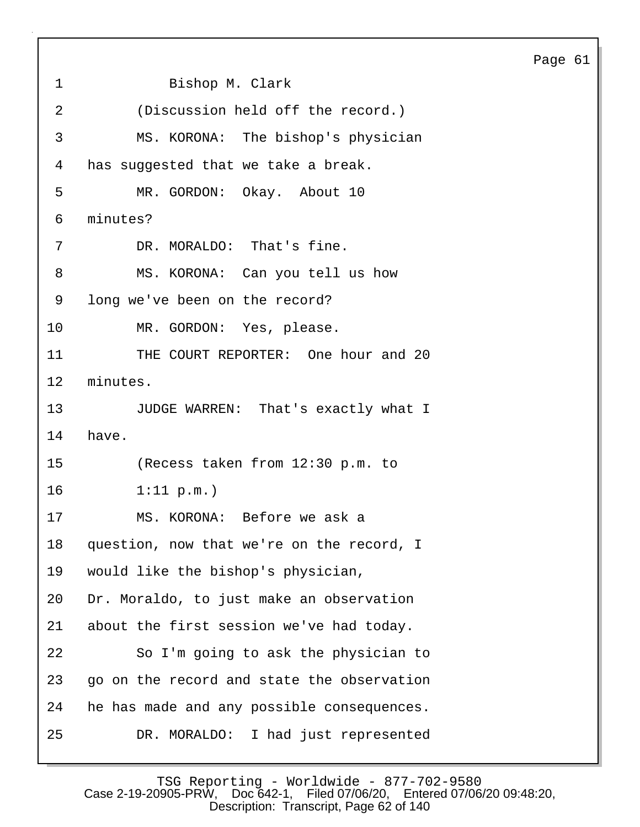1 Bishop M. Clark 2 (Discussion held off the record.) 3 MS. KORONA: The bishop's physician 4 has suggested that we take a break. 5 MR. GORDON: Okay. About 10 6 minutes? 7 DR. MORALDO: That's fine. 8 MS. KORONA: Can you tell us how 9 long we've been on the record? 10 MR. GORDON: Yes, please. 11 THE COURT REPORTER: One hour and 20 12 minutes. 13 JUDGE WARREN: That's exactly what I 14 have. 15 (Recess taken from 12:30 p.m. to 16 1:11 p.m.) 17 MS. KORONA: Before we ask a 18 question, now that we're on the record, I 19 would like the bishop's physician, 20 Dr. Moraldo, to just make an observation 21 about the first session we've had today. 22 So I'm going to ask the physician to 23 go on the record and state the observation 24 he has made and any possible consequences. 25 DR. MORALDO: I had just represented Page 61

TSG Reporting - Worldwide - 877-702-9580<br>Case 2-19-20905-PRW, Doc 642-1, Filed 07/06/20, Entered 07/06 Filed 07/06/20, Entered 07/06/20 09:48:20, Description: Transcript, Page 62 of 140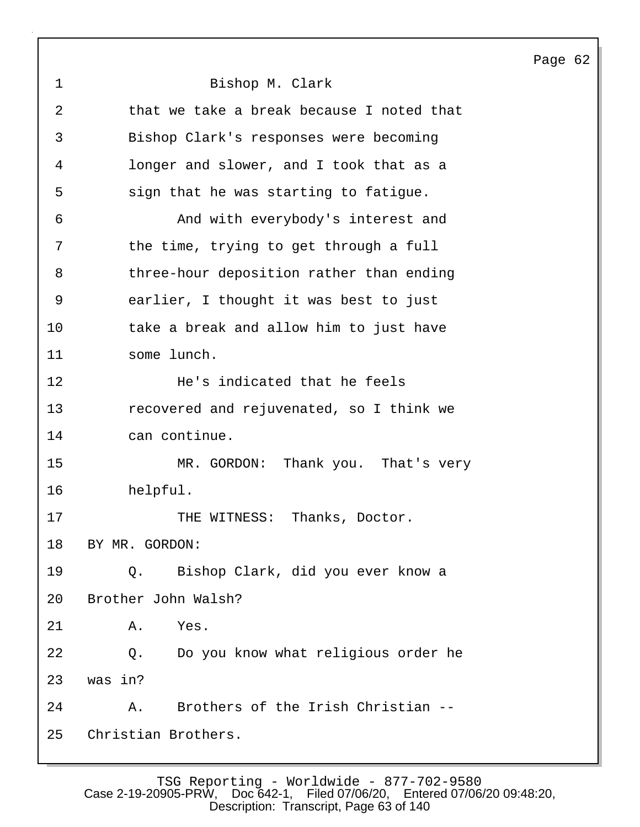Page 62 1 Bishop M. Clark 2 that we take a break because I noted that 3 Bishop Clark's responses were becoming 4 longer and slower, and I took that as a 5 sign that he was starting to fatigue. 6 And with everybody's interest and 7 the time, trying to get through a full 8 three-hour deposition rather than ending 9 earlier, I thought it was best to just 10 take a break and allow him to just have 11 some lunch. 12 He's indicated that he feels 13 recovered and rejuvenated, so I think we 14 can continue. 15 MR. GORDON: Thank you. That's very 16 helpful. 17 THE WITNESS: Thanks, Doctor. 18 BY MR. GORDON: 19 Q. Bishop Clark, did you ever know a 20 Brother John Walsh? 21 A. Yes. 22 Q. Do you know what religious order he 23 was in? 24 A. Brothers of the Irish Christian -- 25 Christian Brothers.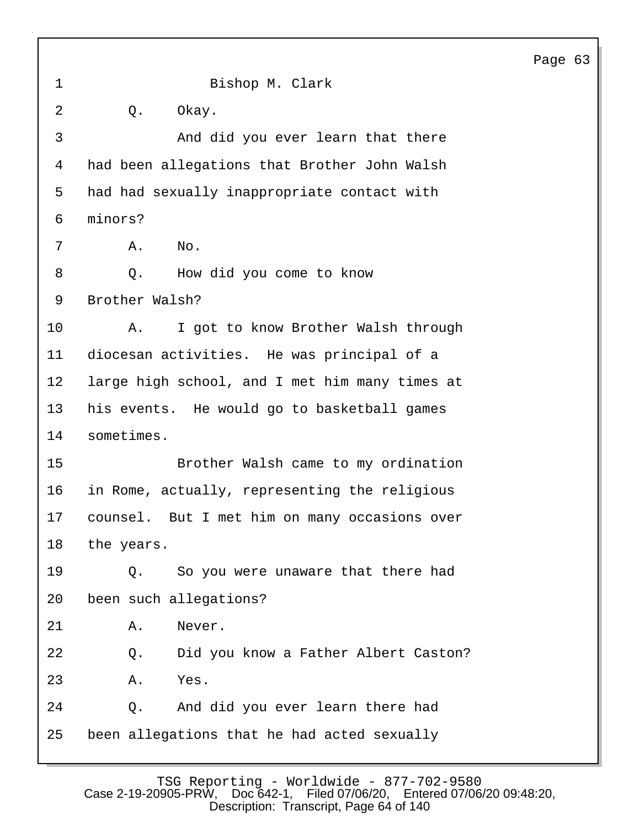1 Bishop M. Clark 2 Q. Okay. 3 And did you ever learn that there 4 had been allegations that Brother John Walsh 5 had had sexually inappropriate contact with 6 minors? 7 A. No. 8 Q. How did you come to know 9 Brother Walsh? 10 A. I got to know Brother Walsh through 11 diocesan activities. He was principal of a 12 large high school, and I met him many times at 13 his events. He would go to basketball games 14 sometimes. 15 Brother Walsh came to my ordination 16 in Rome, actually, representing the religious 17 counsel. But I met him on many occasions over 18 the years. 19 Q. So you were unaware that there had 20 been such allegations? 21 A. Never. 22 Q. Did you know a Father Albert Caston? 23 A. Yes. 24 Q. And did you ever learn there had 25 been allegations that he had acted sexually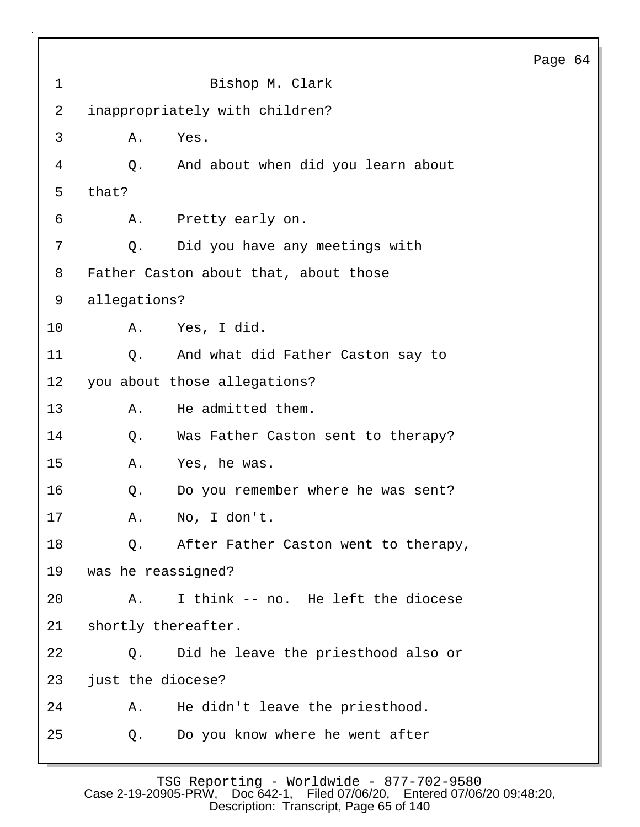| $\mathbf 1$ | Bishop M. Clark                            |  |  |
|-------------|--------------------------------------------|--|--|
| 2           | inappropriately with children?             |  |  |
| 3           | Yes.<br>Α.                                 |  |  |
| 4           | Q.<br>And about when did you learn about   |  |  |
| 5           | that?                                      |  |  |
| 6           | A.<br>Pretty early on.                     |  |  |
| 7           | Did you have any meetings with<br>Q.       |  |  |
| 8           | Father Caston about that, about those      |  |  |
| 9           | allegations?                               |  |  |
| 10          | Yes, I did.<br>Α.                          |  |  |
| 11          | And what did Father Caston say to<br>$Q$ . |  |  |
| 12          | you about those allegations?               |  |  |
| 13          | He admitted them.<br>Α.                    |  |  |
| 14          | Was Father Caston sent to therapy?<br>Q.   |  |  |
| 15          | Yes, he was.<br>Α.                         |  |  |
| 16          | Q.<br>Do you remember where he was sent?   |  |  |
| 17          | Α.<br>No, I don't.                         |  |  |
| 18          | Q. After Father Caston went to therapy,    |  |  |
| 19          | was he reassigned?                         |  |  |
| 20          | I think -- no. He left the diocese<br>Α.   |  |  |
| 21          | shortly thereafter.                        |  |  |
| 22          | Did he leave the priesthood also or<br>Q.  |  |  |
| 23          | just the diocese?                          |  |  |
| 24          | He didn't leave the priesthood.<br>Α.      |  |  |
| 25          | Do you know where he went after<br>Q.      |  |  |
|             |                                            |  |  |

TSG Reporting - Worldwide - 877-702-9580 Case 2-19-20905-PRW, Doc 642-1, Filed 07/06/20, Entered 07/06/20 09:48:20, Description: Transcript, Page 65 of 140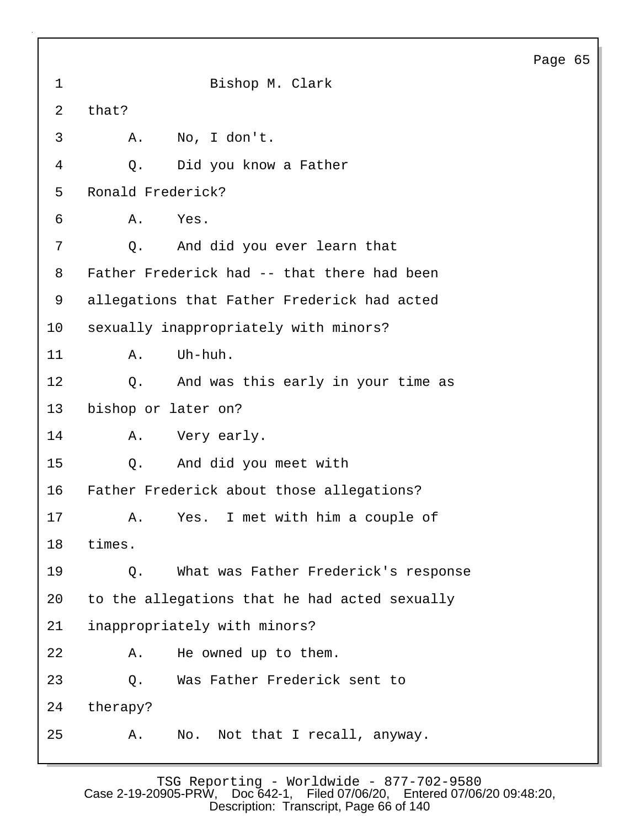1 Bishop M. Clark 4 Q. Did you know a Father 7 Q. And did you ever learn that

Page 65

8 Father Frederick had -- that there had been 9 allegations that Father Frederick had acted 10 sexually inappropriately with minors? 11 A. Uh-huh. 12 Q. And was this early in your time as 13 bishop or later on? 14 A. Very early. 15 Q. And did you meet with 16 Father Frederick about those allegations? 17 A. Yes. I met with him a couple of 18 times. 19 Q. What was Father Frederick's response 20 to the allegations that he had acted sexually 21 inappropriately with minors? 22 A. He owned up to them. 23 Q. Was Father Frederick sent to 24 therapy? 25 A. No. Not that I recall, anyway.

2 that?

3 A. No, I don't.

5 Ronald Frederick?

6 A. Yes.

TSG Reporting - Worldwide - 877-702-9580 Case 2-19-20905-PRW, Doc 642-1, Filed 07/06/20, Entered 07/06/20 09:48:20, Description: Transcript, Page 66 of 140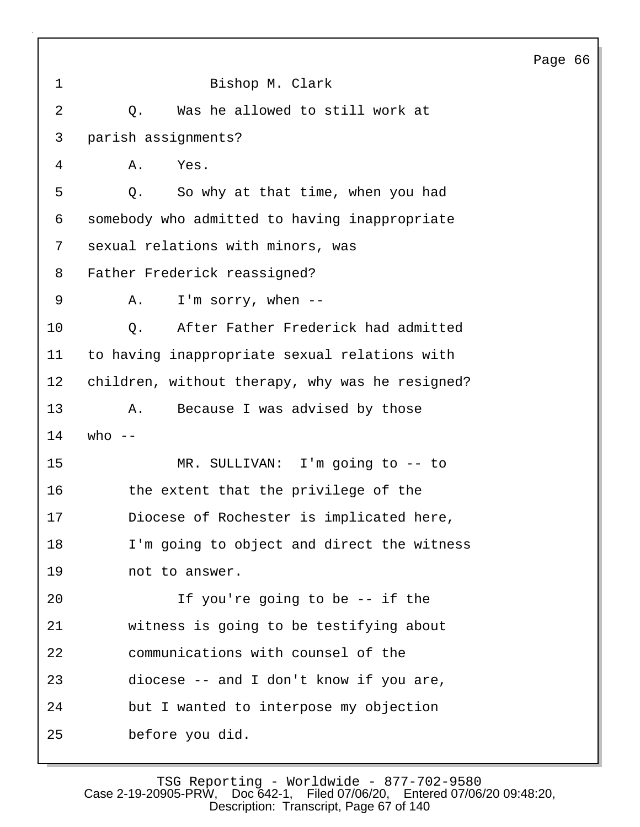|              |                                                 | Page 66 |  |
|--------------|-------------------------------------------------|---------|--|
| $\mathbf{1}$ | Bishop M. Clark                                 |         |  |
| 2            | Was he allowed to still work at<br>Q.           |         |  |
| 3            | parish assignments?                             |         |  |
| 4            | Yes.<br>Α.                                      |         |  |
| 5            | So why at that time, when you had<br>Q.         |         |  |
| 6            | somebody who admitted to having inappropriate   |         |  |
| 7            | sexual relations with minors, was               |         |  |
| 8            | Father Frederick reassigned?                    |         |  |
| 9            | I'm sorry, when $--$<br>Α.                      |         |  |
| 10           | After Father Frederick had admitted<br>Q.       |         |  |
| 11           | to having inappropriate sexual relations with   |         |  |
| 12           | children, without therapy, why was he resigned? |         |  |
| 13           | Because I was advised by those<br>Α.            |         |  |
| 14           | who $--$                                        |         |  |
| 15           | MR. SULLIVAN: I'm going to -- to                |         |  |
| 16           | the extent that the privilege of the            |         |  |
| 17           | Diocese of Rochester is implicated here,        |         |  |
| 18           | I'm going to object and direct the witness      |         |  |
| 19           | not to answer.                                  |         |  |
| 20           | If you're going to be -- if the                 |         |  |
| 21           | witness is going to be testifying about         |         |  |
| 22           | communications with counsel of the              |         |  |
| 23           | diocese -- and I don't know if you are,         |         |  |
| 24           | but I wanted to interpose my objection          |         |  |
| 25           | before you did.                                 |         |  |

 $\sqrt{ }$ 

TSG Reporting - Worldwide - 877-702-9580 Case 2-19-20905-PRW, Doc 642-1, Filed 07/06/20, Entered 07/06/20 09:48:20, Description: Transcript, Page 67 of 140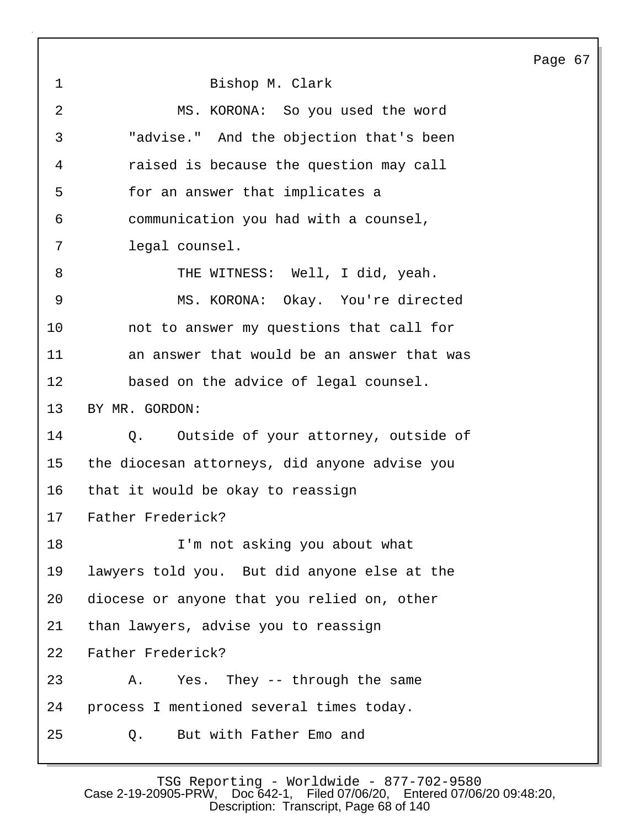| $\mathbf 1$ | Bishop M. Clark                               |
|-------------|-----------------------------------------------|
| 2           | MS. KORONA: So you used the word              |
| 3           | "advise." And the objection that's been       |
| 4           | raised is because the question may call       |
| 5           | for an answer that implicates a               |
| 6           | communication you had with a counsel,         |
| 7           | legal counsel.                                |
| 8           | THE WITNESS: Well, I did, yeah.               |
| $\mathsf 9$ | MS. KORONA: Okay. You're directed             |
| 10          | not to answer my questions that call for      |
| 11          | an answer that would be an answer that was    |
| 12          | based on the advice of legal counsel.         |
| 13          | BY MR. GORDON:                                |
| 14          | Q. Outside of your attorney, outside of       |
| 15          | the diocesan attorneys, did anyone advise you |
| 16          | that it would be okay to reassign             |
| 17          | Father Frederick?                             |
| 18          | I'm not asking you about what                 |
| 19          | lawyers told you. But did anyone else at the  |
| 20          | diocese or anyone that you relied on, other   |
| 21          | than lawyers, advise you to reassign          |
| 22          | Father Frederick?                             |
| 23          | Yes. They -- through the same<br>Α.           |
| 24          | process I mentioned several times today.      |
| 25          | But with Father Emo and<br>Q.                 |

TSG Reporting - Worldwide - 877-702-9580 Case 2-19-20905-PRW, Doc 642-1, Filed 07/06/20, Entered 07/06/20 09:48:20, Description: Transcript, Page 68 of 140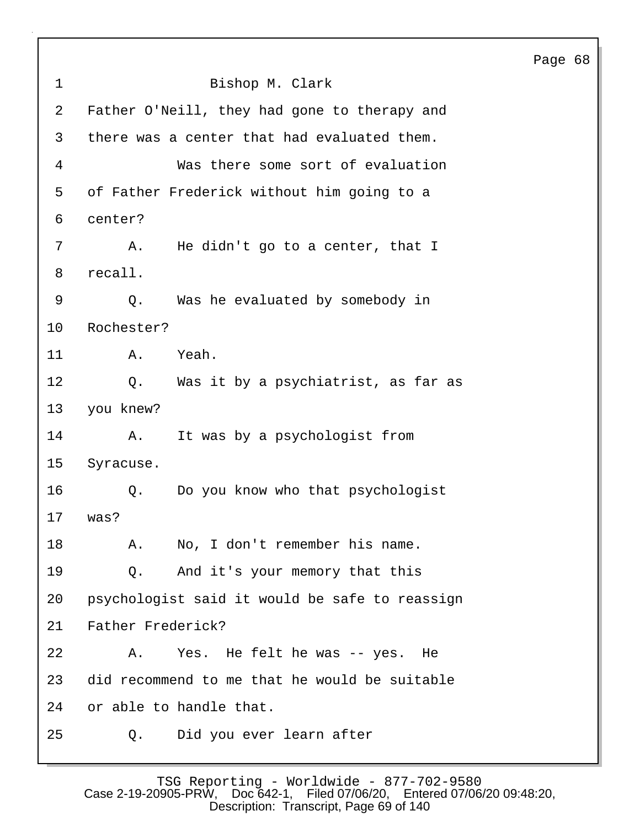Page 68 1 Bishop M. Clark 2 Father O'Neill, they had gone to therapy and 3 there was a center that had evaluated them. 4 Was there some sort of evaluation 5 of Father Frederick without him going to a 6 center? 7 A. He didn't go to a center, that I 8 recall. 9 Q. Was he evaluated by somebody in 10 Rochester? 11 A. Yeah. 12 Q. Was it by a psychiatrist, as far as 13 you knew? 14 A. It was by a psychologist from 15 Syracuse. 16 Q. Do you know who that psychologist 17 was? 18 A. No, I don't remember his name. 19 Q. And it's your memory that this 20 psychologist said it would be safe to reassign 21 Father Frederick? 22 A. Yes. He felt he was -- yes. He 23 did recommend to me that he would be suitable 24 or able to handle that. 25 Q. Did you ever learn after

TSG Reporting - Worldwide - 877-702-9580 Case 2-19-20905-PRW, Doc 642-1, Filed 07/06/20, Entered 07/06/20 09:48:20, Description: Transcript, Page 69 of 140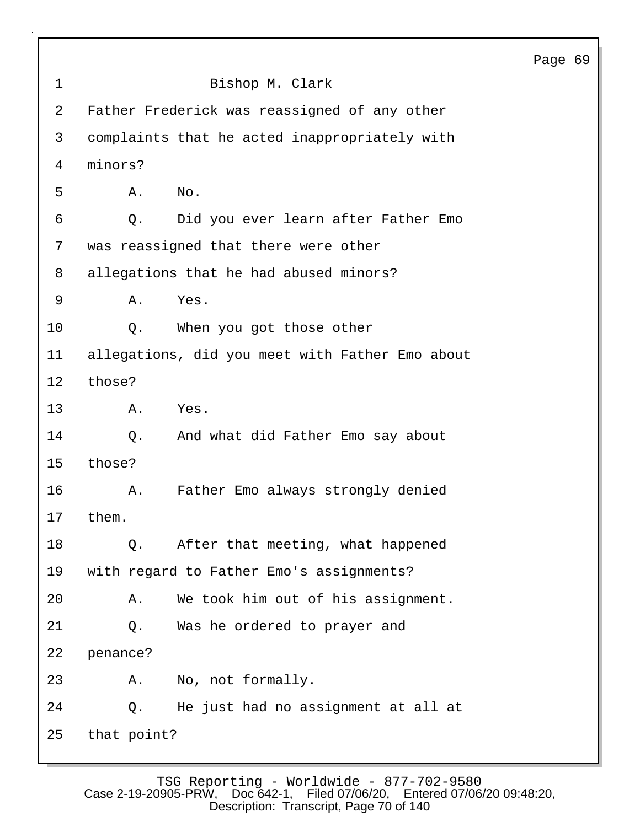|             |                                                 | Page 69 |
|-------------|-------------------------------------------------|---------|
| $\mathbf 1$ | Bishop M. Clark                                 |         |
| 2           | Father Frederick was reassigned of any other    |         |
| 3           | complaints that he acted inappropriately with   |         |
| 4           | minors?                                         |         |
| 5           | No.<br>Α.                                       |         |
| 6           | Did you ever learn after Father Emo<br>Q.       |         |
| 7           | was reassigned that there were other            |         |
| 8           | allegations that he had abused minors?          |         |
| 9           | Yes.<br>Α.                                      |         |
| 10          | When you got those other<br>Q.                  |         |
| 11          | allegations, did you meet with Father Emo about |         |
| 12          | those?                                          |         |
| 13          | Yes.<br>Α.                                      |         |
| 14          | And what did Father Emo say about<br>Q.         |         |
| 15          | those?                                          |         |
| 16          | Father Emo always strongly denied<br>Α.         |         |
| 17          | them                                            |         |
| 18          | After that meeting, what happened<br>Q.         |         |
| 19          | with regard to Father Emo's assignments?        |         |
| 20          | We took him out of his assignment.<br>Α.        |         |
| 21          | Was he ordered to prayer and<br>Q.              |         |
| 22          | penance?                                        |         |
| 23          | No, not formally.<br>Α.                         |         |
| 24          | He just had no assignment at all at<br>Q.       |         |
| 25          | that point?                                     |         |

 $\mathbf{I}$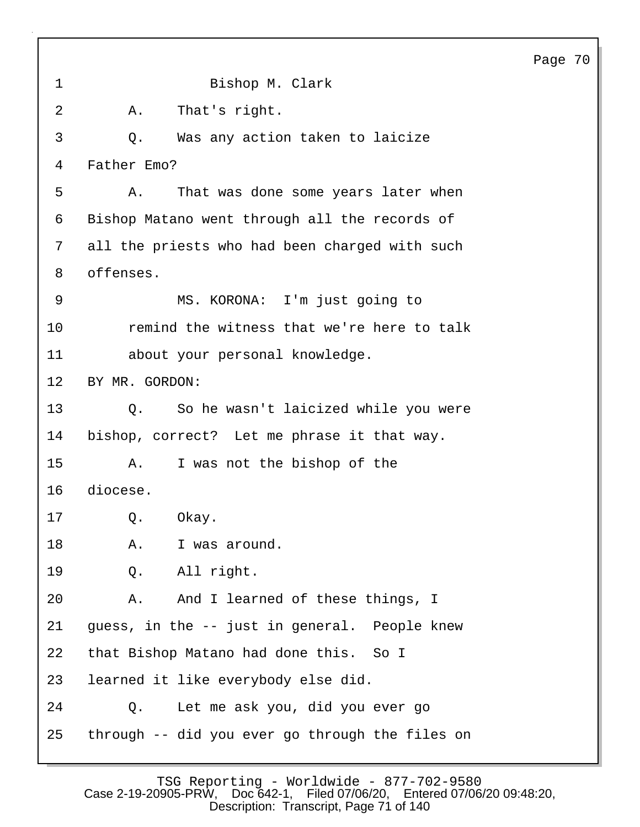1 Bishop M. Clark 2 A. That's right. 3 Q. Was any action taken to laicize 4 Father Emo? 5 A. That was done some years later when 6 Bishop Matano went through all the records of 7 all the priests who had been charged with such 8 offenses. 9 MS. KORONA: I'm just going to 10 remind the witness that we're here to talk 11 about your personal knowledge. 12 BY MR. GORDON: 13 Q. So he wasn't laicized while you were 14 bishop, correct? Let me phrase it that way. 15 A. I was not the bishop of the 16 diocese. 17 Q. Okay. 18 A. I was around. 19 Q. All right. 20 A. And I learned of these things, I 21 guess, in the -- just in general. People knew 22 that Bishop Matano had done this. So I 23 learned it like everybody else did. 24 Q. Let me ask you, did you ever go 25 through -- did you ever go through the files on

TSG Reporting - Worldwide - 877-702-9580<br>Case 2-19-20905-PRW, Doc 642-1, Filed 07/06/20, Entered 07/06 Filed 07/06/20, Entered 07/06/20 09:48:20, Description: Transcript, Page 71 of 140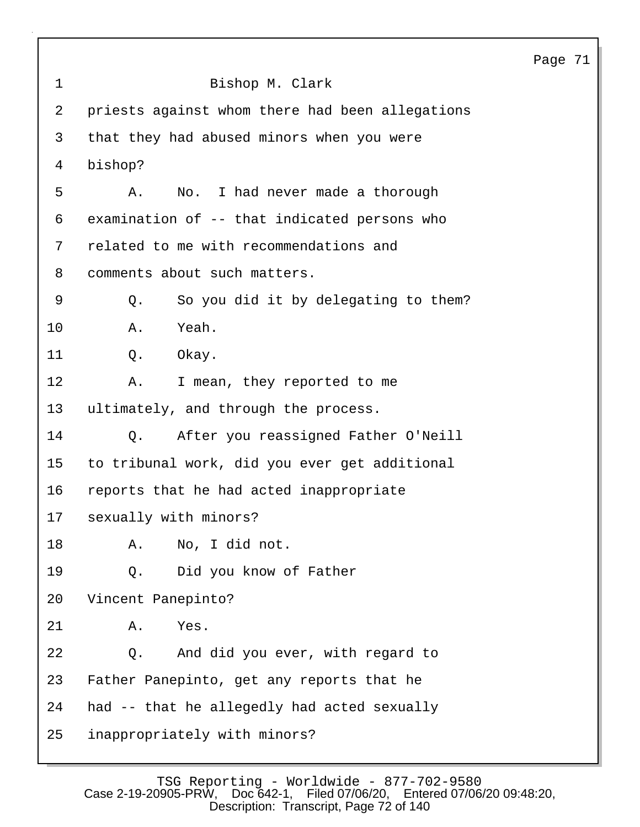|             |                                                 | Page |
|-------------|-------------------------------------------------|------|
| $\mathbf 1$ | Bishop M. Clark                                 |      |
| 2           | priests against whom there had been allegations |      |
| 3           | that they had abused minors when you were       |      |
| 4           | bishop?                                         |      |
| 5           | No. I had never made a thorough<br>Α.           |      |
| 6           | examination of -- that indicated persons who    |      |
| 7           | related to me with recommendations and          |      |
| 8           | comments about such matters.                    |      |
| 9           | So you did it by delegating to them?<br>Q.      |      |
| 10          | Yeah.<br>Α.                                     |      |
| 11          | Q.<br>Okay.                                     |      |
| 12          | I mean, they reported to me<br>Α.               |      |
| 13          | ultimately, and through the process.            |      |
| 14          | After you reassigned Father O'Neill<br>$Q$ .    |      |
| 15          | to tribunal work, did you ever get additional   |      |
| 16          | reports that he had acted inappropriate         |      |
| 17          | sexually with minors?                           |      |
| 18          | No, I did not.<br>Α.                            |      |
| 19          | Did you know of Father<br>Q.                    |      |
| 20          | Vincent Panepinto?                              |      |
| 21          | Yes.<br>Α.                                      |      |
| 22          | And did you ever, with regard to<br>Q.          |      |
| 23          | Father Panepinto, get any reports that he       |      |
| 24          | had -- that he allegedly had acted sexually     |      |
| 25          | inappropriately with minors?                    |      |

71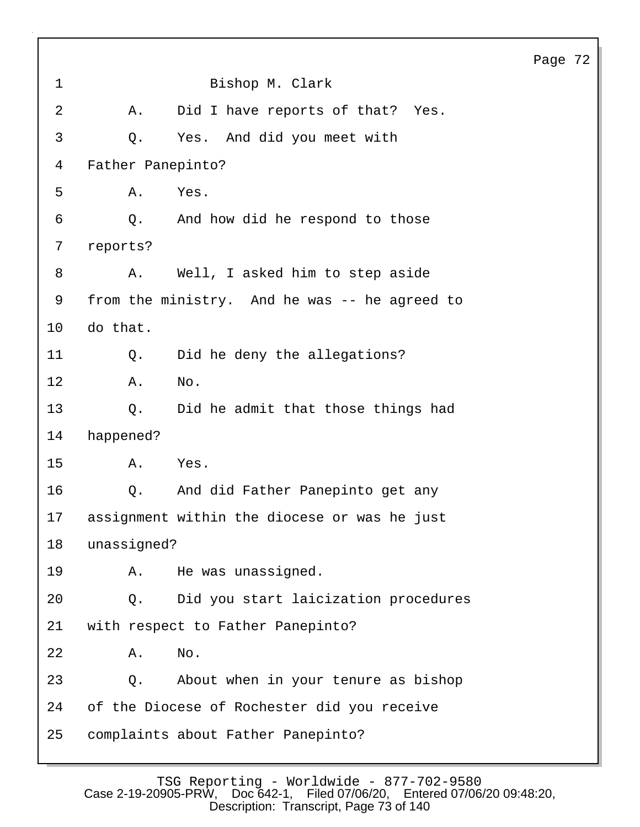1 Bishop M. Clark 2 A. Did I have reports of that? Yes. 3 Q. Yes. And did you meet with 4 Father Panepinto? 5 A. Yes. 6 Q. And how did he respond to those 7 reports? 8 A. Well, I asked him to step aside 9 from the ministry. And he was -- he agreed to 10 do that. 11 Q. Did he deny the allegations? 12 A. No. 13 Q. Did he admit that those things had 14 happened? 15 A. Yes. 16 Q. And did Father Panepinto get any 17 assignment within the diocese or was he just 18 unassigned? 19 A. He was unassigned. 20 Q. Did you start laicization procedures 21 with respect to Father Panepinto? 22 A. No. 23 Q. About when in your tenure as bishop 24 of the Diocese of Rochester did you receive 25 complaints about Father Panepinto?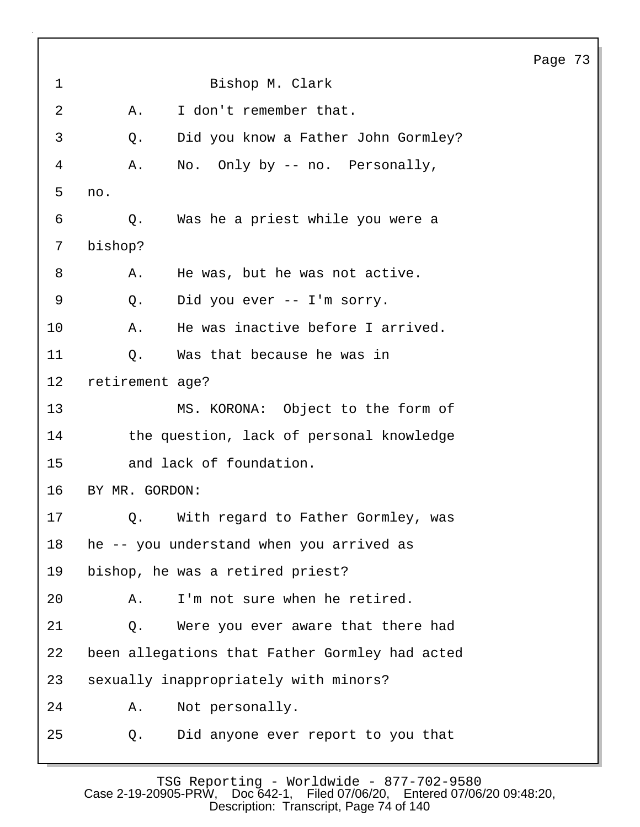1 Bishop M. Clark 2 A. I don't remember that. 3 Q. Did you know a Father John Gormley? 4 A. No. Only by -- no. Personally, 5 no. 6 Q. Was he a priest while you were a 7 bishop? 8 A. He was, but he was not active. 9 Q. Did you ever -- I'm sorry. 10 A. He was inactive before I arrived. 11 0. Was that because he was in 12 retirement age? 13 MS. KORONA: Object to the form of 14 the question, lack of personal knowledge 15 and lack of foundation. 16 BY MR. GORDON: 17 6. With regard to Father Gormley, was 18 he -- you understand when you arrived as 19 bishop, he was a retired priest? 20 A. I'm not sure when he retired. 21 Q. Were you ever aware that there had 22 been allegations that Father Gormley had acted 23 sexually inappropriately with minors? 24 A. Not personally. 25 Q. Did anyone ever report to you that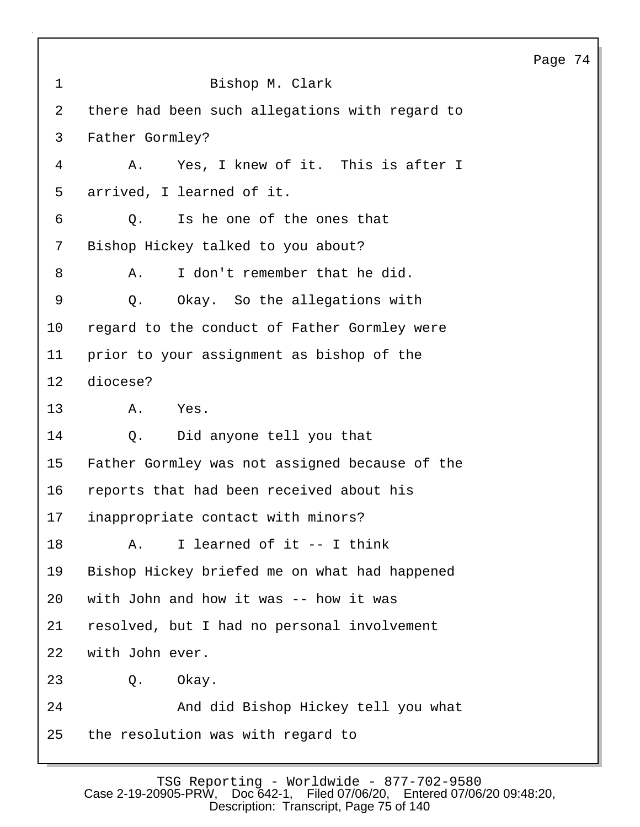|                   |                                                | Page 74 |  |
|-------------------|------------------------------------------------|---------|--|
| $\mathbf{1}$      | Bishop M. Clark                                |         |  |
| $\overline{a}$    | there had been such allegations with regard to |         |  |
| 3                 | Father Gormley?                                |         |  |
| 4                 | Yes, I knew of it. This is after I<br>Α.       |         |  |
| 5                 | arrived, I learned of it.                      |         |  |
| 6                 | Is he one of the ones that<br>Q.               |         |  |
| 7                 | Bishop Hickey talked to you about?             |         |  |
| 8                 | I don't remember that he did.<br>Α.            |         |  |
| $\mathsf 9$       | Okay. So the allegations with<br>Q.            |         |  |
| 10                | regard to the conduct of Father Gormley were   |         |  |
| 11                | prior to your assignment as bishop of the      |         |  |
| $12 \overline{ }$ | diocese?                                       |         |  |
| 13                | Α.<br>Yes.                                     |         |  |
| 14                | Did anyone tell you that<br>$Q_{\star}$        |         |  |
| 15                | Father Gormley was not assigned because of the |         |  |
| 16                | reports that had been received about his       |         |  |
| 17                | inappropriate contact with minors?             |         |  |
| 18                | I learned of it -- I think<br>Α.               |         |  |
| 19                | Bishop Hickey briefed me on what had happened  |         |  |
| 20                | with John and how it was -- how it was         |         |  |
| 21                | resolved, but I had no personal involvement    |         |  |
| 22                | with John ever.                                |         |  |
| 23                | Q.<br>Okay.                                    |         |  |
| 24                | And did Bishop Hickey tell you what            |         |  |
| 25                | the resolution was with regard to              |         |  |
|                   |                                                |         |  |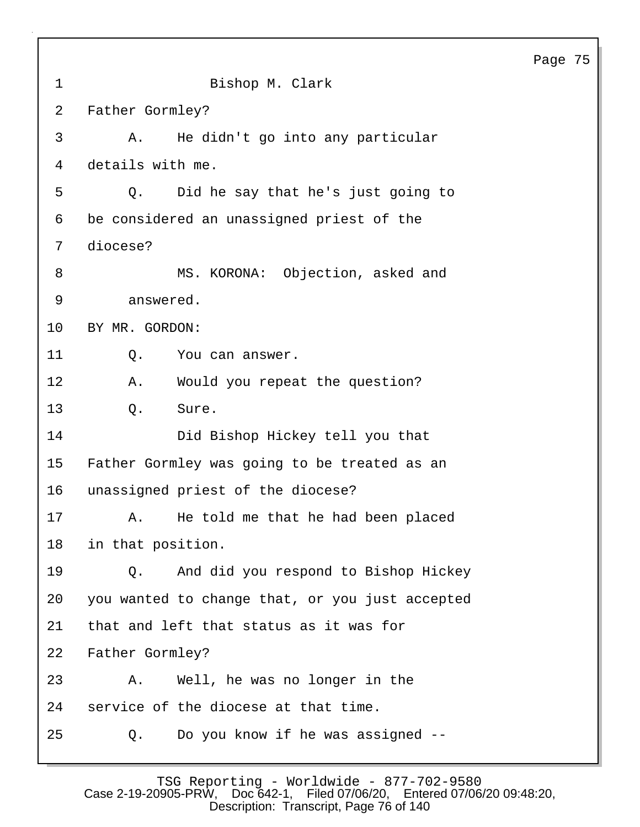| C<br>. |  |
|--------|--|
|--------|--|

| 1  | Bishop M. Clark                                 |
|----|-------------------------------------------------|
| 2  | Father Gormley?                                 |
| 3  | He didn't go into any particular<br>Α.          |
| 4  | details with me.                                |
| 5  | Did he say that he's just going to<br>$Q$ .     |
| 6  | be considered an unassigned priest of the       |
| 7  | diocese?                                        |
| 8  | MS. KORONA: Objection, asked and                |
| 9  | answered.                                       |
| 10 | BY MR. GORDON:                                  |
| 11 | Q.<br>You can answer.                           |
| 12 | Α.<br>Would you repeat the question?            |
| 13 | Q.<br>Sure.                                     |
| 14 | Did Bishop Hickey tell you that                 |
| 15 | Father Gormley was going to be treated as an    |
| 16 | unassigned priest of the diocese?               |
| 17 | He told me that he had been placed<br>Α.        |
| 18 | in that position.                               |
| 19 | Q. And did you respond to Bishop Hickey         |
| 20 | you wanted to change that, or you just accepted |
| 21 | that and left that status as it was for         |
| 22 | Father Gormley?                                 |
| 23 | Well, he was no longer in the<br>Α.             |
| 24 | service of the diocese at that time.            |
| 25 | Do you know if he was assigned --<br>Q.         |

TSG Reporting - Worldwide - 877-702-9580 Case 2-19-20905-PRW, Doc 642-1, Filed 07/06/20, Entered 07/06/20 09:48:20, Description: Transcript, Page 76 of 140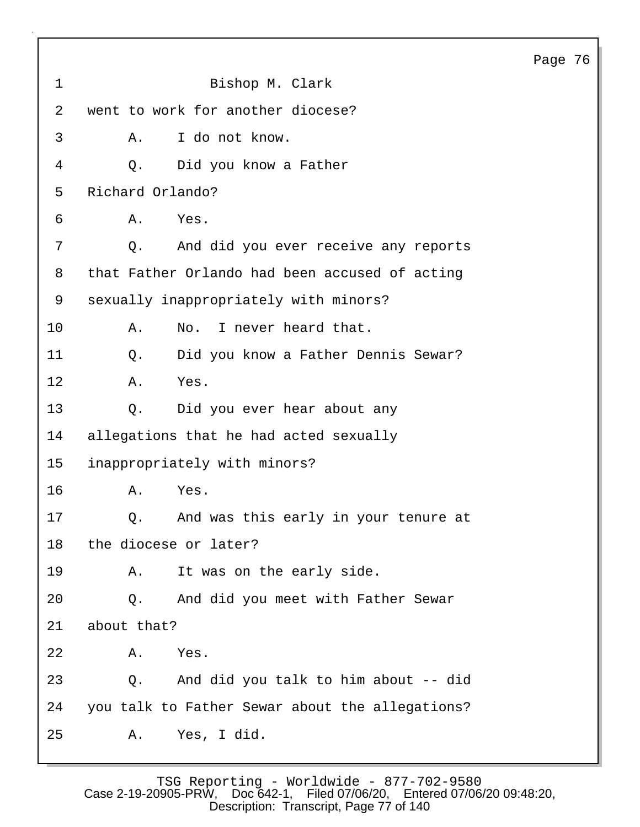|                |                                                 | Page 76 |  |
|----------------|-------------------------------------------------|---------|--|
| $\mathbf{1}$   | Bishop M. Clark                                 |         |  |
| $\overline{2}$ | went to work for another diocese?               |         |  |
| 3              | I do not know.<br>Α.                            |         |  |
| 4              | Did you know a Father<br>Q.                     |         |  |
| 5              | Richard Orlando?                                |         |  |
| 6              | Yes.<br>Α.                                      |         |  |
| 7              | And did you ever receive any reports<br>Q.      |         |  |
| 8              | that Father Orlando had been accused of acting  |         |  |
| 9              | sexually inappropriately with minors?           |         |  |
| 10             | No. I never heard that.<br>Α.                   |         |  |
| 11             | Did you know a Father Dennis Sewar?<br>Q.       |         |  |
| 12             | Yes.<br>Α.                                      |         |  |
| 13             | Did you ever hear about any<br>Q.               |         |  |
| 14             | allegations that he had acted sexually          |         |  |
| 15             | inappropriately with minors?                    |         |  |
| 16             | Yes.<br>Α.                                      |         |  |
| 17             | Q. And was this early in your tenure at         |         |  |
| 18             | the diocese or later?                           |         |  |
| 19             | It was on the early side.<br>Α.                 |         |  |
| 20             | And did you meet with Father Sewar<br>Q.        |         |  |
| 21             | about that?                                     |         |  |
| 22             | Yes.<br>Α.                                      |         |  |
| 23             | And did you talk to him about -- did<br>Q.      |         |  |
| 24             | you talk to Father Sewar about the allegations? |         |  |
| 25             | Yes, I did.<br>Α.                               |         |  |

TSG Reporting - Worldwide - 877-702-9580 Case 2-19-20905-PRW, Doc 642-1, Filed 07/06/20, Entered 07/06/20 09:48:20, Description: Transcript, Page 77 of 140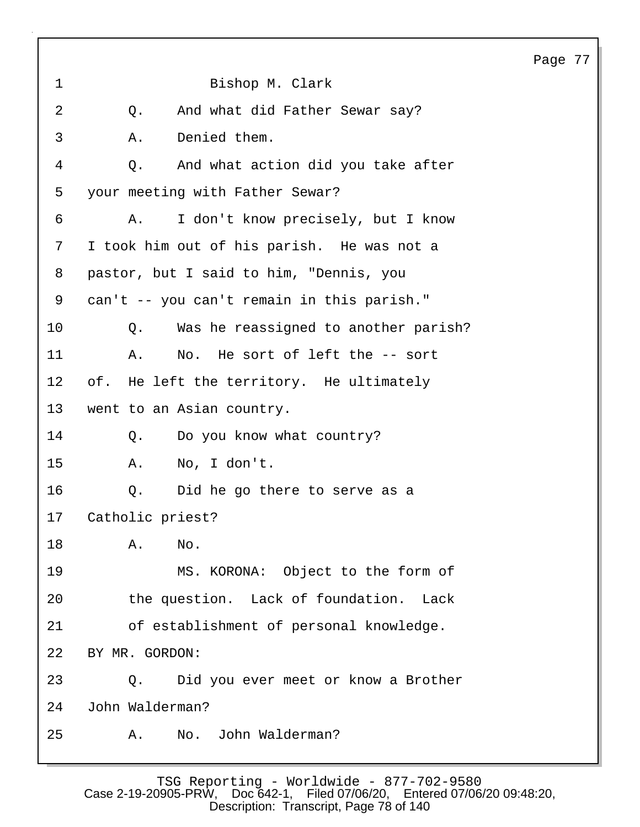|    | Bishop M. Clark                              |
|----|----------------------------------------------|
| Q. | And what did Father Sewar say?               |
| Α. | Denied them.                                 |
| Q. | And what action did you take after           |
|    | your meeting with Father Sewar?              |
| Α. | I don't know precisely, but I know           |
|    | I took him out of his parish. He was not a   |
|    | pastor, but I said to him, "Dennis, you      |
|    | can't -- you can't remain in this parish."   |
|    | Was he reassigned to another parish?<br>Q.   |
| Α. | No. He sort of left the -- sort              |
|    | of. He left the territory. He ultimately     |
|    | went to an Asian country.                    |
| Q. | Do you know what country?                    |
|    | No, I don't.<br>Α.                           |
|    | Did he go there to serve as a<br>Q.          |
|    | Catholic priest?                             |
| Α. | No.                                          |
|    | MS. KORONA: Object to the form of            |
|    | the question. Lack of foundation.<br>Lack    |
|    | of establishment of personal knowledge.      |
|    | BY MR. GORDON:                               |
|    | Did you ever meet or know a Brother<br>$Q$ . |
|    | John Walderman?                              |
| Α. | No. John Walderman?                          |
|    |                                              |

 $\mathbf{I}$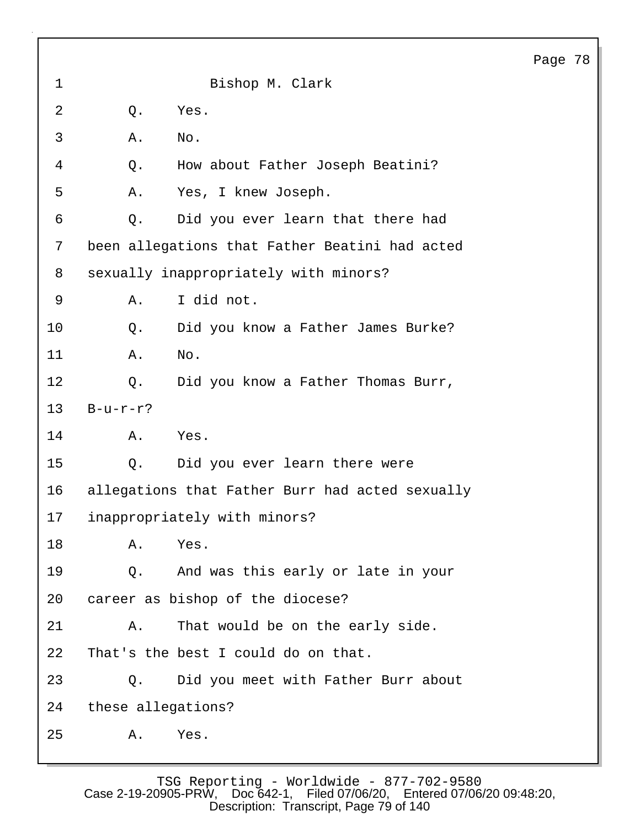| 1              |                    | Bishop M. Clark                                 |
|----------------|--------------------|-------------------------------------------------|
| $\overline{2}$ | Q.                 | Yes.                                            |
| 3              | Α.                 | No.                                             |
| 4              | Q.                 | How about Father Joseph Beatini?                |
| 5              | Α.                 | Yes, I knew Joseph.                             |
| 6              | Q.                 | Did you ever learn that there had               |
| 7              |                    | been allegations that Father Beatini had acted  |
| 8              |                    | sexually inappropriately with minors?           |
| 9              | Α.                 | I did not.                                      |
| 10             | Q.                 | Did you know a Father James Burke?              |
| 11             | Α.                 | No.                                             |
| 12             | Q.                 | Did you know a Father Thomas Burr,              |
| 13             | $B-u-r-r$ ?        |                                                 |
| 14             | Α.                 | Yes.                                            |
| 15             | $Q$ .              | Did you ever learn there were                   |
| 16             |                    | allegations that Father Burr had acted sexually |
| 17             |                    | inappropriately with minors?                    |
| 18             | A. Yes.            |                                                 |
| 19             |                    | Q. And was this early or late in your           |
| 20             |                    | career as bishop of the diocese?                |
| 21             | Α.                 | That would be on the early side.                |
| 22             |                    | That's the best I could do on that.             |
| 23             | О.                 | Did you meet with Father Burr about             |
| 24             | these allegations? |                                                 |
| 25             | Α.                 | Yes.                                            |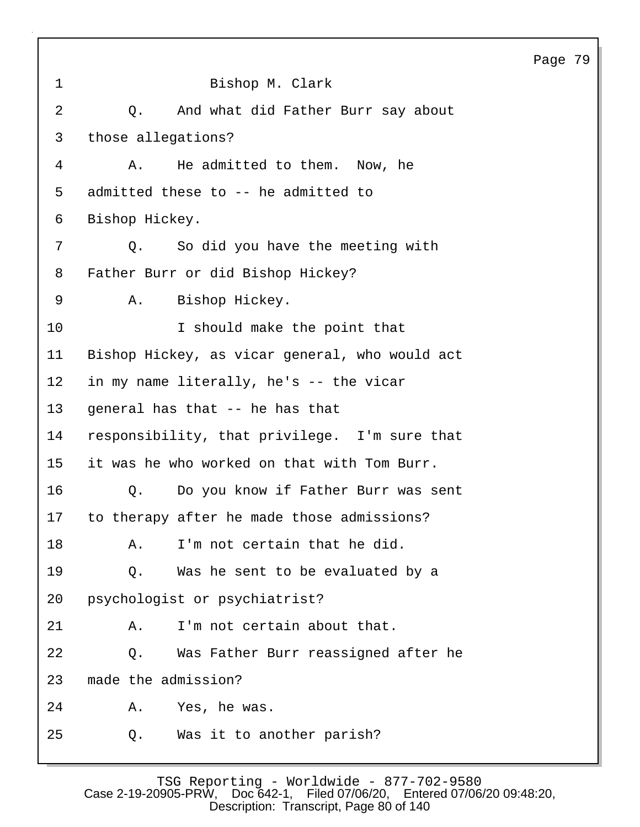|                 |                                                | Page 79 |  |
|-----------------|------------------------------------------------|---------|--|
| $\mathbf 1$     | Bishop M. Clark                                |         |  |
| 2               | And what did Father Burr say about<br>Q.       |         |  |
| 3               | those allegations?                             |         |  |
| 4               | He admitted to them. Now, he<br>Α.             |         |  |
| 5               | admitted these to -- he admitted to            |         |  |
| 6               | Bishop Hickey.                                 |         |  |
| 7               | So did you have the meeting with<br>$Q$ .      |         |  |
| 8               | Father Burr or did Bishop Hickey?              |         |  |
| 9               | Bishop Hickey.<br>Α.                           |         |  |
| 10              | I should make the point that                   |         |  |
| 11              | Bishop Hickey, as vicar general, who would act |         |  |
| $12 \,$         | in my name literally, he's -- the vicar        |         |  |
| 13              | general has that -- he has that                |         |  |
| 14              | responsibility, that privilege. I'm sure that  |         |  |
| 15 <sub>1</sub> | it was he who worked on that with Tom Burr.    |         |  |
| 16              | Q.<br>Do you know if Father Burr was sent      |         |  |
| 17              | to therapy after he made those admissions?     |         |  |
| 18              | I'm not certain that he did.<br>Α.             |         |  |
| 19              | Was he sent to be evaluated by a<br>Q.         |         |  |
| 20              | psychologist or psychiatrist?                  |         |  |
| 21              | I'm not certain about that.<br>Α.              |         |  |
| 22              | Was Father Burr reassigned after he<br>Q.      |         |  |
| 23              | made the admission?                            |         |  |
| 24              | Yes, he was.<br>Α.                             |         |  |
| 25              | Was it to another parish?<br>Q.                |         |  |
|                 |                                                |         |  |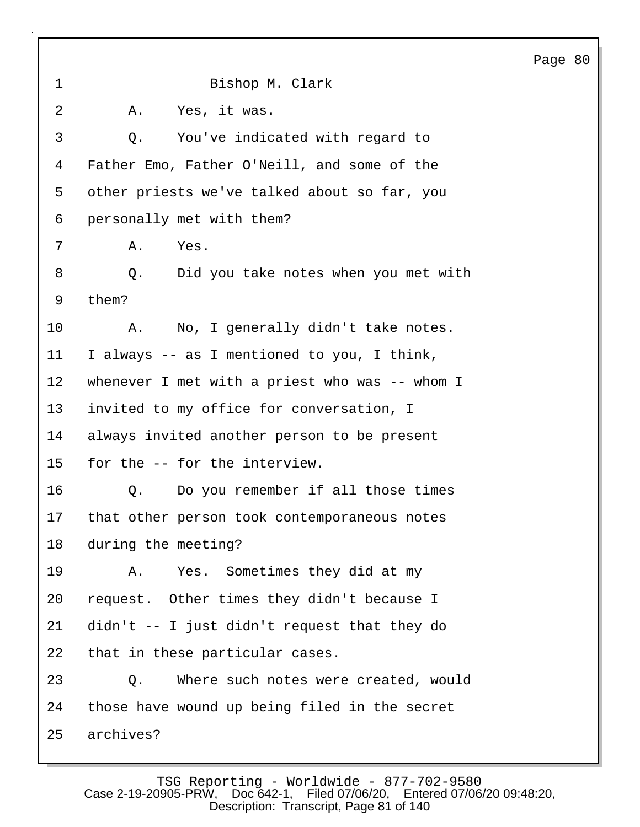1 Bishop M. Clark 2 A. Yes, it was. 3 Q. You've indicated with regard to 4 Father Emo, Father O'Neill, and some of the 5 other priests we've talked about so far, you 6 personally met with them? 7 A. Yes. 8 Q. Did you take notes when you met with 9 them? 10 A. No, I generally didn't take notes. 11 I always -- as I mentioned to you, I think, 12 whenever I met with a priest who was -- whom I 13 invited to my office for conversation, I 14 always invited another person to be present 15 for the -- for the interview. 16 Q. Do you remember if all those times 17 that other person took contemporaneous notes 18 during the meeting? 19 A. Yes. Sometimes they did at my 20 request. Other times they didn't because I 21 didn't -- I just didn't request that they do 22 that in these particular cases. 23 Q. Where such notes were created, would 24 those have wound up being filed in the secret 25 archives?

Page 80

TSG Reporting - Worldwide - 877-702-9580<br>Case 2-19-20905-PRW. Doc 642-1. Filed 07/06/20. Entered 07/06 Filed 07/06/20, Entered 07/06/20 09:48:20, Description: Transcript, Page 81 of 140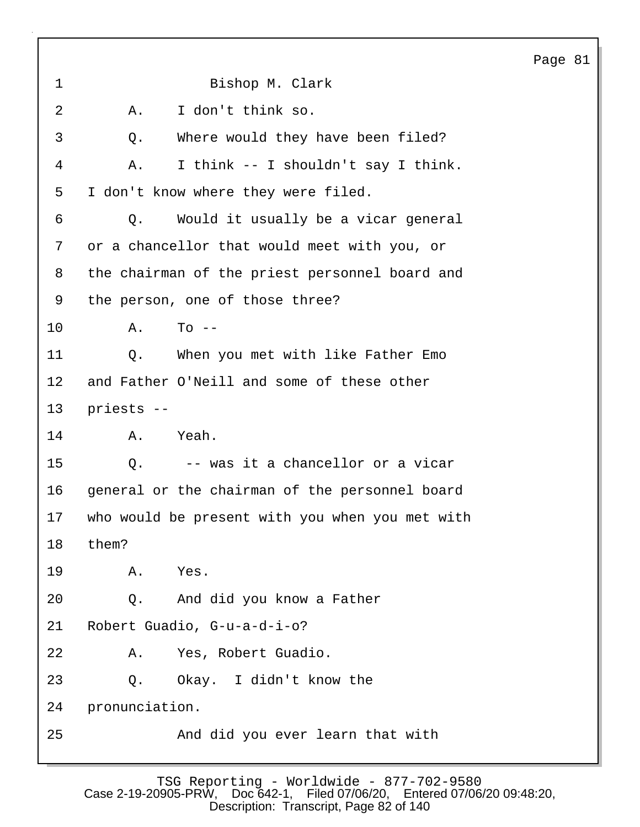1 Bishop M. Clark 2 A. I don't think so. 3 Q. Where would they have been filed? 4 A. I think -- I shouldn't say I think. 5 I don't know where they were filed. 6 Q. Would it usually be a vicar general 7 or a chancellor that would meet with you, or 8 the chairman of the priest personnel board and 9 the person, one of those three? 10 A. To -- 11 Q. When you met with like Father Emo 12 and Father O'Neill and some of these other 13 priests -- 14 A. Yeah. 15 Q. -- was it a chancellor or a vicar 16 general or the chairman of the personnel board 17 who would be present with you when you met with 18 them? 19 A. Yes. 20 Q. And did you know a Father 21 Robert Guadio, G-u-a-d-i-o? 22 A. Yes, Robert Guadio. 23 Q. Okay. I didn't know the 24 pronunciation. 25 And did you ever learn that with

Page 81

TSG Reporting - Worldwide - 877-702-9580 Case 2-19-20905-PRW, Doc 642-1, Filed 07/06/20, Entered 07/06/20 09:48:20, Description: Transcript, Page 82 of 140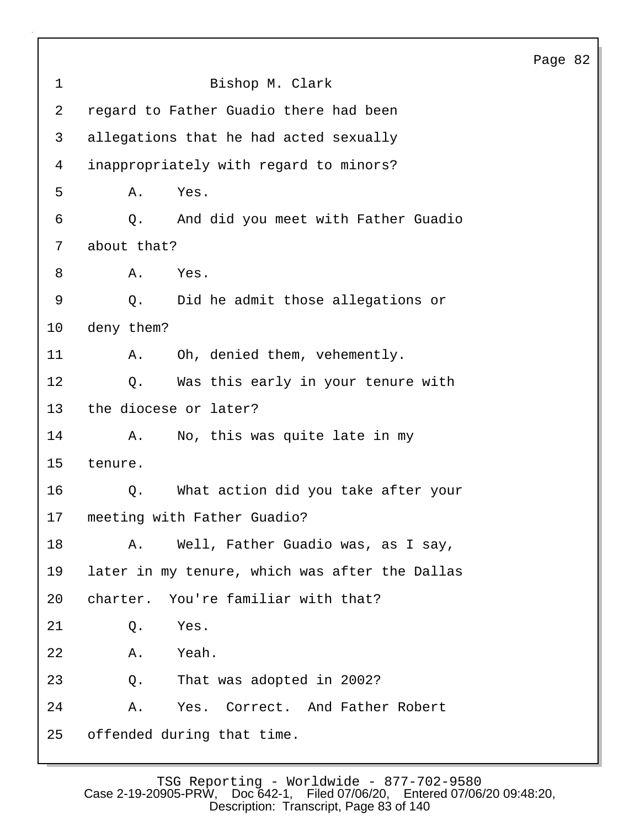| $\mathbf 1$    | Bishop M. Clark                                |
|----------------|------------------------------------------------|
| $\overline{a}$ | regard to Father Guadio there had been         |
| 3              | allegations that he had acted sexually         |
| 4              | inappropriately with regard to minors?         |
| 5              | Yes.<br>Α.                                     |
| 6              | And did you meet with Father Guadio<br>Q.      |
| 7              | about that?                                    |
| 8              | Yes.<br>Α.                                     |
| 9              | Did he admit those allegations or<br>Q.        |
| 10             | deny them?                                     |
| 11             | Oh, denied them, vehemently.<br>Α.             |
| 12             | Was this early in your tenure with<br>Q.       |
| 13             | the diocese or later?                          |
| 14             | No, this was quite late in my<br>Α.            |
| 15             | tenure.                                        |
| 16             | What action did you take after your<br>Q.      |
| 17             | meeting with Father Guadio?                    |
| 18             | A. Well, Father Guadio was, as I say,          |
| 19             | later in my tenure, which was after the Dallas |
| 20             | charter. You're familiar with that?            |
| 21             | Yes.<br>Q.                                     |
| 22             | Yeah.<br>Α.                                    |
| 23             | That was adopted in 2002?<br>Q.                |
| 24             | Yes. Correct. And Father Robert<br>Α.          |
| 25             | offended during that time.                     |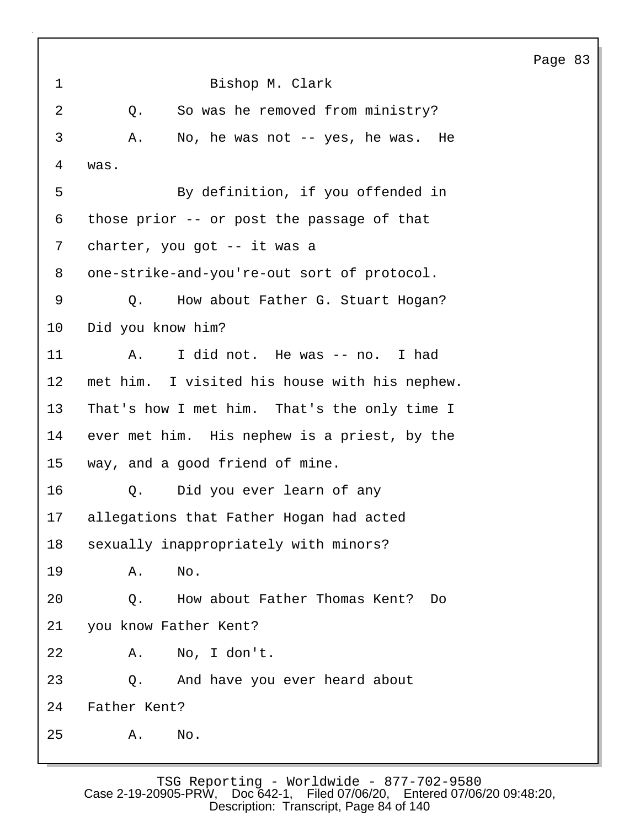| 1  | Bishop M. Clark                               |
|----|-----------------------------------------------|
| 2  | So was he removed from ministry?<br>Q.        |
| 3  | No, he was not -- yes, he was. He<br>Α.       |
| 4  | was.                                          |
| 5  | By definition, if you offended in             |
| 6  | those prior -- or post the passage of that    |
| 7  | charter, you got -- it was a                  |
| 8  | one-strike-and-you're-out sort of protocol.   |
| 9  | How about Father G. Stuart Hogan?<br>Q.       |
| 10 | Did you know him?                             |
| 11 | I did not. He was -- no. I had<br>Α.          |
| 12 | met him. I visited his house with his nephew. |
| 13 | That's how I met him. That's the only time I  |
| 14 | ever met him. His nephew is a priest, by the  |
| 15 | way, and a good friend of mine.               |
| 16 | Did you ever learn of any<br>Q.               |
| 17 | allegations that Father Hogan had acted       |
| 18 | sexually inappropriately with minors?         |
| 19 | Α.<br>No.                                     |
| 20 | How about Father Thomas Kent?<br>Q.<br>Do     |
| 21 | you know Father Kent?                         |
| 22 | No, I don't.<br>Α.                            |
| 23 | And have you ever heard about<br>Q.           |
| 24 | Father Kent?                                  |
| 25 | No.<br>Α.                                     |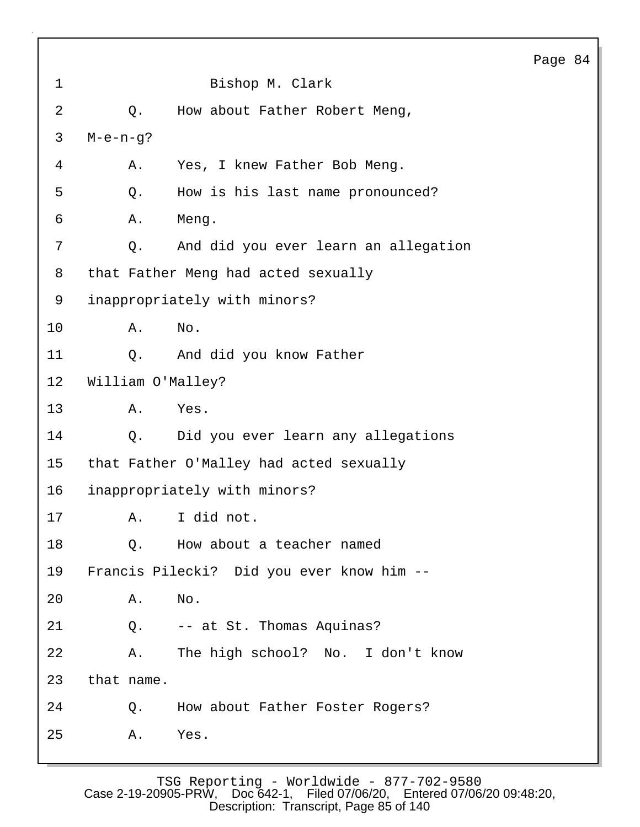|                |                   |                                           | Page |
|----------------|-------------------|-------------------------------------------|------|
| $\mathbf 1$    |                   | Bishop M. Clark                           |      |
| $\overline{2}$ | Q.                | How about Father Robert Meng,             |      |
| 3              | $M-e-n-g?$        |                                           |      |
| 4              | Α.                | Yes, I knew Father Bob Meng.              |      |
| 5              | Q.                | How is his last name pronounced?          |      |
| 6              | Α.                | Meng.                                     |      |
| 7              | Q.                | And did you ever learn an allegation      |      |
| 8              |                   | that Father Meng had acted sexually       |      |
| 9              |                   | inappropriately with minors?              |      |
| 10             | Α.                | No.                                       |      |
| 11             | $Q$ .             | And did you know Father                   |      |
| 12             | William O'Malley? |                                           |      |
| 13             | Α.                | Yes.                                      |      |
| 14             | Q.                | Did you ever learn any allegations        |      |
| 15             |                   | that Father O'Malley had acted sexually   |      |
| 16             |                   | inappropriately with minors?              |      |
| 17             |                   | A. I did not.                             |      |
| 18             | Q.                | How about a teacher named                 |      |
| 19             |                   | Francis Pilecki? Did you ever know him -- |      |
| 20             | Α.                | No.                                       |      |
| 21             | $Q$ .             | -- at St. Thomas Aquinas?                 |      |
| 22             | Α.                | The high school? No. I don't know         |      |
| 23             | that name.        |                                           |      |
| 24             | Q.                | How about Father Foster Rogers?           |      |
| 25             | Α.                | Yes.                                      |      |

84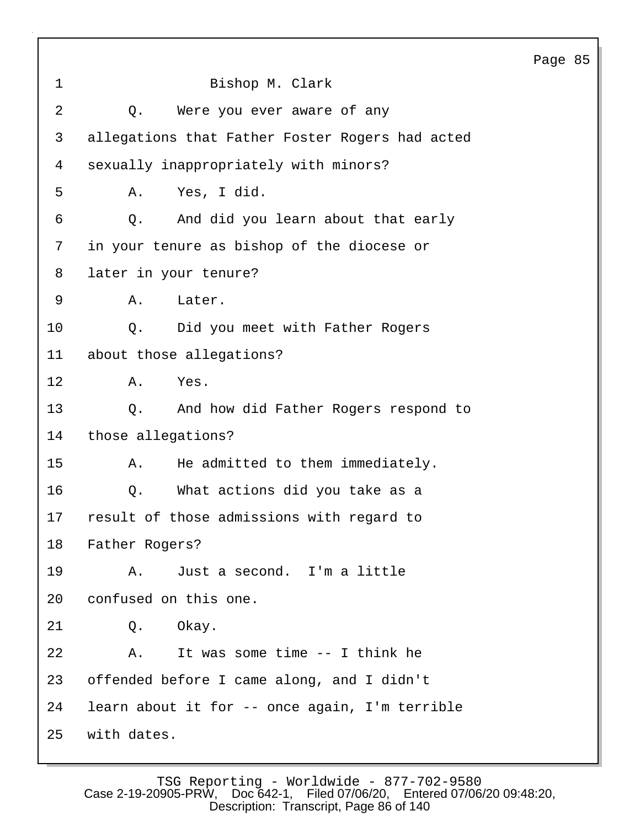Page 85 1 Bishop M. Clark 2 Q. Were you ever aware of any 3 allegations that Father Foster Rogers had acted 4 sexually inappropriately with minors? 5 A. Yes, I did. 6 Q. And did you learn about that early 7 in your tenure as bishop of the diocese or 8 later in your tenure? 9 A. Later. 10 0. Did you meet with Father Rogers 11 about those allegations? 12 A. Yes. 13 Q. And how did Father Rogers respond to 14 those allegations? 15 A. He admitted to them immediately. 16 Q. What actions did you take as a 17 result of those admissions with regard to 18 Father Rogers? 19 A. Just a second. I'm a little 20 confused on this one. 21 Q. Okay. 22 A. It was some time -- I think he 23 offended before I came along, and I didn't 24 learn about it for -- once again, I'm terrible 25 with dates.

TSG Reporting - Worldwide - 877-702-9580<br>Case 2-19-20905-PRW, Doc 642-1, Filed 07/06/20, Entered 07/06 Filed 07/06/20, Entered 07/06/20 09:48:20, Description: Transcript, Page 86 of 140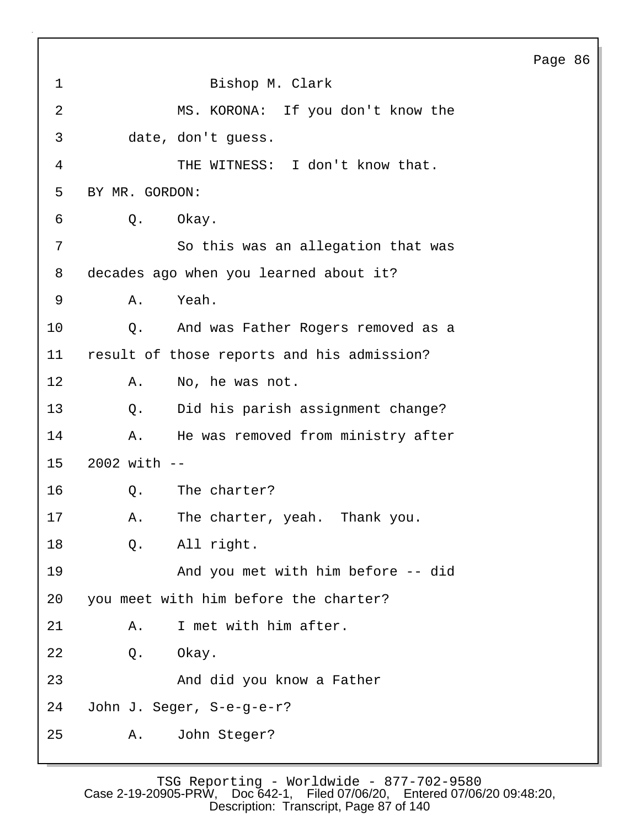| $\mathbf 1$    | Bishop M. Clark                            |
|----------------|--------------------------------------------|
| $\overline{2}$ | MS. KORONA: If you don't know the          |
| 3              | date, don't guess.                         |
| 4              | THE WITNESS: I don't know that.            |
| 5              | BY MR. GORDON:                             |
| 6              | Okay.<br>Q.                                |
| 7              | So this was an allegation that was         |
| 8              | decades ago when you learned about it?     |
| 9              | Yeah.<br>Α.                                |
| 10             | And was Father Rogers removed as a<br>Q.   |
| 11             | result of those reports and his admission? |
| $12 \,$        | Α.<br>No, he was not.                      |
| 13             | Did his parish assignment change?<br>Q.    |
| 14             | He was removed from ministry after<br>Α.   |
| 15             | $2002$ with $-$                            |
| 16             | The charter?<br>Q.                         |
| 17             | The charter, yeah.<br>Thank you.<br>Α.     |
| 18             | All right.<br>$Q$ .                        |
| 19             | And you met with him before -- did         |
| 20             | you meet with him before the charter?      |
| 21             | I met with him after.<br>Α.                |
| 22             | Okay.<br>Q.                                |
| 23             | And did you know a Father                  |
| 24             | John J. Seger, S-e-g-e-r?                  |
| 25             | John Steger?<br>Α.                         |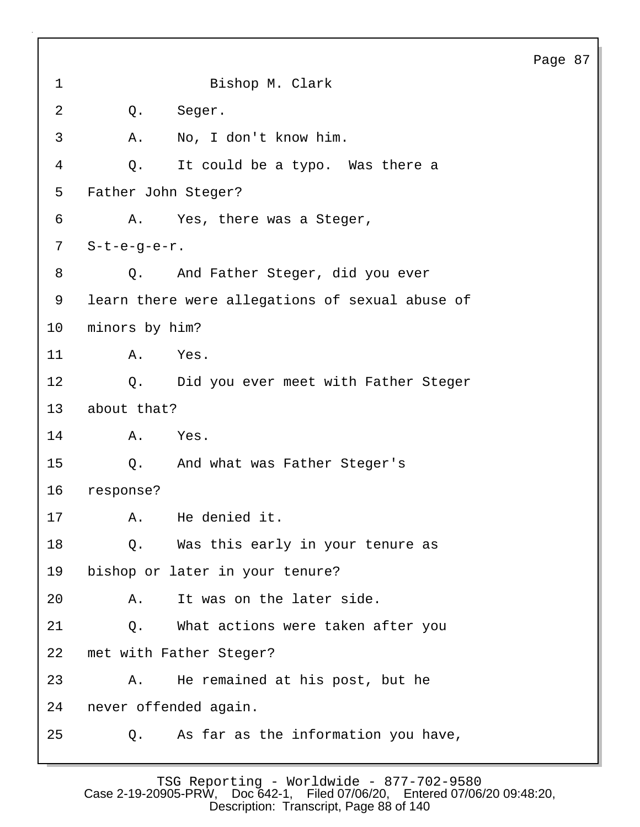1 Bishop M. Clark 2 Q. Seger. 3 A. No, I don't know him. 4 Q. It could be a typo. Was there a 5 Father John Steger? 6 A. Yes, there was a Steger, 7 S-t-e-g-e-r. 8 Q. And Father Steger, did you ever 9 learn there were allegations of sexual abuse of 10 minors by him? 11 A. Yes. 12 Q. Did you ever meet with Father Steger 13 about that? 14 A. Yes. 15 Q. And what was Father Steger's 16 response? 17 A. He denied it. 18 Q. Was this early in your tenure as 19 bishop or later in your tenure? 20 A. It was on the later side. 21 Q. What actions were taken after you 22 met with Father Steger? 23 A. He remained at his post, but he 24 never offended again. 25 Q. As far as the information you have,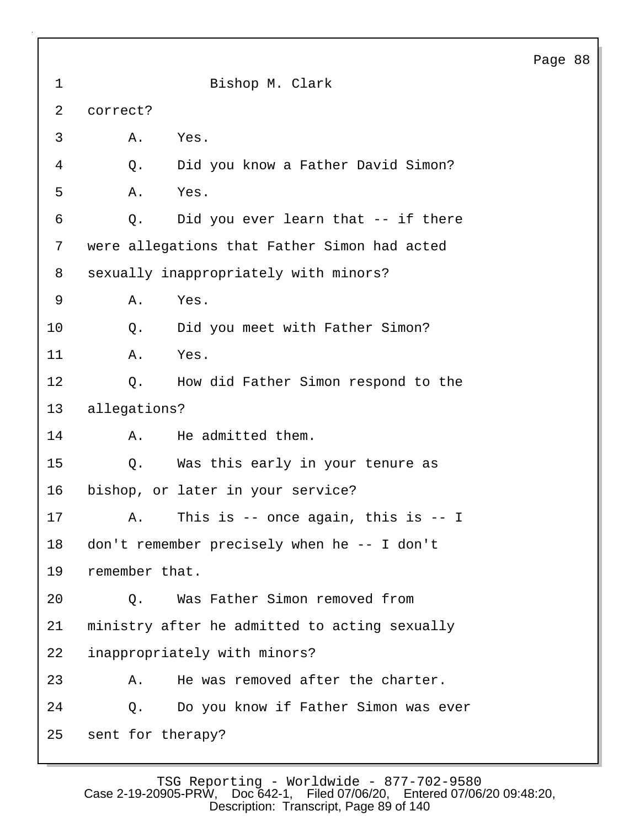| $\mathbf 1$    | Bishop M. Clark                               |
|----------------|-----------------------------------------------|
| $\overline{a}$ | correct?                                      |
| 3              | Α.<br>Yes.                                    |
| 4              | Did you know a Father David Simon?<br>Q.      |
| 5              | Yes.<br>Α.                                    |
| 6              | Did you ever learn that -- if there<br>Q.     |
| 7              | were allegations that Father Simon had acted  |
| 8              | sexually inappropriately with minors?         |
| 9              | Α.<br>Yes.                                    |
| 10             | Did you meet with Father Simon?<br>Q.         |
| 11             | Yes.<br>Α.                                    |
| 12             | How did Father Simon respond to the<br>Q.     |
| 13             | allegations?                                  |
| 14             | He admitted them.<br>Α.                       |
| 15             | Was this early in your tenure as<br>Q.        |
| 16             | bishop, or later in your service?             |
| 17             | This is $-$ once again, this is $-$ I<br>Α.   |
| 18             | don't remember precisely when he -- I don't   |
| 19             | remember that.                                |
| 20             | Was Father Simon removed from<br>Q.           |
| 21             | ministry after he admitted to acting sexually |
| 22             | inappropriately with minors?                  |
| 23             | He was removed after the charter.<br>Α.       |
| 24             | Do you know if Father Simon was ever<br>Q.    |
| 25             | sent for therapy?                             |

TSG Reporting - Worldwide - 877-702-9580 Case 2-19-20905-PRW, Doc 642-1, Filed 07/06/20, Entered 07/06/20 09:48:20, Description: Transcript, Page 89 of 140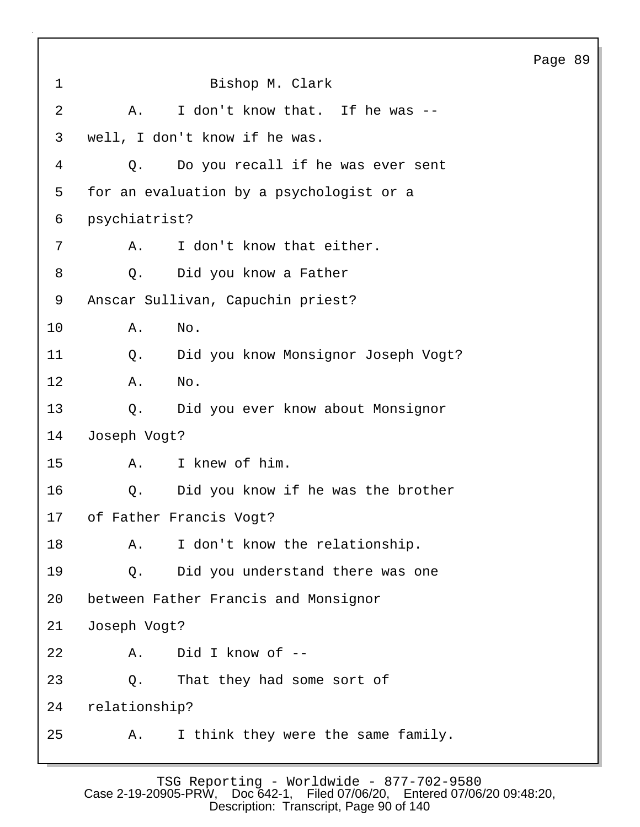Page 89 1 Bishop M. Clark 2 A. I don't know that. If he was -- 3 well, I don't know if he was. 4 Q. Do you recall if he was ever sent 5 for an evaluation by a psychologist or a 6 psychiatrist? 7 A. I don't know that either. 8 Q. Did you know a Father 9 Anscar Sullivan, Capuchin priest? 10 A. No. 11 Q. Did you know Monsignor Joseph Vogt? 12 A. No. 13 Q. Did you ever know about Monsignor 14 Joseph Vogt? 15 A. I knew of him. 16 Q. Did you know if he was the brother 17 of Father Francis Vogt? 18 A. I don't know the relationship. 19 Q. Did you understand there was one 20 between Father Francis and Monsignor 21 Joseph Vogt? 22 A. Did I know of -- 23 Q. That they had some sort of 24 relationship? 25 A. I think they were the same family.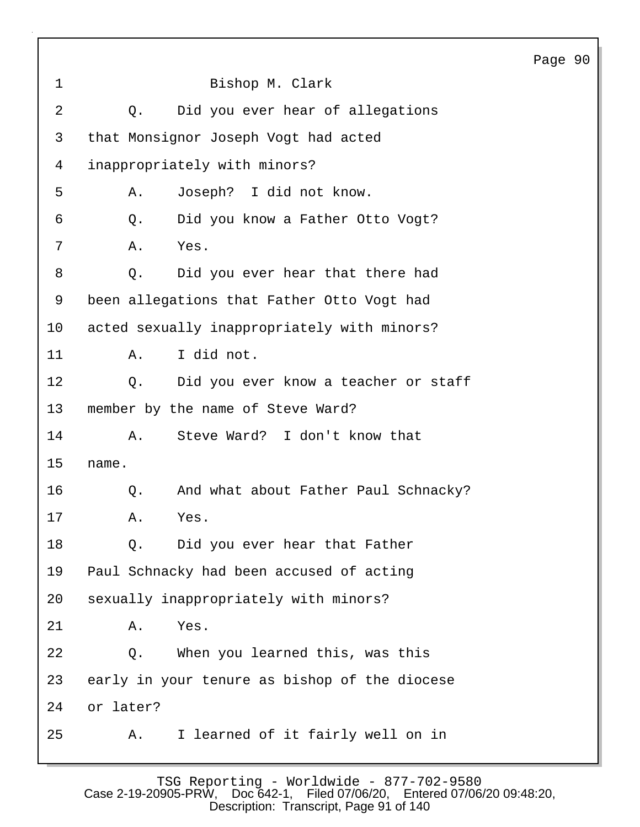1 Bishop M. Clark 2 Q. Did you ever hear of allegations 3 that Monsignor Joseph Vogt had acted 4 inappropriately with minors? 5 A. Joseph? I did not know. 6 Q. Did you know a Father Otto Vogt? 7 A. Yes. 8 Q. Did you ever hear that there had 9 been allegations that Father Otto Vogt had 10 acted sexually inappropriately with minors? 11 A. I did not. 12 Q. Did you ever know a teacher or staff 13 member by the name of Steve Ward? 14 A. Steve Ward? I don't know that 15 name. 16 Q. And what about Father Paul Schnacky? 17 A. Yes. 18 Q. Did you ever hear that Father 19 Paul Schnacky had been accused of acting 20 sexually inappropriately with minors? 21 A. Yes. 22 Q. When you learned this, was this 23 early in your tenure as bishop of the diocese 24 or later? 25 A. I learned of it fairly well on in

Page 90

TSG Reporting - Worldwide - 877-702-9580<br>Case 2-19-20905-PRW, Doc 642-1, Filed 07/06/20, Entered 07/06 Filed 07/06/20, Entered 07/06/20 09:48:20, Description: Transcript, Page 91 of 140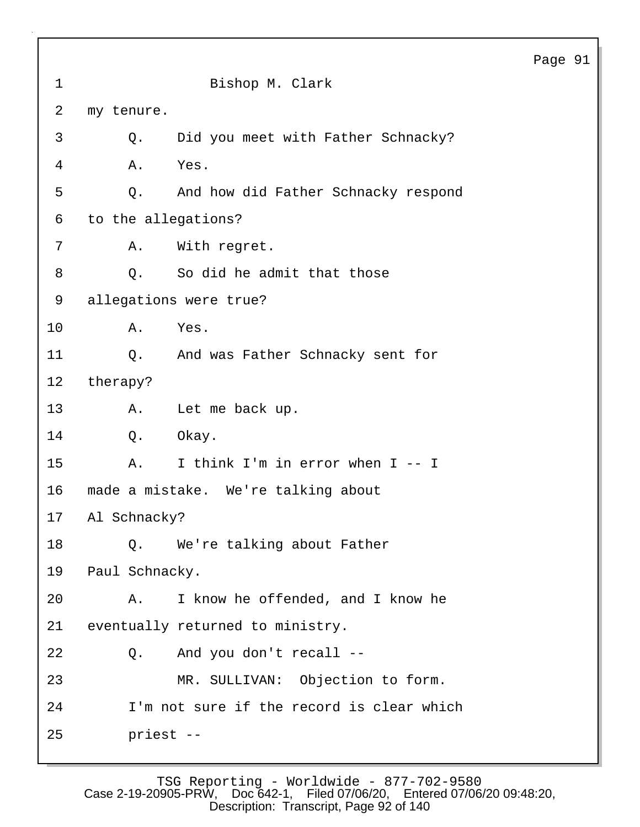|                 |                                     |                                           | Page 91 |  |
|-----------------|-------------------------------------|-------------------------------------------|---------|--|
| $\mathbf 1$     |                                     | Bishop M. Clark                           |         |  |
| 2               | my tenure.                          |                                           |         |  |
| 3               | Q.                                  | Did you meet with Father Schnacky?        |         |  |
| 4               | Α.                                  | Yes.                                      |         |  |
| 5               | Q.                                  | And how did Father Schnacky respond       |         |  |
| 6               | to the allegations?                 |                                           |         |  |
| 7               | Α.                                  | With regret.                              |         |  |
| 8               | Q.                                  | So did he admit that those                |         |  |
| 9               | allegations were true?              |                                           |         |  |
| 10              | Α.                                  | Yes.                                      |         |  |
| 11              | Q.                                  | And was Father Schnacky sent for          |         |  |
| 12              | therapy?                            |                                           |         |  |
| 13              | Α.                                  | Let me back up.                           |         |  |
| 14              | Q.                                  | Okay.                                     |         |  |
| 15              | Α.                                  | I think I'm in error when I -- I          |         |  |
| 16              | made a mistake. We're talking about |                                           |         |  |
| 17 <sub>2</sub> | Al Schnacky?                        |                                           |         |  |
| 18              | Q.                                  | We're talking about Father                |         |  |
| 19              | Paul Schnacky.                      |                                           |         |  |
| 20              | Α.                                  | I know he offended, and I know he         |         |  |
| 21              |                                     | eventually returned to ministry.          |         |  |
| 22              | Q.                                  | And you don't recall --                   |         |  |
| 23              |                                     | MR. SULLIVAN: Objection to form.          |         |  |
| 24              |                                     | I'm not sure if the record is clear which |         |  |
| 25              | priest --                           |                                           |         |  |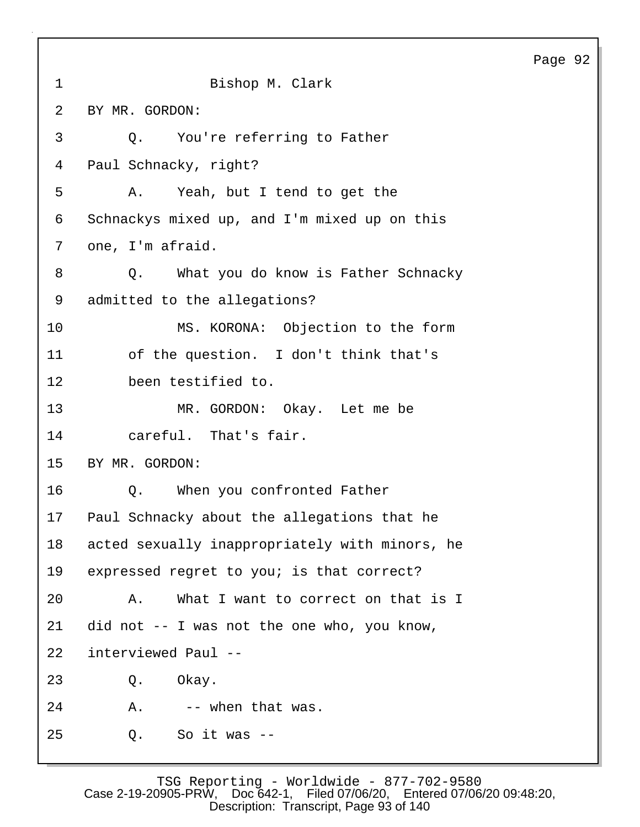| $\mathbf 1$ | Bishop M. Clark                                |
|-------------|------------------------------------------------|
| 2           | BY MR. GORDON:                                 |
| 3           | Q. You're referring to Father                  |
| 4           | Paul Schnacky, right?                          |
| 5           | A. Yeah, but I tend to get the                 |
| 6           | Schnackys mixed up, and I'm mixed up on this   |
| 7           | one, I'm afraid.                               |
| 8           | Q. What you do know is Father Schnacky         |
| 9           | admitted to the allegations?                   |
| 10          | MS. KORONA: Objection to the form              |
| 11          | of the question. I don't think that's          |
| 12          | been testified to.                             |
| 13          | MR. GORDON: Okay. Let me be                    |
| 14          | careful. That's fair.                          |
| 15          | BY MR. GORDON:                                 |
| 16          | Q. When you confronted Father                  |
| 17          | Paul Schnacky about the allegations that he    |
| 18          | acted sexually inappropriately with minors, he |
| 19          | expressed regret to you; is that correct?      |
| 20          | What I want to correct on that is I<br>Α.      |
| 21          | did not -- I was not the one who, you know,    |
| 22          | interviewed Paul --                            |
| 23          | Okay.<br>Q.                                    |
| 24          | -- when that was.<br>Α.                        |
| 25          | So it was $--$<br>Q.                           |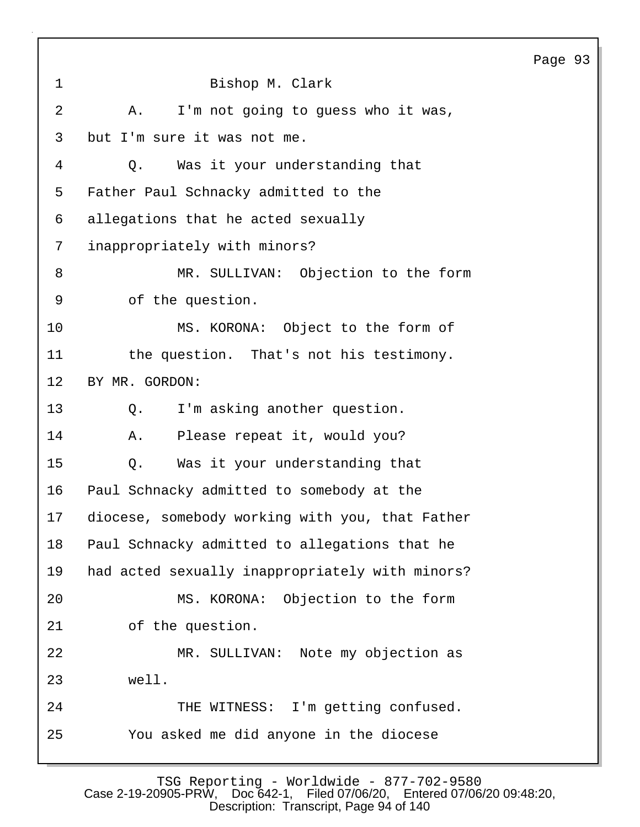| $\mathbf 1$ | Bishop M. Clark                                 |
|-------------|-------------------------------------------------|
| 2           | I'm not going to guess who it was,<br>A.        |
| 3           | but I'm sure it was not me.                     |
| 4           | Was it your understanding that<br>Q.            |
| 5           | Father Paul Schnacky admitted to the            |
| 6           | allegations that he acted sexually              |
| 7           | inappropriately with minors?                    |
| 8           | MR. SULLIVAN: Objection to the form             |
| $\mathsf 9$ | of the question.                                |
| 10          | MS. KORONA: Object to the form of               |
| 11          | the question. That's not his testimony.         |
| 12          | BY MR. GORDON:                                  |
| 13          | I'm asking another question.<br>Q.              |
| 14          | Please repeat it, would you?<br>Α.              |
| 15          | Was it your understanding that<br>Q.            |
| 16          | Paul Schnacky admitted to somebody at the       |
| 17          | diocese, somebody working with you, that Father |
| 18          | Paul Schnacky admitted to allegations that he   |
| 19          | had acted sexually inappropriately with minors? |
| 20          | MS. KORONA: Objection to the form               |
| 21          | of the question.                                |
| 22          | MR. SULLIVAN: Note my objection as              |
| 23          | well.                                           |
| 24          | THE WITNESS: I'm getting confused.              |
| 25          | You asked me did anyone in the diocese          |
|             |                                                 |

TSG Reporting - Worldwide - 877-702-9580 Case 2-19-20905-PRW, Doc 642-1, Filed 07/06/20, Entered 07/06/20 09:48:20, Description: Transcript, Page 94 of 140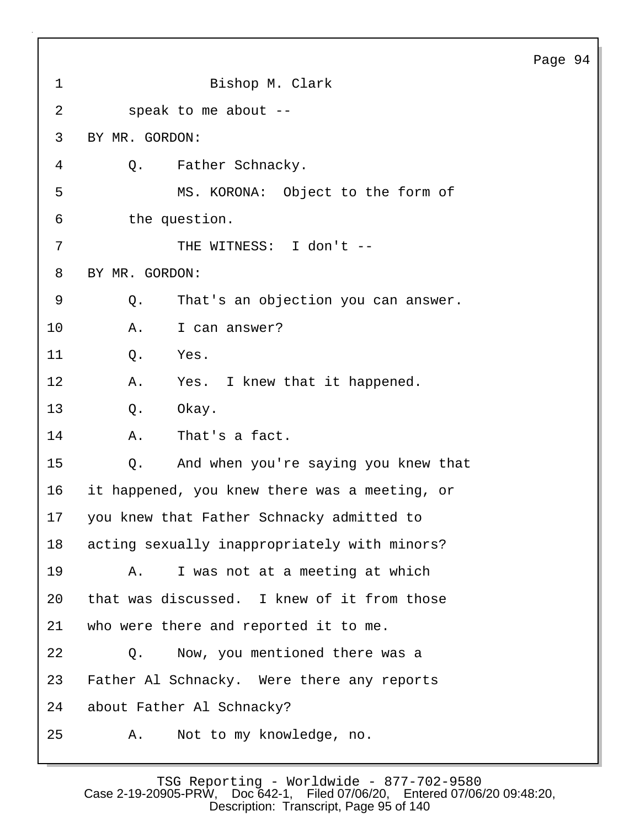| $\mathbf{1}$ | Bishop M. Clark                               |
|--------------|-----------------------------------------------|
| 2            | speak to me about --                          |
| 3            | BY MR. GORDON:                                |
| 4            | Q. Father Schnacky.                           |
| 5            | MS. KORONA: Object to the form of             |
| 6            | the question.                                 |
| 7            | THE WITNESS: I don't --                       |
| 8            | BY MR. GORDON:                                |
| 9            | That's an objection you can answer.<br>Q.     |
| 10           | I can answer?<br>Α.                           |
| 11           | Yes.<br>Q.                                    |
| 12           | Yes. I knew that it happened.<br>Α.           |
| 13           | Okay.<br>Q.                                   |
| 14           | That's a fact.<br>Α.                          |
| 15           | And when you're saying you knew that<br>Q.    |
| 16           | it happened, you knew there was a meeting, or |
| 17           | you knew that Father Schnacky admitted to     |
| 18           | acting sexually inappropriately with minors?  |
| 19           | I was not at a meeting at which<br>Α.         |
| 20           | that was discussed. I knew of it from those   |
| 21           | who were there and reported it to me.         |
| 22           | Now, you mentioned there was a<br>Q.          |
| 23           | Father Al Schnacky. Were there any reports    |
| 24           | about Father Al Schnacky?                     |
| 25           | Not to my knowledge, no.<br>Α.                |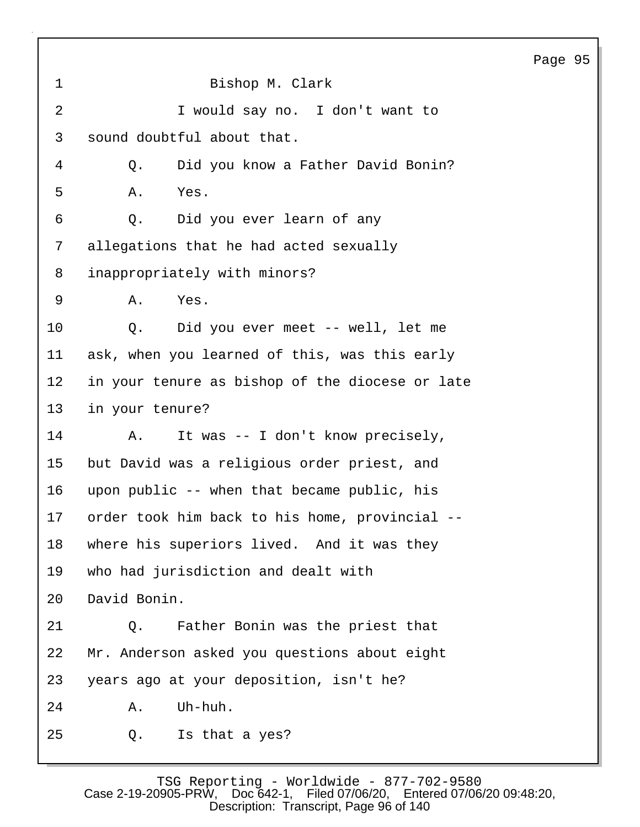| $\mathbf{1}$   | Bishop M. Clark                                 |
|----------------|-------------------------------------------------|
| $\overline{2}$ | I would say no. I don't want to                 |
| 3              | sound doubtful about that.                      |
| 4              | Did you know a Father David Bonin?<br>Q.        |
| 5              | Yes.<br>Α.                                      |
| 6              | Did you ever learn of any<br>Q.                 |
| 7              | allegations that he had acted sexually          |
| 8              | inappropriately with minors?                    |
| 9              | Yes.<br>Α.                                      |
| 10             | Did you ever meet -- well, let me<br>Q.         |
| 11             | ask, when you learned of this, was this early   |
| 12             | in your tenure as bishop of the diocese or late |
| 13             | in your tenure?                                 |
| 14             | It was -- I don't know precisely,<br>Α.         |
| 15             | but David was a religious order priest, and     |
| 16             | upon public -- when that became public, his     |
| 17             | order took him back to his home, provincial     |
| 18             | where his superiors lived. And it was they      |
| 19             | who had jurisdiction and dealt with             |
| 20             | David Bonin.                                    |
| 21             | Father Bonin was the priest that<br>$Q$ .       |
| 22             | Mr. Anderson asked you questions about eight    |
| 23             | years ago at your deposition, isn't he?         |
| 24             | Uh-huh.<br>Α.                                   |
| 25             | Is that a yes?<br>Q.                            |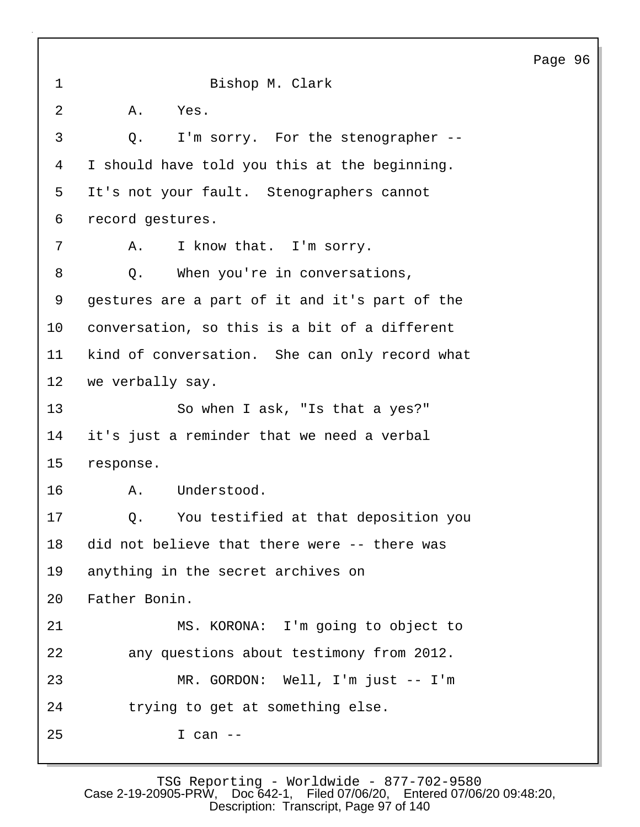1 Bishop M. Clark 2 A. Yes. 3 Q. I'm sorry. For the stenographer -- 4 I should have told you this at the beginning. 5 It's not your fault. Stenographers cannot 6 record gestures. 7 A. I know that. I'm sorry. 8 Q. When you're in conversations, 9 gestures are a part of it and it's part of the 10 conversation, so this is a bit of a different 11 kind of conversation. She can only record what 12 we verbally say. 13 So when I ask, "Is that a yes?" 14 it's just a reminder that we need a verbal 15 response. 16 A. Understood. 17 Q. You testified at that deposition you 18 did not believe that there were -- there was 19 anything in the secret archives on 20 Father Bonin. 21 MS. KORONA: I'm going to object to 22 any questions about testimony from 2012. 23 MR. GORDON: Well, I'm just -- I'm 24 trying to get at something else. 25 I can --

TSG Reporting - Worldwide - 877-702-9580<br>Case 2-19-20905-PRW, Doc 642-1, Filed 07/06/20, Entered 07/06 Filed 07/06/20, Entered 07/06/20 09:48:20, Description: Transcript, Page 97 of 140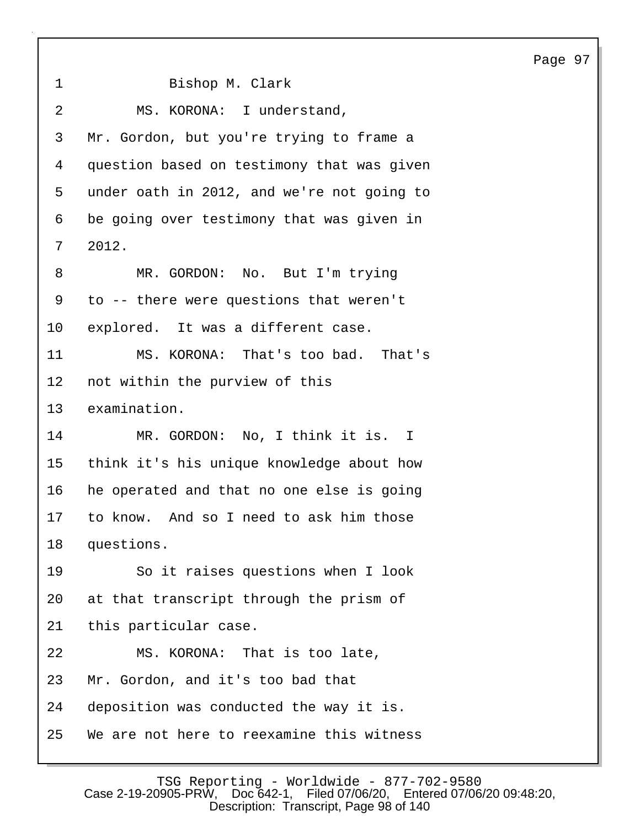1 Bishop M. Clark 2 MS. KORONA: I understand, 3 Mr. Gordon, but you're trying to frame a 4 question based on testimony that was given 5 under oath in 2012, and we're not going to 6 be going over testimony that was given in 7 2012. 8 MR. GORDON: No. But I'm trying 9 to -- there were questions that weren't 10 explored. It was a different case. 11 MS. KORONA: That's too bad. That's 12 not within the purview of this 13 examination. 14 MR. GORDON: No, I think it is. I 15 think it's his unique knowledge about how 16 he operated and that no one else is going 17 to know. And so I need to ask him those 18 questions. 19 So it raises questions when I look 20 at that transcript through the prism of 21 this particular case. 22 MS. KORONA: That is too late, 23 Mr. Gordon, and it's too bad that 24 deposition was conducted the way it is. 25 We are not here to reexamine this witness

Page 97

TSG Reporting - Worldwide - 877-702-9580<br>0905-PRW, Doc642-1, Filed07/06/20, Entered07/06/2009:48:20, Case 2-19-20905-PRW, Doc 642-1, Description: Transcript, Page 98 of 140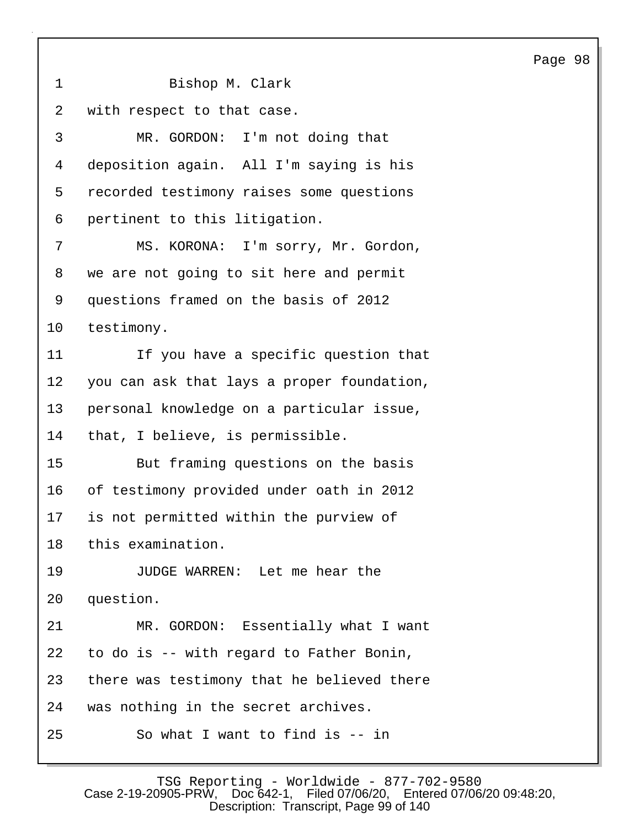1 Bishop M. Clark 2 with respect to that case. 3 MR. GORDON: I'm not doing that 4 deposition again. All I'm saying is his 5 recorded testimony raises some questions 6 pertinent to this litigation. 7 MS. KORONA: I'm sorry, Mr. Gordon, 8 we are not going to sit here and permit 9 questions framed on the basis of 2012 10 testimony. 11 If you have a specific question that 12 you can ask that lays a proper foundation, 13 personal knowledge on a particular issue, 14 that, I believe, is permissible. 15 But framing questions on the basis 16 of testimony provided under oath in 2012 17 is not permitted within the purview of 18 this examination. 19 JUDGE WARREN: Let me hear the 20 question. 21 MR. GORDON: Essentially what I want 22 to do is -- with regard to Father Bonin, 23 there was testimony that he believed there 24 was nothing in the secret archives. 25 So what I want to find is -- in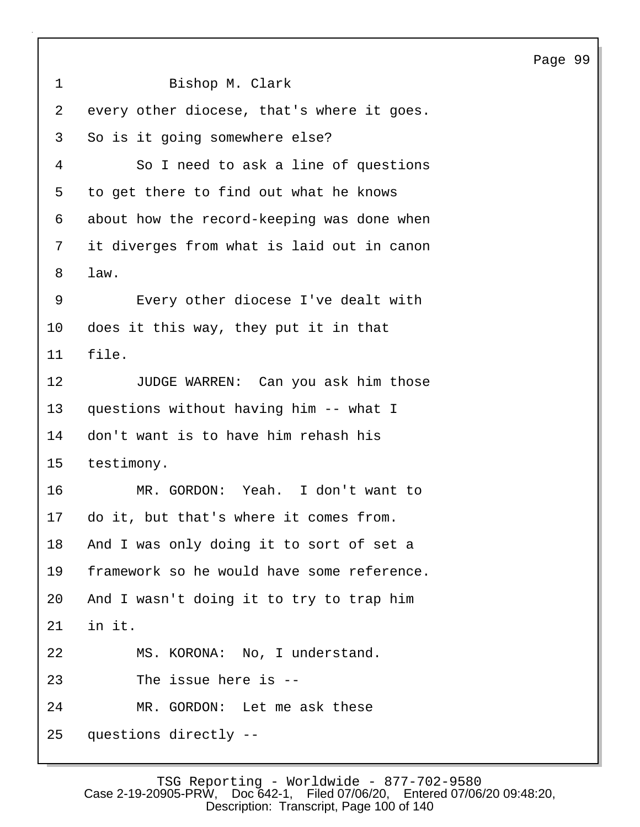```
1 Bishop M. Clark
2 every other diocese, that's where it goes.
3 So is it going somewhere else?
4 So I need to ask a line of questions
5 to get there to find out what he knows
6 about how the record-keeping was done when
7 it diverges from what is laid out in canon
8 law.
9 Every other diocese I've dealt with
10 does it this way, they put it in that
11 file.
12 JUDGE WARREN: Can you ask him those
13 questions without having him -- what I
14 don't want is to have him rehash his
15 testimony.
16 MR. GORDON: Yeah. I don't want to
17 do it, but that's where it comes from.
18 And I was only doing it to sort of set a
19 framework so he would have some reference.
20 And I wasn't doing it to try to trap him
21 in it.
22 MS. KORONA: No, I understand.
23 The issue here is --
24 MR. GORDON: Let me ask these
25 questions directly --
```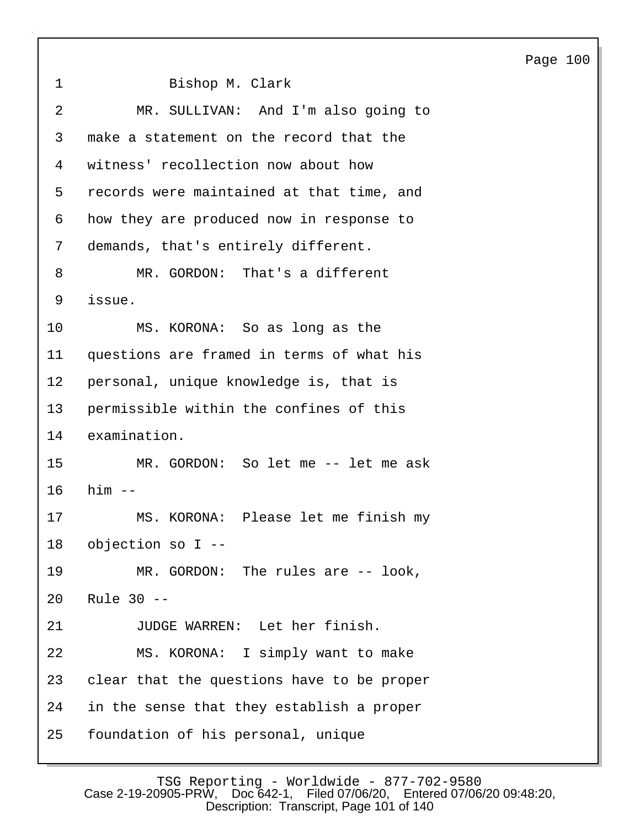1 Bishop M. Clark 2 MR. SULLIVAN: And I'm also going to 3 make a statement on the record that the 4 witness' recollection now about how 5 records were maintained at that time, and 6 how they are produced now in response to 7 demands, that's entirely different. 8 MR. GORDON: That's a different 9 issue. 10 MS. KORONA: So as long as the 11 questions are framed in terms of what his 12 personal, unique knowledge is, that is 13 permissible within the confines of this 14 examination. 15 MR. GORDON: So let me -- let me ask 16 him -- 17 MS. KORONA: Please let me finish my 18 objection so I -- 19 MR. GORDON: The rules are -- look, 20 Rule 30 -- 21 JUDGE WARREN: Let her finish. 22 MS. KORONA: I simply want to make 23 clear that the questions have to be proper 24 in the sense that they establish a proper 25 foundation of his personal, unique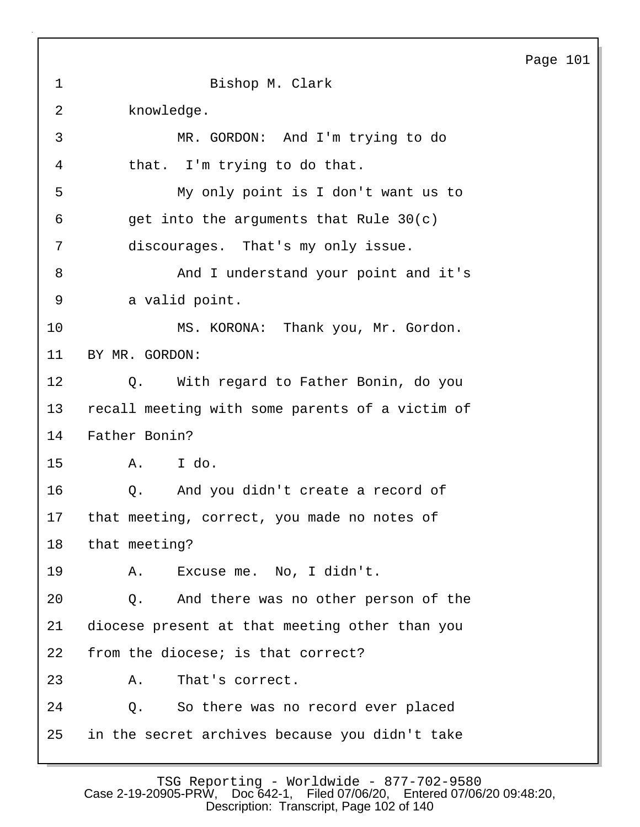1 Bishop M. Clark 2 knowledge. 3 MR. GORDON: And I'm trying to do 4 that. I'm trying to do that. 5 My only point is I don't want us to  $6$  get into the arguments that Rule  $30(c)$ 7 discourages. That's my only issue. 8 And I understand your point and it's 9 a valid point. 10 MS. KORONA: Thank you, Mr. Gordon. 11 BY MR. GORDON: 12 Q. With regard to Father Bonin, do you 13 recall meeting with some parents of a victim of 14 Father Bonin? 15 A. I do. 16 Q. And you didn't create a record of 17 that meeting, correct, you made no notes of 18 that meeting? 19 A. Excuse me. No, I didn't. 20 Q. And there was no other person of the 21 diocese present at that meeting other than you 22 from the diocese; is that correct? 23 A. That's correct. 24 Q. So there was no record ever placed 25 in the secret archives because you didn't take

TSG Reporting - Worldwide - 877-702-9580 Case 2-19-20905-PRW, Doc 642-1, Filed 07/06/20, Entered 07/06/20 09:48:20, Description: Transcript, Page 102 of 140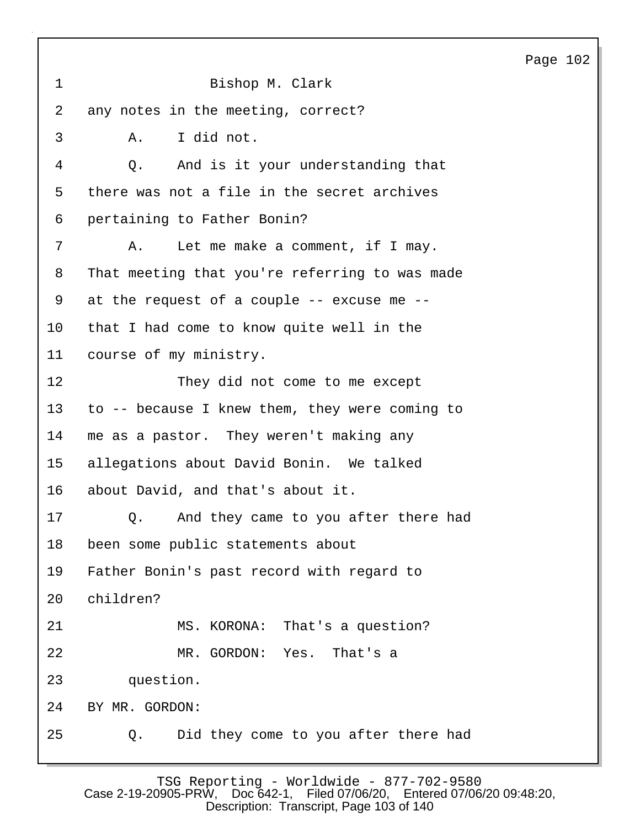| $\mathbf{1}$   | Bishop M. Clark                                |  |  |
|----------------|------------------------------------------------|--|--|
| $\overline{a}$ | any notes in the meeting, correct?             |  |  |
| 3              | I did not.<br>Α.                               |  |  |
| 4              | And is it your understanding that<br>Q.        |  |  |
| 5              | there was not a file in the secret archives    |  |  |
| 6              | pertaining to Father Bonin?                    |  |  |
| 7              | Let me make a comment, if I may.<br>Α.         |  |  |
| 8              | That meeting that you're referring to was made |  |  |
| 9              | at the request of a couple -- excuse me --     |  |  |
| 10             | that I had come to know quite well in the      |  |  |
| 11             | course of my ministry.                         |  |  |
| 12             | They did not come to me except                 |  |  |
| 13             | to -- because I knew them, they were coming to |  |  |
| 14             | me as a pastor. They weren't making any        |  |  |
| 15             | allegations about David Bonin. We talked       |  |  |
| 16             | about David, and that's about it.              |  |  |
| 17             | And they came to you after there had<br>Q.     |  |  |
| 18             | been some public statements about              |  |  |
| 19             | Father Bonin's past record with regard to      |  |  |
| 20             | children?                                      |  |  |
| 21             | MS. KORONA: That's a question?                 |  |  |
| 22             | MR. GORDON: Yes. That's a                      |  |  |
| 23             | question.                                      |  |  |
| 24             | BY MR. GORDON:                                 |  |  |
| 25             | Did they come to you after there had<br>Q.     |  |  |

TSG Reporting - Worldwide - 877-702-9580 Case 2-19-20905-PRW, Doc 642-1, Filed 07/06/20, Entered 07/06/20 09:48:20, Description: Transcript, Page 103 of 140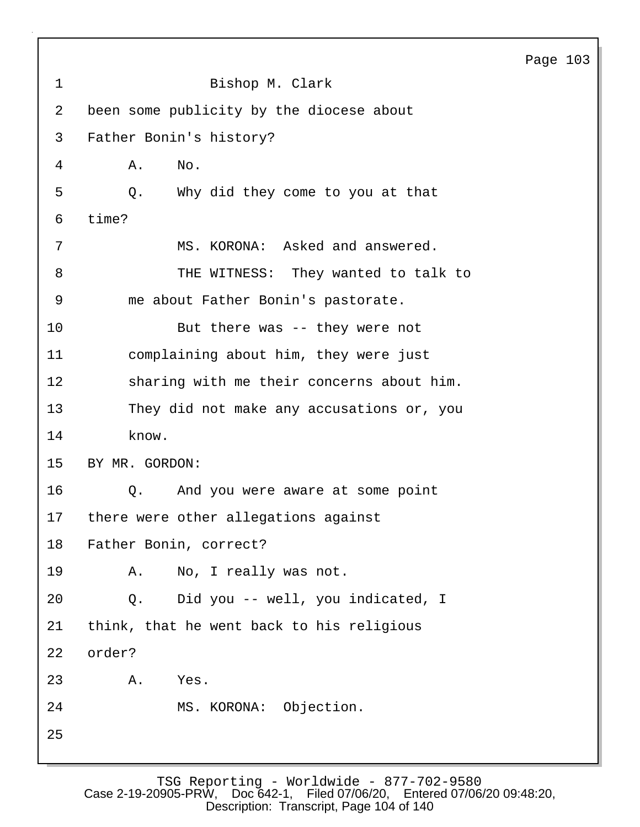| $\mathbf 1$ | Bishop M. Clark                           |
|-------------|-------------------------------------------|
| 2           | been some publicity by the diocese about  |
| 3           | Father Bonin's history?                   |
| 4           | No.<br>Α.                                 |
| 5           | Why did they come to you at that<br>Q.    |
| 6           | time?                                     |
| 7           | MS. KORONA: Asked and answered.           |
| 8           | THE WITNESS: They wanted to talk to       |
| 9           | me about Father Bonin's pastorate.        |
| 10          | But there was -- they were not            |
| 11          | complaining about him, they were just     |
| 12          | sharing with me their concerns about him. |
| 13          | They did not make any accusations or, you |
| 14          | know.                                     |
| 15          | BY MR. GORDON:                            |
| 16          | And you were aware at some point<br>Q.    |
| 17          | there were other allegations against      |
| 18          | Father Bonin, correct?                    |
| 19          | No, I really was not.<br>Α.               |
| 20          | Q. Did you -- well, you indicated, I      |
| 21          | think, that he went back to his religious |
| 22          | order?                                    |
| 23          | Α.<br>Yes.                                |
| 24          | MS. KORONA: Objection.                    |
| 25          |                                           |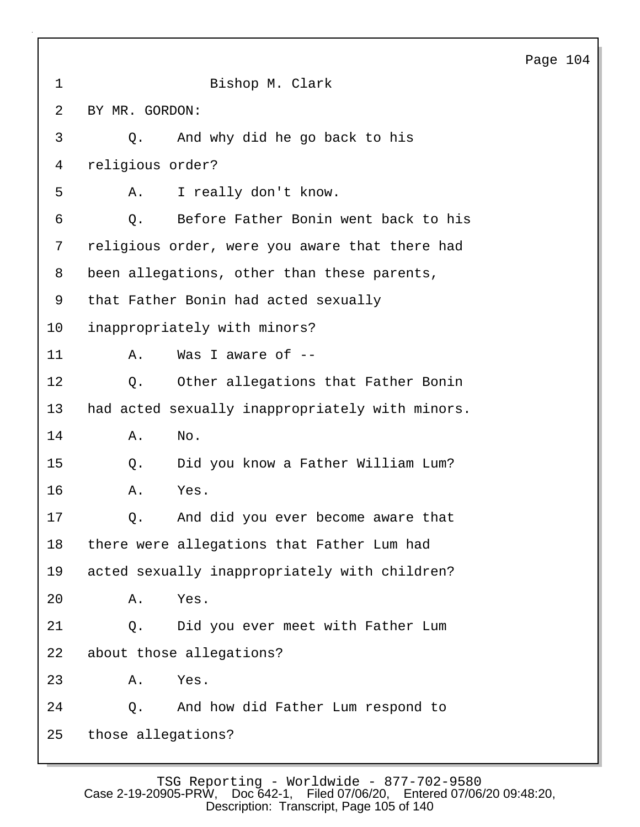| 1  | Bishop M. Clark                                 |
|----|-------------------------------------------------|
| 2  | BY MR. GORDON:                                  |
| 3  | And why did he go back to his<br>Q.             |
| 4  | religious order?                                |
| 5  | I really don't know.<br>Α.                      |
| 6  | Before Father Bonin went back to his<br>Q.      |
| 7  | religious order, were you aware that there had  |
| 8  | been allegations, other than these parents,     |
| 9  | that Father Bonin had acted sexually            |
| 10 | inappropriately with minors?                    |
| 11 | Was I aware of --<br>Α.                         |
| 12 | Other allegations that Father Bonin<br>Q.       |
| 13 | had acted sexually inappropriately with minors. |
| 14 | No.<br>Α.                                       |
| 15 | Did you know a Father William Lum?<br>Q.        |
| 16 | Yes.<br>Α.                                      |
| 17 | And did you ever become aware that<br>Q.        |
| 18 | there were allegations that Father Lum had      |
| 19 | acted sexually inappropriately with children?   |
| 20 | Yes.<br>Α.                                      |
| 21 | Did you ever meet with Father Lum<br>Q.         |
| 22 | about those allegations?                        |
| 23 | Yes.<br>Α.                                      |
| 24 | And how did Father Lum respond to<br>Q.         |
| 25 | those allegations?                              |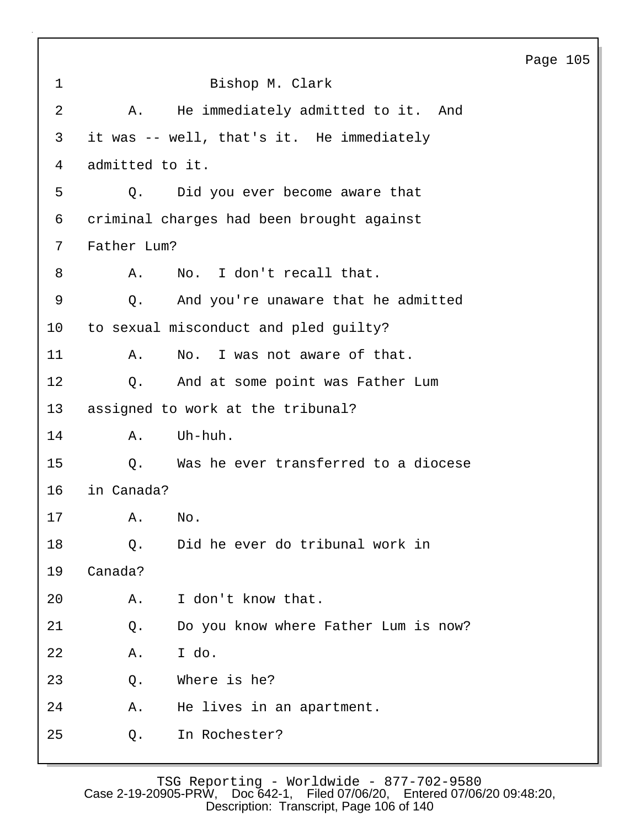|             |                                            |  | Page 105 |  |  |
|-------------|--------------------------------------------|--|----------|--|--|
| $\mathbf 1$ | Bishop M. Clark                            |  |          |  |  |
| 2           | He immediately admitted to it. And<br>Α.   |  |          |  |  |
| 3           | it was -- well, that's it. He immediately  |  |          |  |  |
| 4           | admitted to it.                            |  |          |  |  |
| 5           | Did you ever become aware that<br>Q.       |  |          |  |  |
| 6           | criminal charges had been brought against  |  |          |  |  |
| 7           | Father Lum?                                |  |          |  |  |
| 8           | No. I don't recall that.<br>Α.             |  |          |  |  |
| $\mathsf 9$ | And you're unaware that he admitted<br>Q.  |  |          |  |  |
| 10          | to sexual misconduct and pled quilty?      |  |          |  |  |
| 11          | No. I was not aware of that.<br>Α.         |  |          |  |  |
| 12          | And at some point was Father Lum<br>Q.     |  |          |  |  |
| 13          | assigned to work at the tribunal?          |  |          |  |  |
| 14          | Uh-huh.<br>Α.                              |  |          |  |  |
| 15          | Was he ever transferred to a diocese<br>Q. |  |          |  |  |
| 16          | in Canada?                                 |  |          |  |  |
| 17          | No.<br>Α.                                  |  |          |  |  |
| 18          | Did he ever do tribunal work in<br>Q.      |  |          |  |  |
| 19          | Canada?                                    |  |          |  |  |
| 20          | I don't know that.<br>Α.                   |  |          |  |  |
| 21          | Do you know where Father Lum is now?<br>Q. |  |          |  |  |
| 22          | I do.<br>Α.                                |  |          |  |  |
| 23          | Where is he?<br>Q.                         |  |          |  |  |
| 24          | He lives in an apartment.<br>Α.            |  |          |  |  |
| 25          | In Rochester?<br>Q.                        |  |          |  |  |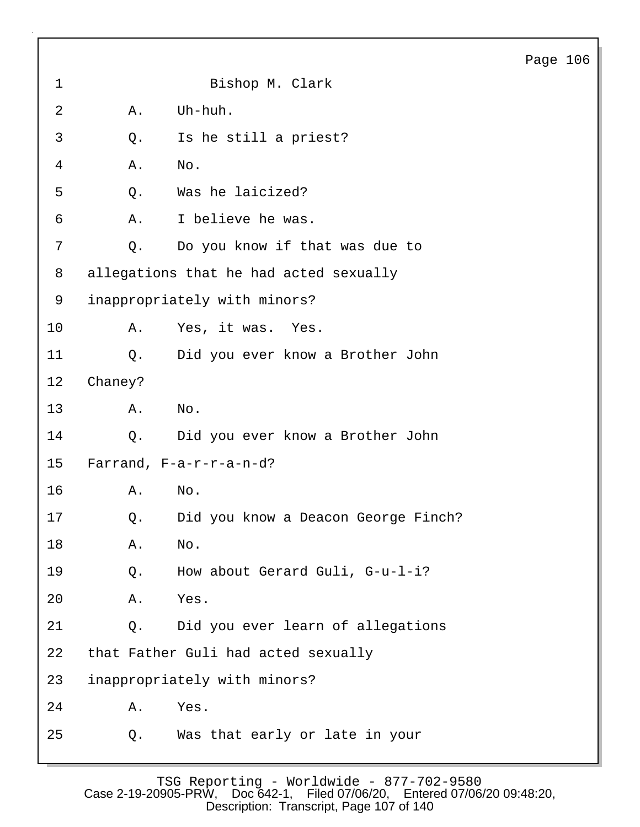| 1  |         | Bishop M. Clark                        |
|----|---------|----------------------------------------|
| 2  | Α.      | Uh-huh.                                |
| 3  | Q.      | Is he still a priest?                  |
| 4  | Α.      | No.                                    |
| 5  | Q.      | Was he laicized?                       |
| 6  | Α.      | I believe he was.                      |
| 7  | Q.      | Do you know if that was due to         |
| 8  |         | allegations that he had acted sexually |
| 9  |         | inappropriately with minors?           |
| 10 | Α.      | Yes, it was. Yes.                      |
| 11 | Q.      | Did you ever know a Brother John       |
| 12 | Chaney? |                                        |
| 13 | Α.      | No.                                    |
| 14 | Q.      | Did you ever know a Brother John       |
| 15 |         | Farrand, $F-a-r-r-a-n-d?$              |
| 16 | Α.      | No.                                    |
| 17 | Q.      | Did you know a Deacon George Finch?    |
| 18 | Α.      | No.                                    |
| 19 | Q.      | How about Gerard Guli, G-u-l-i?        |
| 20 | Α.      | Yes.                                   |
| 21 | Q.      | Did you ever learn of allegations      |
| 22 |         | that Father Guli had acted sexually    |
| 23 |         | inappropriately with minors?           |
| 24 | Α.      | Yes.                                   |
| 25 | Q.      | Was that early or late in your         |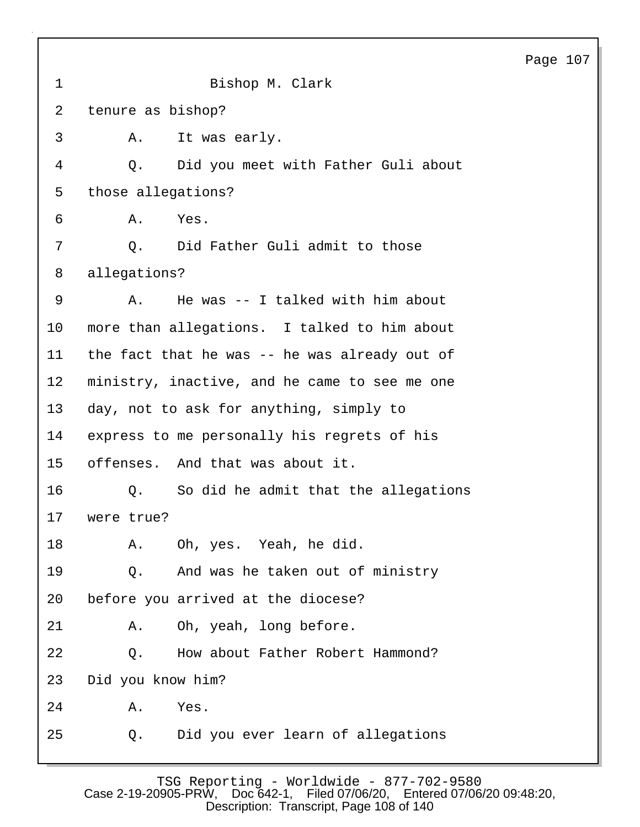| 1  | Bishop M. Clark                               |
|----|-----------------------------------------------|
| 2  | tenure as bishop?                             |
| 3  | It was early.<br>A.                           |
| 4  | Did you meet with Father Guli about<br>Q.     |
| 5  | those allegations?                            |
| 6  | Yes.<br>Α.                                    |
| 7  | Did Father Guli admit to those<br>$Q$ .       |
| 8  | allegations?                                  |
| 9  | He was -- I talked with him about<br>Α.       |
| 10 | more than allegations. I talked to him about  |
| 11 | the fact that he was -- he was already out of |
| 12 | ministry, inactive, and he came to see me one |
| 13 | day, not to ask for anything, simply to       |
| 14 | express to me personally his regrets of his   |
| 15 | offenses. And that was about it.              |
| 16 | Q. So did he admit that the allegations       |
| 17 | were true?                                    |
| 18 | A. Oh, yes. Yeah, he did.                     |
| 19 | And was he taken out of ministry<br>Q.        |
| 20 | before you arrived at the diocese?            |
| 21 | Oh, yeah, long before.<br>Α.                  |
| 22 | How about Father Robert Hammond?<br>Q.        |
| 23 | Did you know him?                             |
| 24 | Yes.<br>Α.                                    |
| 25 | Did you ever learn of allegations<br>Q.       |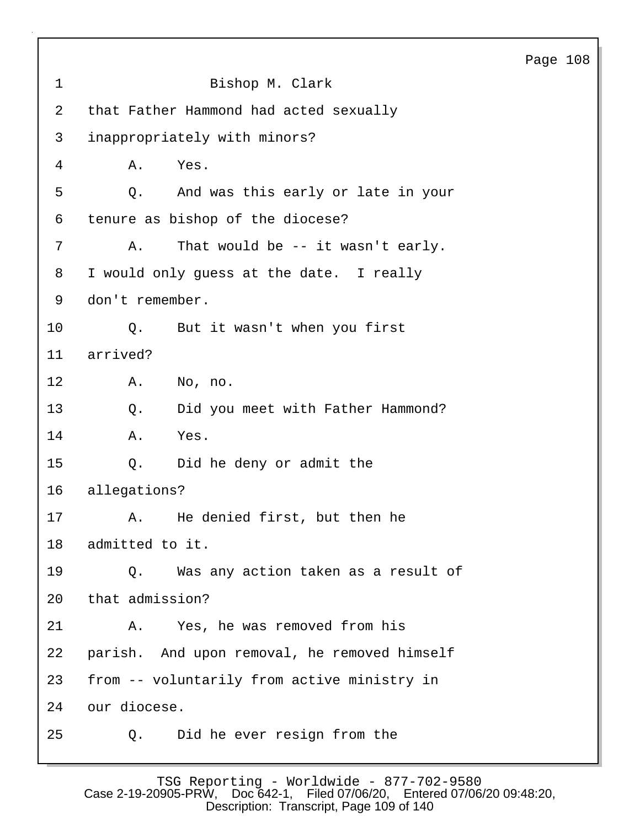| $\mathbf 1$     | Bishop M. Clark                              |
|-----------------|----------------------------------------------|
| 2               | that Father Hammond had acted sexually       |
| 3               | inappropriately with minors?                 |
| 4               | Yes.<br>Α.                                   |
| 5               | And was this early or late in your<br>Q.     |
| 6               | tenure as bishop of the diocese?             |
| 7               | That would be -- it wasn't early.<br>Α.      |
| 8               | I would only guess at the date. I really     |
| 9               | don't remember.                              |
| 10 <sub>o</sub> | But it wasn't when you first<br>$Q$ .        |
| 11              | arrived?                                     |
| 12 <sub>1</sub> | A. No, no.                                   |
| 13              | Did you meet with Father Hammond?<br>Q.      |
| 14              | Α.<br>Yes.                                   |
| 15              | Did he deny or admit the<br>Q.               |
| 16              | allegations?                                 |
| 17              | He denied first, but then he<br>Α.           |
| 18              | admitted to it.                              |
| 19              | Q. Was any action taken as a result of       |
| 20              | that admission?                              |
| 21              | Yes, he was removed from his<br>Α.           |
| 22              | parish. And upon removal, he removed himself |
| 23              | from -- voluntarily from active ministry in  |
| 24              | our diocese.                                 |
| 25              | Did he ever resign from the<br>Q.            |

TSG Reporting - Worldwide - 877-702-9580 Case 2-19-20905-PRW, Doc 642-1, Filed 07/06/20, Entered 07/06/20 09:48:20, Description: Transcript, Page 109 of 140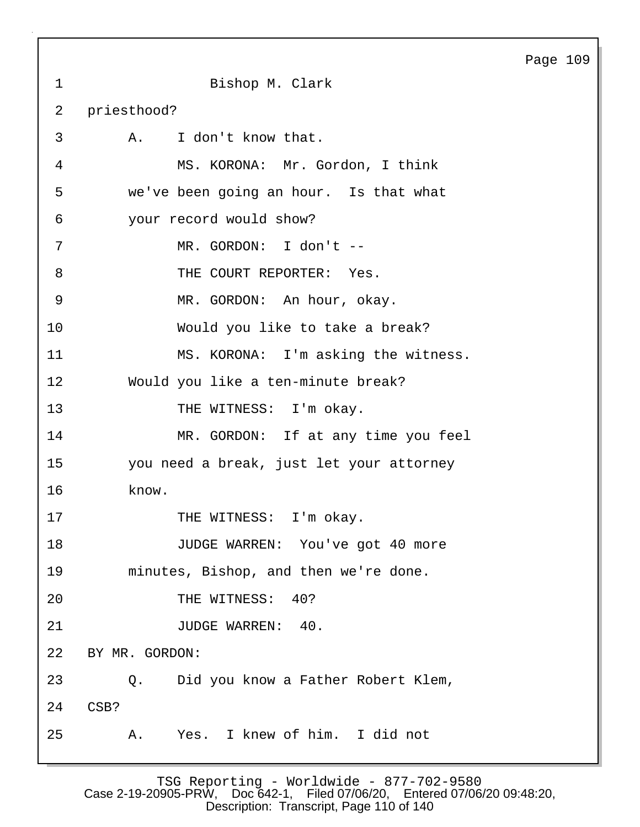1 Bishop M. Clark 2 priesthood? 3 A. I don't know that. 4 MS. KORONA: Mr. Gordon, I think 5 we've been going an hour. Is that what 6 your record would show? 7 MR. GORDON: I don't -- 8 THE COURT REPORTER: Yes. 9 MR. GORDON: An hour, okay. 10 Would you like to take a break? 11 MS. KORONA: I'm asking the witness. 12 Would you like a ten-minute break? 13 THE WITNESS: I'm okay. 14 MR. GORDON: If at any time you feel 15 you need a break, just let your attorney 16 know. 17 THE WITNESS: I'm okay. 18 JUDGE WARREN: You've got 40 more 19 minutes, Bishop, and then we're done. 20 THE WITNESS: 40? 21 JUDGE WARREN: 40. 22 BY MR. GORDON: 23 Q. Did you know a Father Robert Klem, 24 CSB? 25 A. Yes. I knew of him. I did not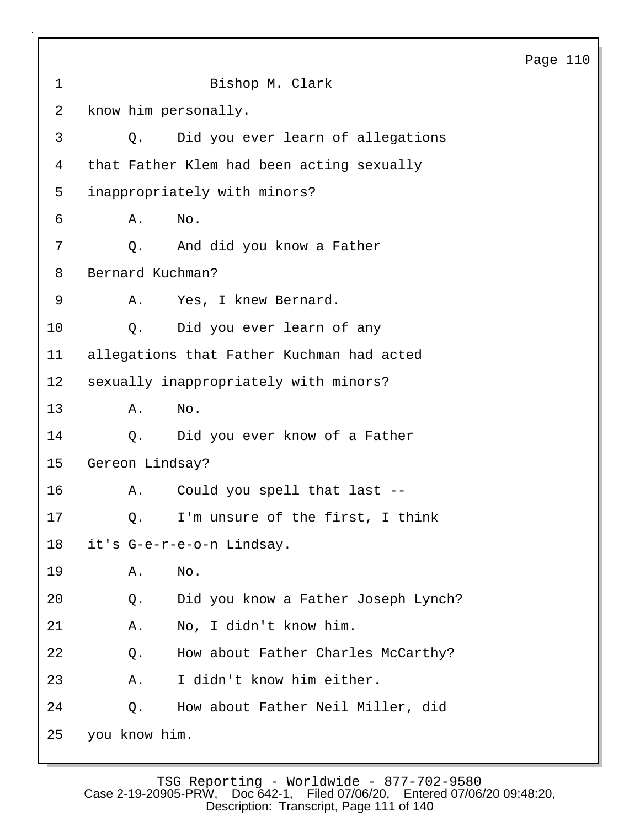| $\mathbf 1$     | Bishop M. Clark                            |
|-----------------|--------------------------------------------|
| 2               | know him personally.                       |
| 3               | Did you ever learn of allegations<br>О.    |
| 4               | that Father Klem had been acting sexually  |
| 5               | inappropriately with minors?               |
| 6               | No.<br>Α.                                  |
| 7               | Q. And did you know a Father               |
| 8               | Bernard Kuchman?                           |
| 9               | Α.<br>Yes, I knew Bernard.                 |
| 10              | Did you ever learn of any<br>$\circ$ .     |
| 11              | allegations that Father Kuchman had acted  |
| 12 <sup>°</sup> | sexually inappropriately with minors?      |
| 13              | Α.<br>No.                                  |
| 14              | Did you ever know of a Father<br>Q.        |
| 15              | Gereon Lindsay?                            |
| 16              | Could you spell that last --<br>Α.         |
| 17              | I'm unsure of the first, I think<br>Q.     |
| 18              | it's G-e-r-e-o-n Lindsay.                  |
| 19              | Α.<br>No.                                  |
| 20              | Did you know a Father Joseph Lynch?<br>Q.  |
| 21              | No, I didn't know him.<br>Α.               |
| 22              | Q.<br>How about Father Charles McCarthy?   |
| 23              | I didn't know him either.<br>Α.            |
| 24              | How about Father Neil Miller, did<br>$Q$ . |
| 25              | you know him.                              |

TSG Reporting - Worldwide - 877-702-9580 Case 2-19-20905-PRW, Doc 642-1, Filed 07/06/20, Entered 07/06/20 09:48:20, Description: Transcript, Page 111 of 140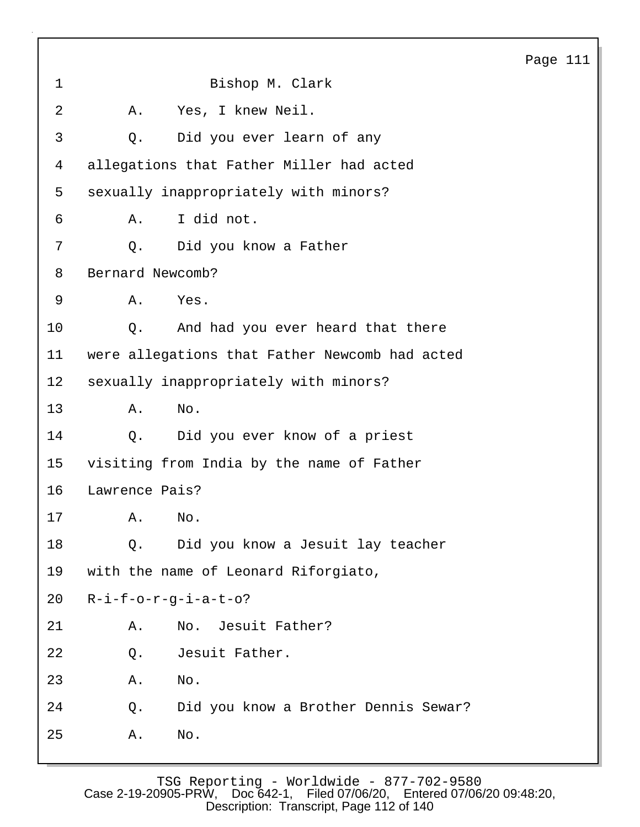1 Bishop M. Clark 2 A. Yes, I knew Neil. 3 Q. Did you ever learn of any 4 allegations that Father Miller had acted 5 sexually inappropriately with minors? 6 A. I did not. 7 Q. Did you know a Father 8 Bernard Newcomb? 9 A. Yes. 10 Q. And had you ever heard that there 11 were allegations that Father Newcomb had acted 12 sexually inappropriately with minors? 13 A. No. 14 Q. Did you ever know of a priest 15 visiting from India by the name of Father 16 Lawrence Pais? 17 A. No. 18 Q. Did you know a Jesuit lay teacher 19 with the name of Leonard Riforgiato, 20 R-i-f-o-r-g-i-a-t-o? 21 A. No. Jesuit Father? 22 Q. Jesuit Father. 23 A. No. 24 Q. Did you know a Brother Dennis Sewar? 25 A. No.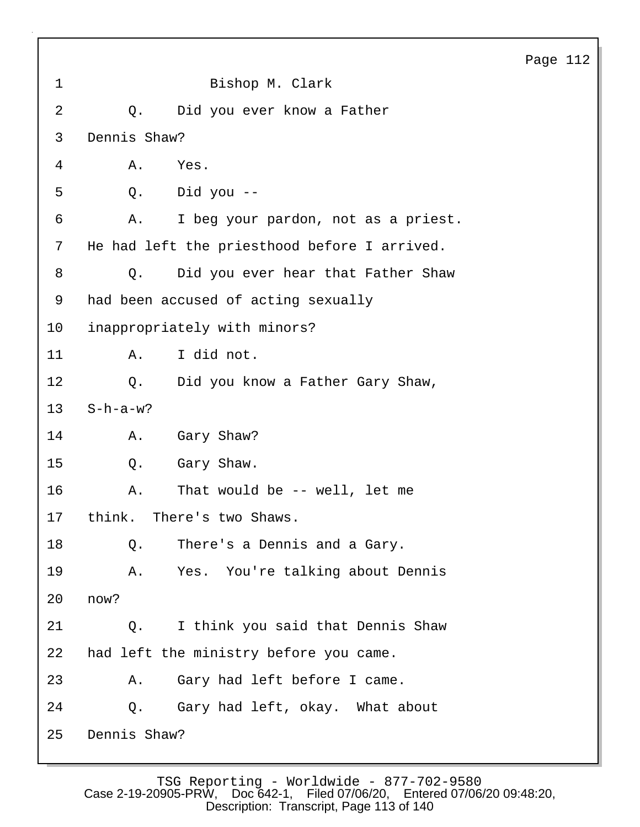|             |              |                                              | Pag |
|-------------|--------------|----------------------------------------------|-----|
| $\mathbf 1$ |              | Bishop M. Clark                              |     |
| 2           | $Q$ .        | Did you ever know a Father                   |     |
| 3           | Dennis Shaw? |                                              |     |
| 4           | Α.           | Yes.                                         |     |
| 5           | Q.           | Did you --                                   |     |
| 6           | Α.           | I beg your pardon, not as a priest.          |     |
| 7           |              | He had left the priesthood before I arrived. |     |
| 8           | Q.           | Did you ever hear that Father Shaw           |     |
| 9           |              | had been accused of acting sexually          |     |
| 10          |              | inappropriately with minors?                 |     |
| 11          | Α.           | I did not.                                   |     |
| 12          | $Q$ .        | Did you know a Father Gary Shaw,             |     |
| 13          | $S-h-a-w?$   |                                              |     |
| 14          | Α.           | Gary Shaw?                                   |     |
| 15          | Q.           | Gary Shaw.                                   |     |
| 16          | Α.           | That would be -- well, let me                |     |
| 17          |              | think. There's two Shaws.                    |     |
| 18          | Q.           | There's a Dennis and a Gary.                 |     |
| 19          | Α.           | Yes. You're talking about Dennis             |     |
| 20          | now?         |                                              |     |
| 21          | $Q_{\star}$  | I think you said that Dennis Shaw            |     |
| 22          |              | had left the ministry before you came.       |     |
| 23          | Α.           | Gary had left before I came.                 |     |
| 24          |              | Q. Gary had left, okay. What about           |     |
| 25          | Dennis Shaw? |                                              |     |

ge 112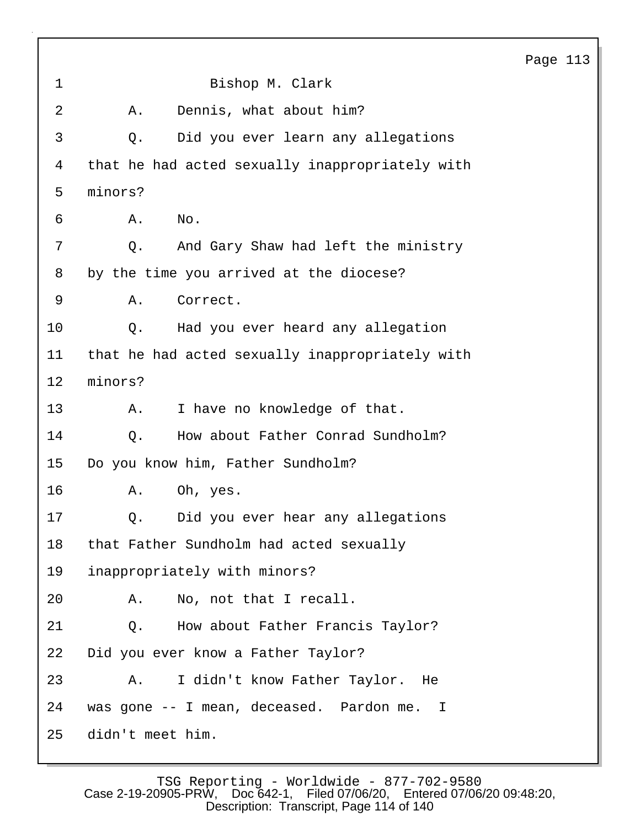1 Bishop M. Clark 2 A. Dennis, what about him? 3 Q. Did you ever learn any allegations 4 that he had acted sexually inappropriately with 5 minors? 6 A. No. 7 Q. And Gary Shaw had left the ministry 8 by the time you arrived at the diocese? 9 A. Correct. 10 Q. Had you ever heard any allegation 11 that he had acted sexually inappropriately with 12 minors? 13 A. I have no knowledge of that. 14 O. How about Father Conrad Sundholm? 15 Do you know him, Father Sundholm? 16 A. Oh, yes. 17 Q. Did you ever hear any allegations 18 that Father Sundholm had acted sexually 19 inappropriately with minors? 20 A. No, not that I recall. 21 Q. How about Father Francis Taylor? 22 Did you ever know a Father Taylor? 23 A. I didn't know Father Taylor. He 24 was gone -- I mean, deceased. Pardon me. I 25 didn't meet him.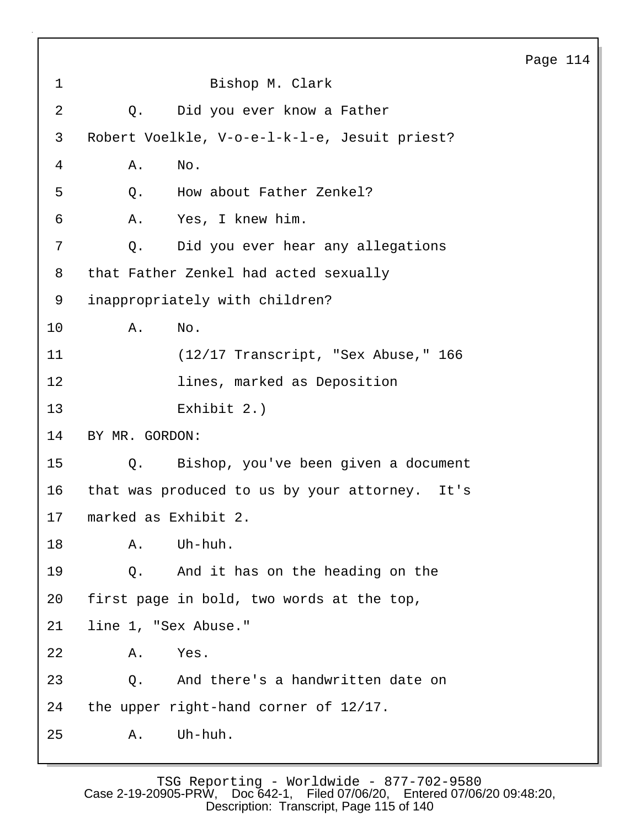1 Bishop M. Clark 2 Q. Did you ever know a Father 3 Robert Voelkle, V-o-e-l-k-l-e, Jesuit priest? 4 A. No. 5 0. How about Father Zenkel? 6 A. Yes, I knew him. 7 Q. Did you ever hear any allegations 8 that Father Zenkel had acted sexually 9 inappropriately with children? 10 A. No. 11 (12/17 Transcript, "Sex Abuse," 166 12 lines, marked as Deposition 13 Exhibit 2.) 14 BY MR. GORDON: 15 Q. Bishop, you've been given a document 16 that was produced to us by your attorney. It's 17 marked as Exhibit 2. 18 A. Uh-huh. 19 Q. And it has on the heading on the 20 first page in bold, two words at the top, 21 line 1, "Sex Abuse." 22 A. Yes. 23 Q. And there's a handwritten date on 24 the upper right-hand corner of 12/17. 25 A. Uh-huh.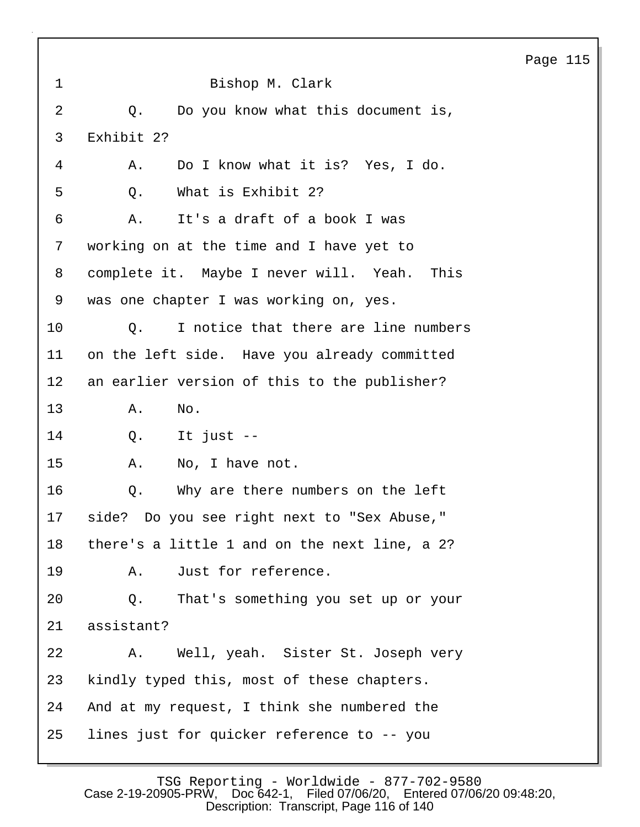# Page 115 1 Bishop M. Clark 2 Q. Do you know what this document is, 3 Exhibit 2? 4 A. Do I know what it is? Yes, I do. 5 0. What is Exhibit 2? 6 A. It's a draft of a book I was 7 working on at the time and I have yet to 8 complete it. Maybe I never will. Yeah. This 9 was one chapter I was working on, yes. 10 Q. I notice that there are line numbers 11 on the left side. Have you already committed 12 an earlier version of this to the publisher? 13 A. No. 14 Q. It just -- 15 A. No, I have not. 16 Q. Why are there numbers on the left 17 side? Do you see right next to "Sex Abuse," 18 there's a little 1 and on the next line, a 2? 19 A. Just for reference. 20 Q. That's something you set up or your 21 assistant? 22 A. Well, yeah. Sister St. Joseph very 23 kindly typed this, most of these chapters. 24 And at my request, I think she numbered the 25 lines just for quicker reference to -- you

TSG Reporting - Worldwide - 877-702-9580<br>0905-PRW, Doc642-1, Filed07/06/20, Entered07/06/2009:48:20, Case 2-19-20905-PRW, Doc 642-1, Description: Transcript, Page 116 of 140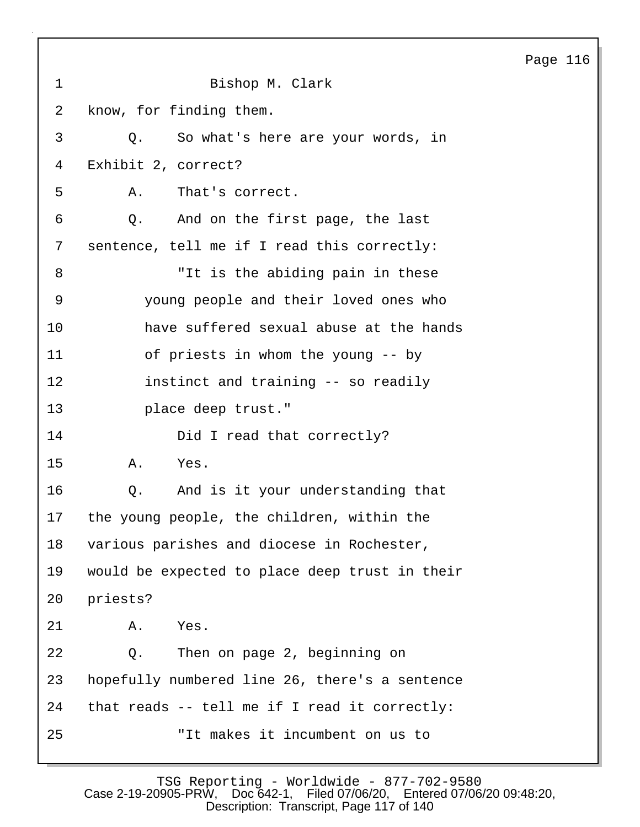| $\mathbf 1$ | Bishop M. Clark                                |
|-------------|------------------------------------------------|
| 2           | know, for finding them.                        |
| 3           | So what's here are your words, in<br>$Q$ .     |
| 4           | Exhibit 2, correct?                            |
| 5           | That's correct.<br>Α.                          |
| 6           | Q. And on the first page, the last             |
| 7           | sentence, tell me if I read this correctly:    |
| 8           | "It is the abiding pain in these               |
| 9           | young people and their loved ones who          |
| 10          | have suffered sexual abuse at the hands        |
| 11          | of priests in whom the young -- by             |
| 12          | instinct and training -- so readily            |
| 13          | place deep trust."                             |
| 14          | Did I read that correctly?                     |
| 15          | Α.<br>Yes.                                     |
| 16          | Q. And is it your understanding that           |
| 17          | the young people, the children, within the     |
| 18          | various parishes and diocese in Rochester,     |
| 19          | would be expected to place deep trust in their |
| 20          | priests?                                       |
| 21          | Α.<br>Yes.                                     |
| 22          | Then on page 2, beginning on<br>Q.             |
| 23          | hopefully numbered line 26, there's a sentence |
| 24          | that reads -- tell me if I read it correctly:  |
| 25          | "It makes it incumbent on us to                |

TSG Reporting - Worldwide - 877-702-9580 Case 2-19-20905-PRW, Doc 642-1, Filed 07/06/20, Entered 07/06/20 09:48:20, Description: Transcript, Page 117 of 140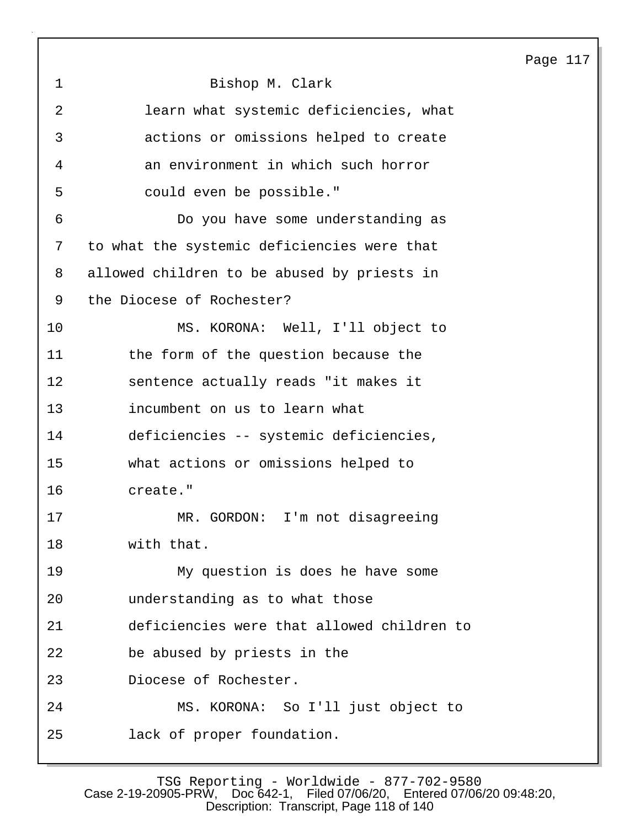|             |                                             | Page 117 |  |
|-------------|---------------------------------------------|----------|--|
| $\mathbf 1$ | Bishop M. Clark                             |          |  |
| 2           | learn what systemic deficiencies, what      |          |  |
| 3           | actions or omissions helped to create       |          |  |
| 4           | an environment in which such horror         |          |  |
| 5           | could even be possible."                    |          |  |
| 6           | Do you have some understanding as           |          |  |
| 7           | to what the systemic deficiencies were that |          |  |
| 8           | allowed children to be abused by priests in |          |  |
| 9           | the Diocese of Rochester?                   |          |  |
| 10          | MS. KORONA: Well, I'll object to            |          |  |
| 11          | the form of the question because the        |          |  |
| 12          | sentence actually reads "it makes it        |          |  |
| 13          | incumbent on us to learn what               |          |  |
| 14          | deficiencies -- systemic deficiencies,      |          |  |
| 15          | what actions or omissions helped to         |          |  |
| 16          | create."                                    |          |  |
| 17          | GORDON: I'm not disagreeing<br>MR .         |          |  |
| 18          | with that.                                  |          |  |
| 19          | My question is does he have some            |          |  |
| 20          | understanding as to what those              |          |  |
| 21          | deficiencies were that allowed children to  |          |  |
| 22          | be abused by priests in the                 |          |  |
| 23          | Diocese of Rochester.                       |          |  |
| 24          | MS. KORONA: So I'll just object to          |          |  |
| 25          | lack of proper foundation.                  |          |  |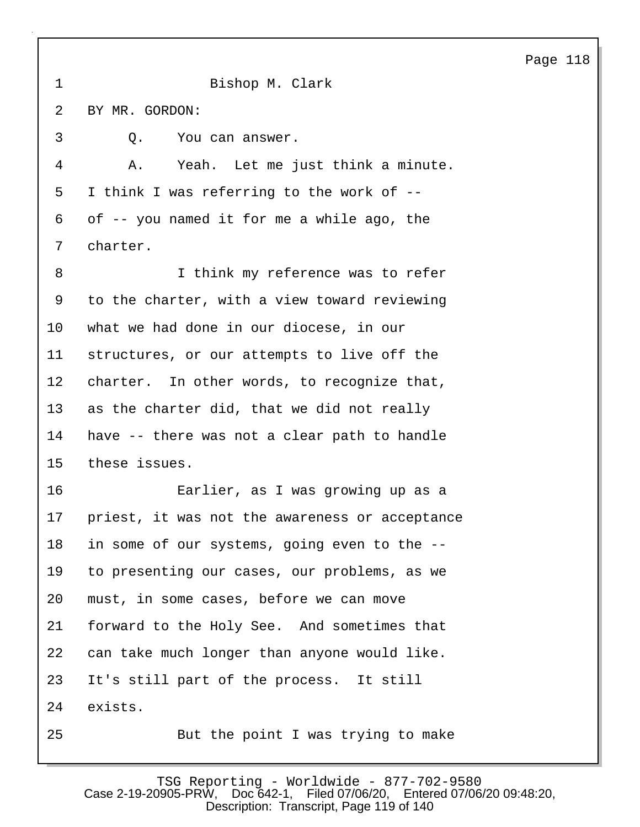1 Bishop M. Clark 2 BY MR. GORDON: 3 Q. You can answer. 4 A. Yeah. Let me just think a minute. 5 I think I was referring to the work of -- 6 of -- you named it for me a while ago, the 7 charter. 8 I think my reference was to refer 9 to the charter, with a view toward reviewing 10 what we had done in our diocese, in our 11 structures, or our attempts to live off the 12 charter. In other words, to recognize that, 13 as the charter did, that we did not really 14 have -- there was not a clear path to handle 15 these issues. 16 Earlier, as I was growing up as a 17 priest, it was not the awareness or acceptance 18 in some of our systems, going even to the -- 19 to presenting our cases, our problems, as we 20 must, in some cases, before we can move 21 forward to the Holy See. And sometimes that 22 can take much longer than anyone would like. 23 It's still part of the process. It still 24 exists. 25 But the point I was trying to make

TSG Reporting - Worldwide - 877-702-9580 Case 2-19-20905-PRW, Doc 642-1, Filed 07/06/20, Entered 07/06/20 09:48:20, Description: Transcript, Page 119 of 140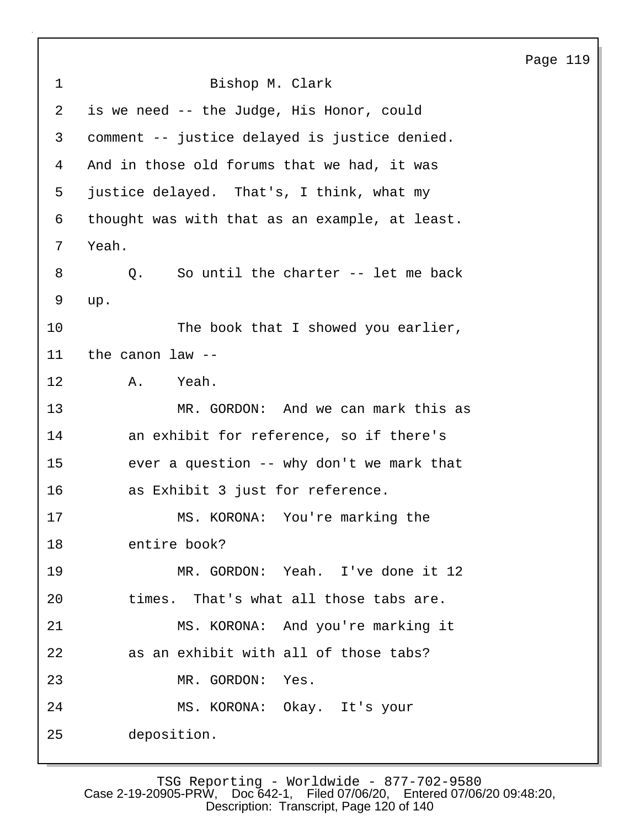|                |                                                | Page 119 |  |
|----------------|------------------------------------------------|----------|--|
| $\mathbf{1}$   | Bishop M. Clark                                |          |  |
| $\overline{2}$ | is we need -- the Judge, His Honor, could      |          |  |
| 3              | comment -- justice delayed is justice denied.  |          |  |
| 4              | And in those old forums that we had, it was    |          |  |
| 5              | justice delayed. That's, I think, what my      |          |  |
| 6              | thought was with that as an example, at least. |          |  |
| 7              | Yeah.                                          |          |  |
| 8              | So until the charter -- let me back<br>Q.      |          |  |
| 9              | up.                                            |          |  |
| 10             | The book that I showed you earlier,            |          |  |
| 11             | the canon law --                               |          |  |
| 12             | Yeah.<br>A.                                    |          |  |
| 13             | MR. GORDON: And we can mark this as            |          |  |
| 14             | an exhibit for reference, so if there's        |          |  |
| 15             | ever a question -- why don't we mark that      |          |  |
| 16             | as Exhibit 3 just for reference.               |          |  |
| 17             | MS. KORONA: You're marking the                 |          |  |
| 18             | entire book?                                   |          |  |
| 19             | MR. GORDON: Yeah. I've done it 12              |          |  |
| 20             | times. That's what all those tabs are.         |          |  |
| 21             | MS. KORONA: And you're marking it              |          |  |
| 22             | as an exhibit with all of those tabs?          |          |  |
| 23             | MR. GORDON: Yes.                               |          |  |
| 24             | MS. KORONA: Okay. It's your                    |          |  |
| 25             | deposition.                                    |          |  |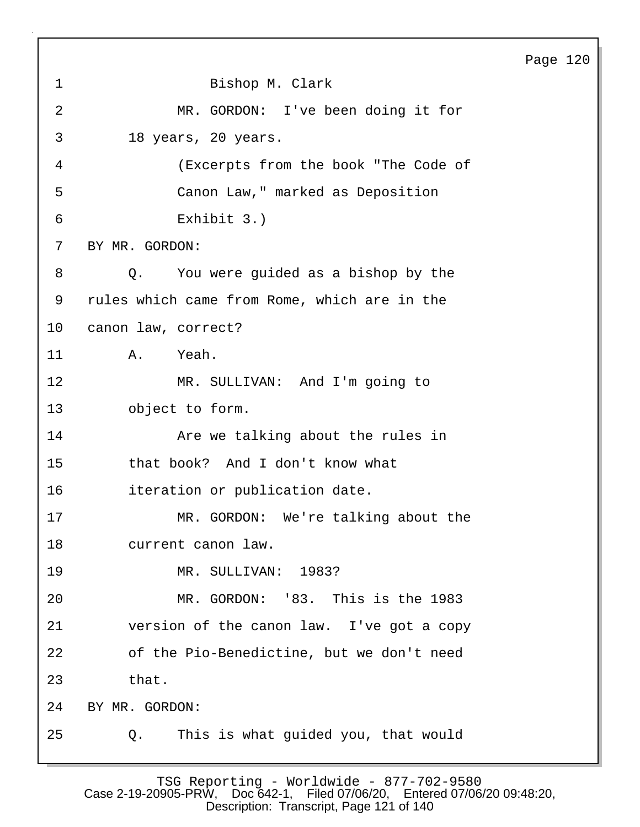# 1 Bishop M. Clark 2 MR. GORDON: I've been doing it for 3 18 years, 20 years. 4 (Excerpts from the book "The Code of 5 Canon Law," marked as Deposition 6 Exhibit 3.) 7 BY MR. GORDON: 8 Q. You were guided as a bishop by the 9 rules which came from Rome, which are in the 10 canon law, correct? 11 A. Yeah. 12 MR. SULLIVAN: And I'm going to 13 object to form. 14 **Are we talking about the rules in** 15 that book? And I don't know what 16 iteration or publication date. 17 MR. GORDON: We're talking about the 18 current canon law. 19 MR. SULLIVAN: 1983? 20 MR. GORDON: '83. This is the 1983 21 version of the canon law. I've got a copy 22 of the Pio-Benedictine, but we don't need 23 that. 24 BY MR. GORDON: 25 Q. This is what guided you, that would

Page 120

TSG Reporting - Worldwide - 877-702-9580 Case 2-19-20905-PRW, Doc 642-1, Filed 07/06/20, Entered 07/06/20 09:48:20, Description: Transcript, Page 121 of 140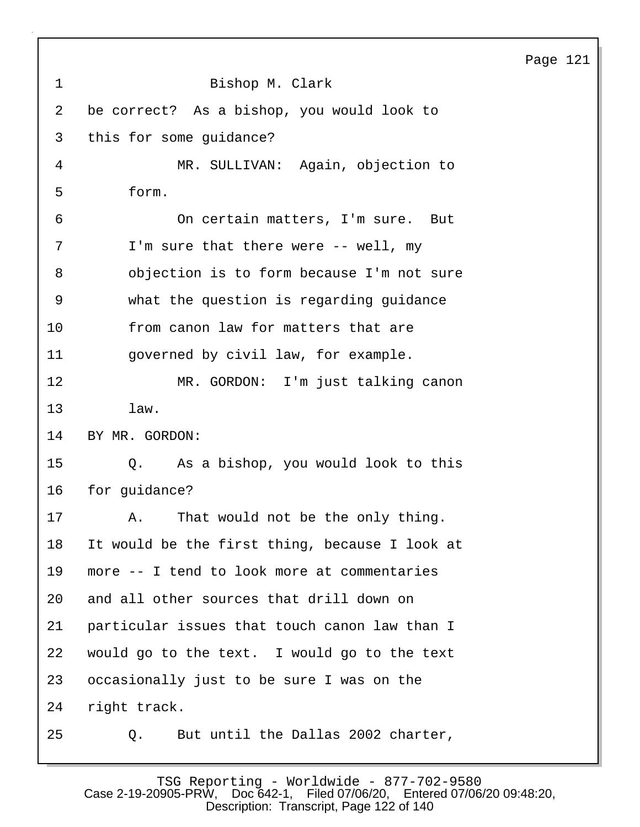|             |                                                    | Page 121 |
|-------------|----------------------------------------------------|----------|
| $\mathbf 1$ | Bishop M. Clark                                    |          |
| 2           | be correct? As a bishop, you would look to         |          |
| 3           | this for some guidance?                            |          |
| 4           | MR. SULLIVAN: Again, objection to                  |          |
| 5           | form.                                              |          |
| 6           | On certain matters, I'm sure. But                  |          |
| 7           | I'm sure that there were -- well, my               |          |
| 8           | objection is to form because I'm not sure          |          |
| 9           | what the question is regarding guidance            |          |
| 10          | from canon law for matters that are                |          |
| 11          | governed by civil law, for example.                |          |
| 12          | MR. GORDON: I'm just talking canon                 |          |
| 13          | law.                                               |          |
| 14          | BY MR. GORDON:                                     |          |
| 15          | Q. As a bishop, you would look to this             |          |
| 16          | for guidance?                                      |          |
| 17          | That would not be the only thing.<br>$A_{\bullet}$ |          |
| 18          | It would be the first thing, because I look at     |          |
| 19          | more -- I tend to look more at commentaries        |          |
| 20          | and all other sources that drill down on           |          |
| 21          | particular issues that touch canon law than I      |          |
| 22          | would go to the text. I would go to the text       |          |
| 23          | occasionally just to be sure I was on the          |          |
| 24          | right track.                                       |          |
| 25          | But until the Dallas 2002 charter,<br>Q.           |          |

TSG Reporting - Worldwide - 877-702-9580 Case 2-19-20905-PRW, Doc 642-1, Filed 07/06/20, Entered 07/06/20 09:48:20, Description: Transcript, Page 122 of 140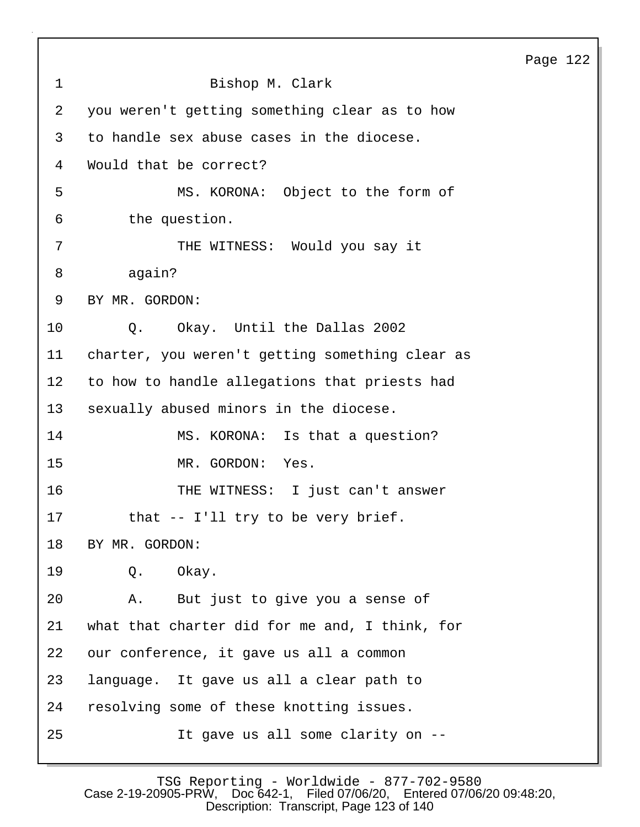|             |                                                 | Page 122 |  |
|-------------|-------------------------------------------------|----------|--|
| $\mathbf 1$ | Bishop M. Clark                                 |          |  |
| 2           | you weren't getting something clear as to how   |          |  |
| 3           | to handle sex abuse cases in the diocese.       |          |  |
| 4           | Would that be correct?                          |          |  |
| 5           | MS. KORONA: Object to the form of               |          |  |
| 6           | the question.                                   |          |  |
| 7           | THE WITNESS: Would you say it                   |          |  |
| 8           | again?                                          |          |  |
| 9           | BY MR. GORDON:                                  |          |  |
| 10          | Okay. Until the Dallas 2002<br>Q.               |          |  |
| 11          | charter, you weren't getting something clear as |          |  |
| 12          | to how to handle allegations that priests had   |          |  |
| 13          | sexually abused minors in the diocese.          |          |  |
| 14          | MS. KORONA: Is that a question?                 |          |  |
| 15          | MR. GORDON:<br>Yes.                             |          |  |
| 16          | THE WITNESS: I just can't answer                |          |  |
| 17          | that -- I'll try to be very brief.              |          |  |
| 18          | BY MR. GORDON:                                  |          |  |
| 19          | Okay.<br>Q.                                     |          |  |
| 20          | But just to give you a sense of<br>Α.           |          |  |
| 21          | what that charter did for me and, I think, for  |          |  |
| 22          | our conference, it gave us all a common         |          |  |
| 23          | language. It gave us all a clear path to        |          |  |
| 24          | resolving some of these knotting issues.        |          |  |
| 25          | It gave us all some clarity on --               |          |  |

TSG Reporting - Worldwide - 877-702-9580 Case 2-19-20905-PRW, Doc 642-1, Filed 07/06/20, Entered 07/06/20 09:48:20, Description: Transcript, Page 123 of 140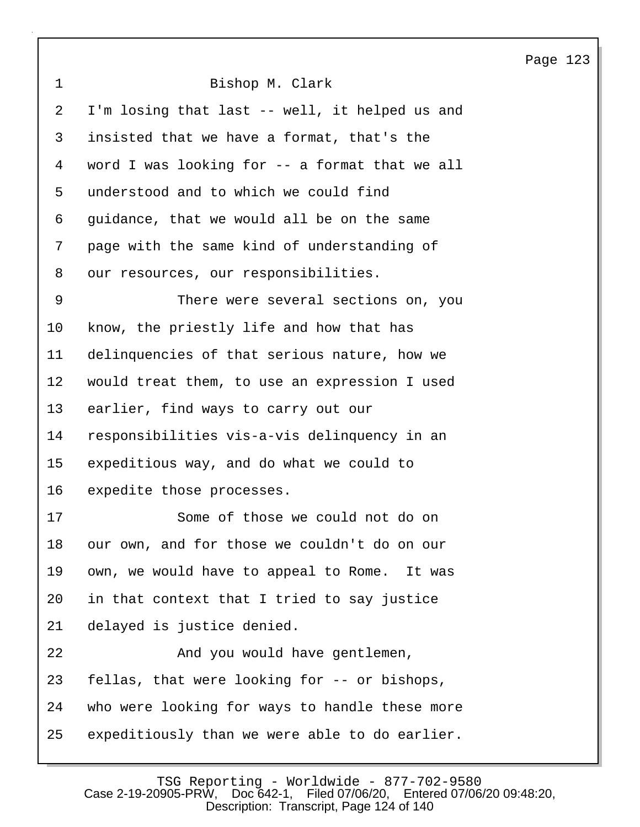Page 123 1 Bishop M. Clark 2 I'm losing that last -- well, it helped us and 3 insisted that we have a format, that's the 4 word I was looking for -- a format that we all 5 understood and to which we could find 6 guidance, that we would all be on the same 7 page with the same kind of understanding of 8 our resources, our responsibilities. 9 There were several sections on, you 10 know, the priestly life and how that has 11 delinquencies of that serious nature, how we 12 would treat them, to use an expression I used 13 earlier, find ways to carry out our 14 responsibilities vis-a-vis delinquency in an 15 expeditious way, and do what we could to 16 expedite those processes. 17 Some of those we could not do on 18 our own, and for those we couldn't do on our 19 own, we would have to appeal to Rome. It was 20 in that context that I tried to say justice 21 delayed is justice denied. 22 And you would have gentlemen, 23 fellas, that were looking for -- or bishops, 24 who were looking for ways to handle these more 25 expeditiously than we were able to do earlier.

TSG Reporting - Worldwide - 877-702-9580<br>Case 2-19-20905-PRW, Doc 642-1, Filed 07/06/20, Entered 07/06 Filed 07/06/20, Entered 07/06/20 09:48:20, Description: Transcript, Page 124 of 140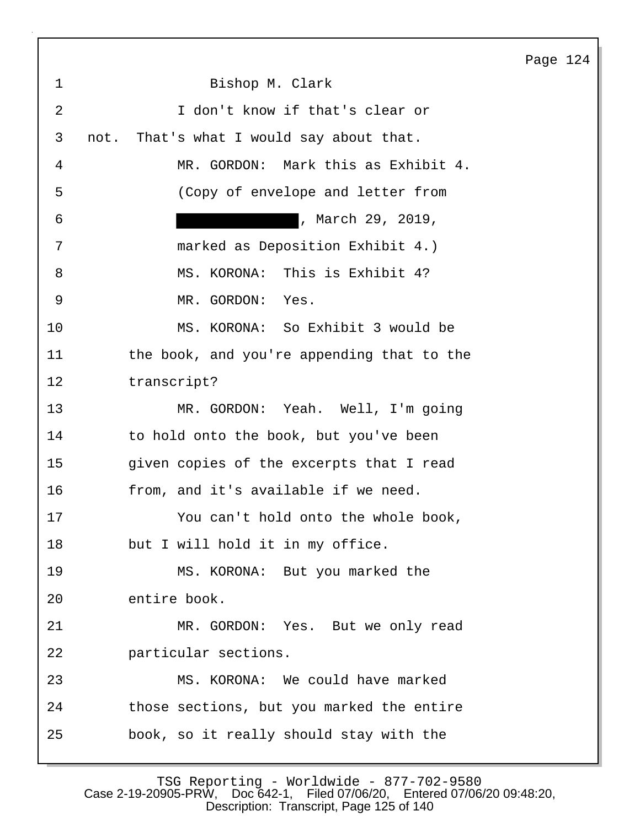1 Bishop M. Clark 2 I don't know if that's clear or 3 not. That's what I would say about that. 4 MR. GORDON: Mark this as Exhibit 4. 5 (Copy of envelope and letter from 6 , March 29, 2019, 7 marked as Deposition Exhibit 4.) 8 MS. KORONA: This is Exhibit 4? 9 MR. GORDON: Yes. 10 MS. KORONA: So Exhibit 3 would be 11 the book, and you're appending that to the 12 transcript? 13 MR. GORDON: Yeah. Well, I'm going 14 to hold onto the book, but you've been 15 given copies of the excerpts that I read 16 from, and it's available if we need. 17 You can't hold onto the whole book, 18 but I will hold it in my office. 19 MS. KORONA: But you marked the 20 entire book. 21 MR. GORDON: Yes. But we only read 22 particular sections. 23 MS. KORONA: We could have marked 24 those sections, but you marked the entire 25 book, so it really should stay with the

Page 124

TSG Reporting - Worldwide - 877-702-9580 Case 2-19-20905-PRW, Doc 642-1, Filed 07/06/20, Entered 07/06/20 09:48:20, Description: Transcript, Page 125 of 140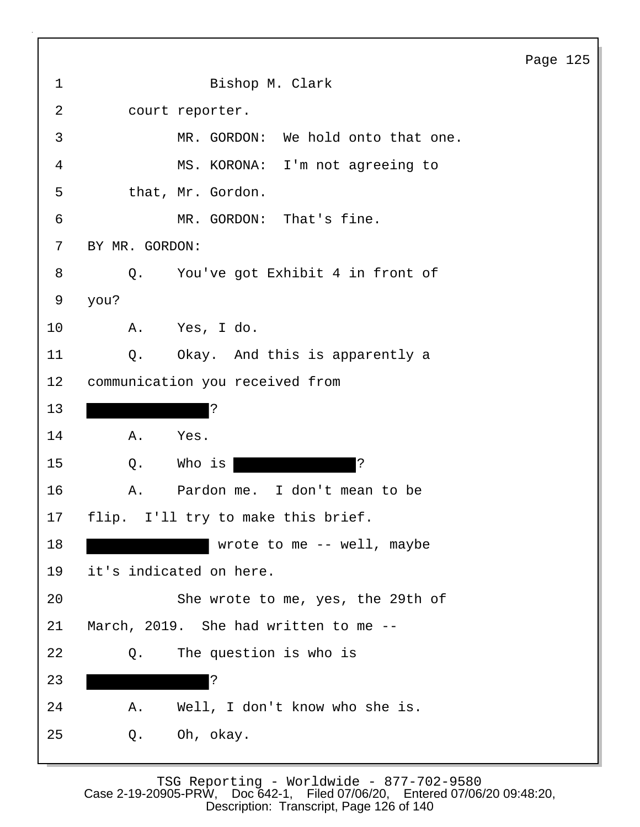| $\mathbf 1$ | Bishop M. Clark                       |
|-------------|---------------------------------------|
| 2           | court reporter.                       |
| 3           | MR. GORDON: We hold onto that one.    |
| 4           | MS. KORONA: I'm not agreeing to       |
| 5           | that, Mr. Gordon.                     |
| 6           | MR. GORDON: That's fine.              |
| 7           | BY MR. GORDON:                        |
| 8           | Q. You've got Exhibit 4 in front of   |
| 9           | you?                                  |
| 10          | A. Yes, I do.                         |
| 11          | Okay. And this is apparently a<br>Q.  |
| 12          | communication you received from       |
| 13          | $\cdot$                               |
| 14          | Α.<br>Yes.                            |
| 15          | $\mathbf{S}$<br>Who is<br>Q.          |
| 16          | Pardon me. I don't mean to be<br>Α.   |
| 17          | flip. I'll try to make this brief.    |
| 18          | wrote to me -- well, maybe            |
| 19          | it's indicated on here.               |
| 20          | She wrote to me, yes, the 29th of     |
| 21          | March, 2019. She had written to me -- |
| 22          | The question is who is<br>Q.          |
| 23          | ?                                     |
| 24          | Well, I don't know who she is.<br>Α.  |
| 25          | Oh, okay.<br>Q.                       |

 $\mathbf{I}$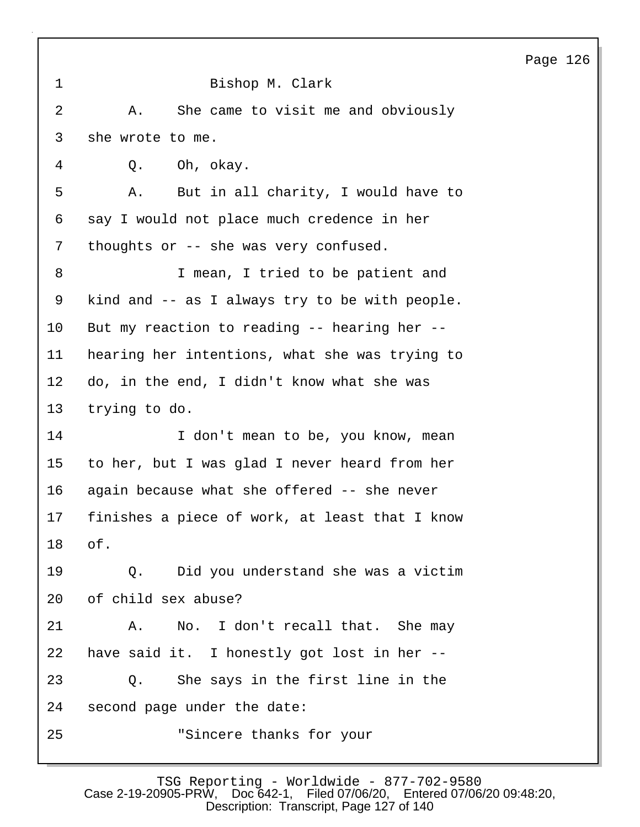| $\mathbf 1$     | Bishop M. Clark                                |
|-----------------|------------------------------------------------|
| $\overline{2}$  | She came to visit me and obviously<br>Α.       |
| 3               | she wrote to me.                               |
| 4               | Q. Oh, okay.                                   |
| 5               | But in all charity, I would have to<br>Α.      |
| 6               | say I would not place much credence in her     |
| 7               | thoughts or -- she was very confused.          |
| 8               | I mean, I tried to be patient and              |
| 9               | kind and -- as I always try to be with people. |
| 10              | But my reaction to reading -- hearing her --   |
| 11              | hearing her intentions, what she was trying to |
| 12              | do, in the end, I didn't know what she was     |
| 13              | trying to do.                                  |
| 14              | I don't mean to be, you know, mean             |
| 15 <sub>2</sub> | to her, but I was glad I never heard from her  |
| 16              | again because what she offered -- she never    |
| 17              | finishes a piece of work, at least that I know |
| 18              | of.                                            |
| 19              | Q. Did you understand she was a victim         |
| 20              | of child sex abuse?                            |
| 21              | No. I don't recall that. She may<br>Α.         |
| 22              | have said it. I honestly got lost in her --    |
| 23              | Q. She says in the first line in the           |
| 24              | second page under the date:                    |
| 25              | "Sincere thanks for your                       |
|                 |                                                |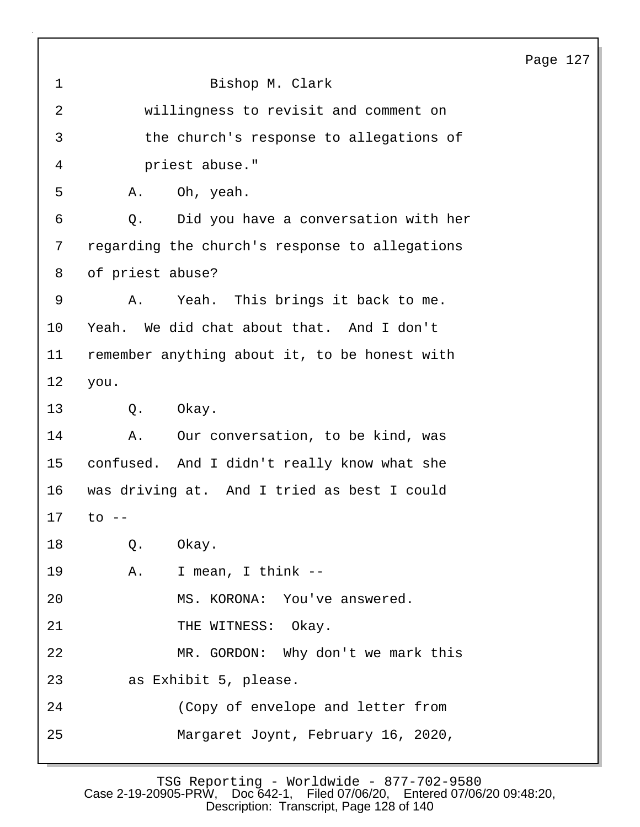| 1               | Bishop M. Clark                                |
|-----------------|------------------------------------------------|
| 2               | willingness to revisit and comment on          |
| 3               | the church's response to allegations of        |
| 4               | priest abuse."                                 |
| 5               | Oh, yeah.<br>Α.                                |
| 6               | Did you have a conversation with her<br>Q.     |
| 7               | regarding the church's response to allegations |
| 8               | of priest abuse?                               |
| 9               | Yeah. This brings it back to me.<br>Α.         |
| 10              | Yeah. We did chat about that. And I don't      |
| 11              | remember anything about it, to be honest with  |
| $12 \,$         | you.                                           |
| 13              | Q.<br>Okay.                                    |
| 14              | Our conversation, to be kind, was<br>Α.        |
| 15 <sub>2</sub> | confused. And I didn't really know what she    |
| 16              | was driving at. And I tried as best I could    |
| 17              | to                                             |
| 18              | Q. Okay.                                       |
| 19              | A. I mean, I think --                          |
| 20              | MS. KORONA: You've answered.                   |
| 21              | THE WITNESS: Okay.                             |
| 22              | MR. GORDON: Why don't we mark this             |
| 23              | as Exhibit 5, please.                          |
| 24              | (Copy of envelope and letter from              |
| 25              | Margaret Joynt, February 16, 2020,             |
|                 |                                                |

TSG Reporting - Worldwide - 877-702-9580 Case 2-19-20905-PRW, Doc 642-1, Filed 07/06/20, Entered 07/06/20 09:48:20, Description: Transcript, Page 128 of 140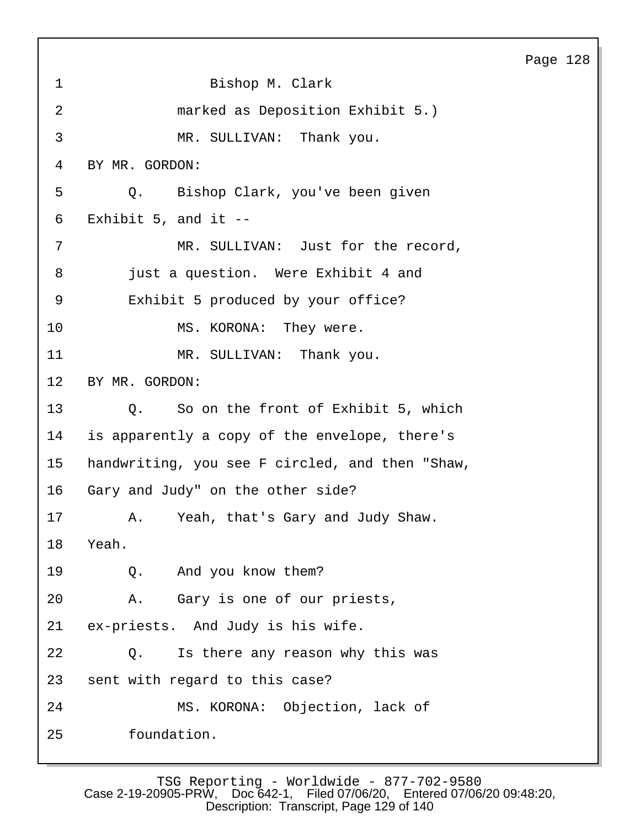Page 128 1 Bishop M. Clark 2 marked as Deposition Exhibit 5.) 3 MR. SULLIVAN: Thank you. 4 BY MR. GORDON: 5 Q. Bishop Clark, you've been given 6 Exhibit 5, and it -- 7 MR. SULLIVAN: Just for the record, 8 **just a question.** Were Exhibit 4 and 9 Exhibit 5 produced by your office? 10 MS. KORONA: They were. 11 MR. SULLIVAN: Thank you. 12 BY MR. GORDON: 13 Q. So on the front of Exhibit 5, which 14 is apparently a copy of the envelope, there's 15 handwriting, you see F circled, and then "Shaw, 16 Gary and Judy" on the other side? 17 A. Yeah, that's Gary and Judy Shaw. 18 Yeah. 19 Q. And you know them? 20 A. Gary is one of our priests, 21 ex-priests. And Judy is his wife. 22 Q. Is there any reason why this was 23 sent with regard to this case? 24 MS. KORONA: Objection, lack of 25 foundation.

TSG Reporting - Worldwide - 877-702-9580 Case 2-19-20905-PRW, Doc 642-1, Filed 07/06/20, Entered 07/06/20 09:48:20, Description: Transcript, Page 129 of 140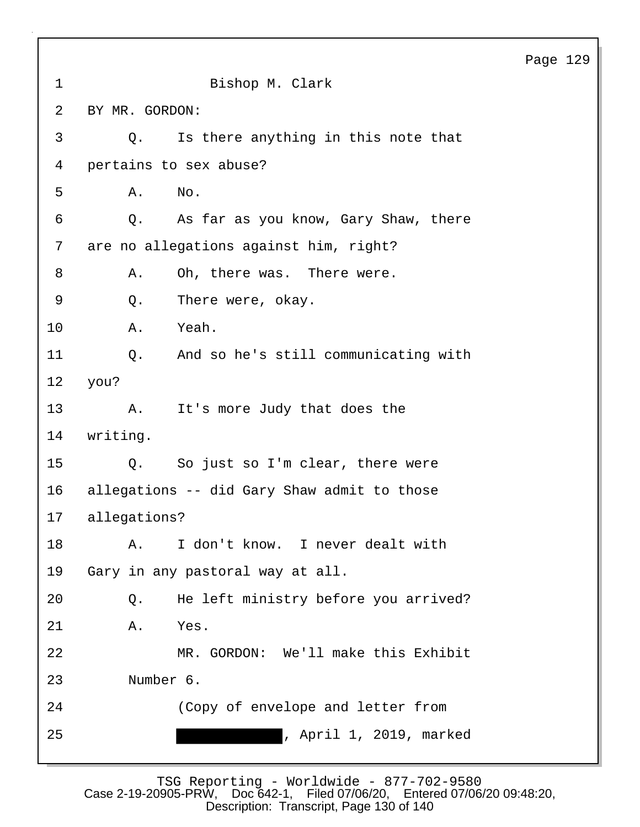| $\mathbf 1$     |                                        | Bishop M. Clark                             |
|-----------------|----------------------------------------|---------------------------------------------|
| 2               | BY MR. GORDON:                         |                                             |
| 3               | Q.                                     | Is there anything in this note that         |
| 4               | pertains to sex abuse?                 |                                             |
| 5               | Α.<br>No.                              |                                             |
| 6               | Q.                                     | As far as you know, Gary Shaw, there        |
| 7               | are no allegations against him, right? |                                             |
| 8               | Α.                                     | Oh, there was. There were.                  |
| 9               | There were, okay.<br>Q.                |                                             |
| 10              | Yeah.<br>Α.                            |                                             |
| 11              | $Q$ .                                  | And so he's still communicating with        |
| 12 <sup>°</sup> | you?                                   |                                             |
| 13              | A.                                     | It's more Judy that does the                |
| 14              | writing.                               |                                             |
| 15              | Q.                                     | So just so I'm clear, there were            |
| 16              |                                        | allegations -- did Gary Shaw admit to those |
| 17              | allegations?                           |                                             |
| 18              | Α.                                     | I don't know. I never dealt with            |
| 19              | Gary in any pastoral way at all.       |                                             |
| 20              | Q.                                     | He left ministry before you arrived?        |
| 21              | Yes.<br>Α.                             |                                             |
| 22              |                                        | MR. GORDON: We'll make this Exhibit         |
| 23              | Number 6.                              |                                             |
| 24              |                                        | (Copy of envelope and letter from           |
| 25              |                                        | , April 1, 2019, marked                     |

TSG Reporting - Worldwide - 877-702-9580 Case 2-19-20905-PRW, Doc 642-1, Filed 07/06/20, Entered 07/06/20 09:48:20, Description: Transcript, Page 130 of 140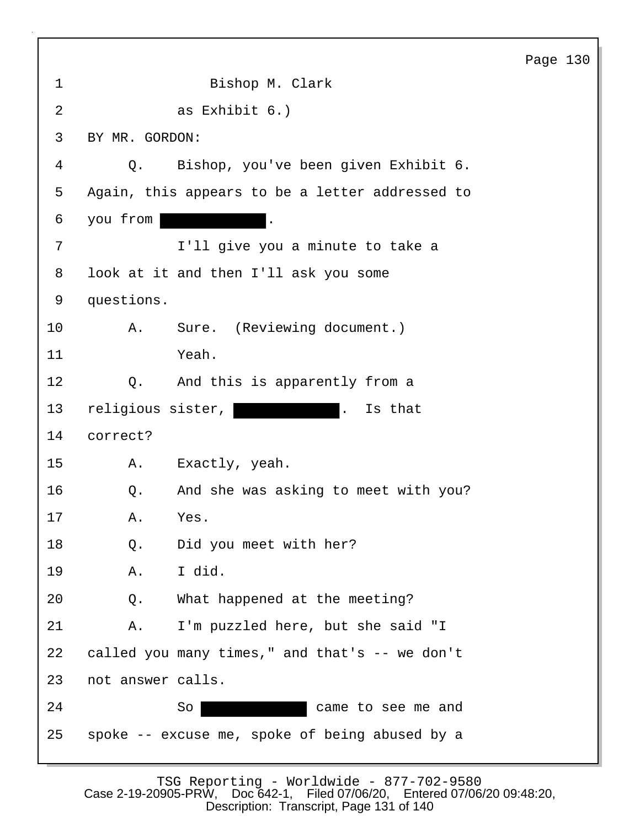|                |                                                          | Page 130 |  |
|----------------|----------------------------------------------------------|----------|--|
| $\mathbf{1}$   | Bishop M. Clark                                          |          |  |
| $\overline{2}$ | as Exhibit 6.)                                           |          |  |
| 3              | BY MR. GORDON:                                           |          |  |
| 4              | Bishop, you've been given Exhibit 6.<br>$Q$ .            |          |  |
| 5              | Again, this appears to be a letter addressed to          |          |  |
| 6              | you from<br>$\ddot{\phantom{a}}$                         |          |  |
| 7              | I'll give you a minute to take a                         |          |  |
| 8              | look at it and then I'll ask you some                    |          |  |
| 9              | questions.                                               |          |  |
| 10             | Sure. (Reviewing document.)<br>Α.                        |          |  |
| 11             | Yeah.                                                    |          |  |
| 12             | And this is apparently from a<br>Q.                      |          |  |
| 13             | religious sister,<br>Is that<br>$\overline{\phantom{a}}$ |          |  |
| 14             | correct?                                                 |          |  |
| 15             | Exactly, yeah.<br>Α.                                     |          |  |
| 16             | And she was asking to meet with you?<br>Q.               |          |  |
| 17             | Yes.<br>Α.                                               |          |  |
| 18             | Did you meet with her?<br>Q.                             |          |  |
| 19             | I did.<br>Α.                                             |          |  |
| 20             | What happened at the meeting?<br>Q.                      |          |  |
| 21             | I'm puzzled here, but she said "I<br>Α.                  |          |  |
| 22             | called you many times," and that's -- we don't           |          |  |
| 23             | not answer calls.                                        |          |  |
| 24             | So<br>came to see me and                                 |          |  |
| 25             | spoke -- excuse me, spoke of being abused by a           |          |  |
|                |                                                          |          |  |

 $\mathbf{I}$ 

TSG Reporting - Worldwide - 877-702-9580 Case 2-19-20905-PRW, Doc 642-1, Filed 07/06/20, Entered 07/06/20 09:48:20, Description: Transcript, Page 131 of 140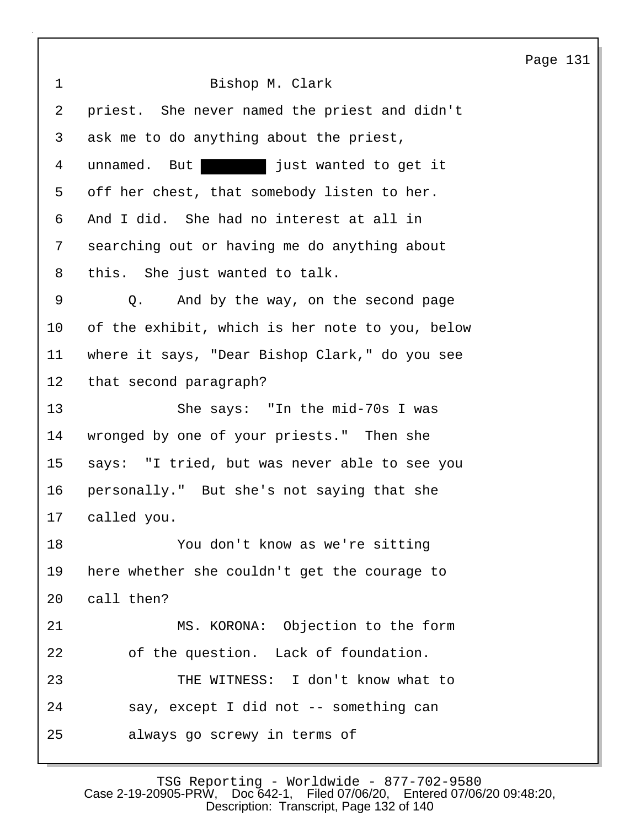Page 131 1 Bishop M. Clark 2 priest. She never named the priest and didn't 3 ask me to do anything about the priest, 4 unnamed. But just wanted to get it 5 off her chest, that somebody listen to her. 6 And I did. She had no interest at all in 7 searching out or having me do anything about 8 this. She just wanted to talk. 9 Q. And by the way, on the second page 10 of the exhibit, which is her note to you, below 11 where it says, "Dear Bishop Clark," do you see 12 that second paragraph? 13 She says: "In the mid-70s I was 14 wronged by one of your priests." Then she 15 says: "I tried, but was never able to see you 16 personally." But she's not saying that she 17 called you. 18 You don't know as we're sitting 19 here whether she couldn't get the courage to 20 call then? 21 MS. KORONA: Objection to the form 22 of the question. Lack of foundation. 23 THE WITNESS: I don't know what to 24 say, except I did not -- something can 25 always go screwy in terms of

TSG Reporting - Worldwide - 877-702-9580<br>0905-PRW, Doc642-1, Filed07/06/20, Entered07/06/2009:48:20, Case 2-19-20905-PR $\bar{W}$ , Doc 642-1, Description: Transcript, Page 132 of 140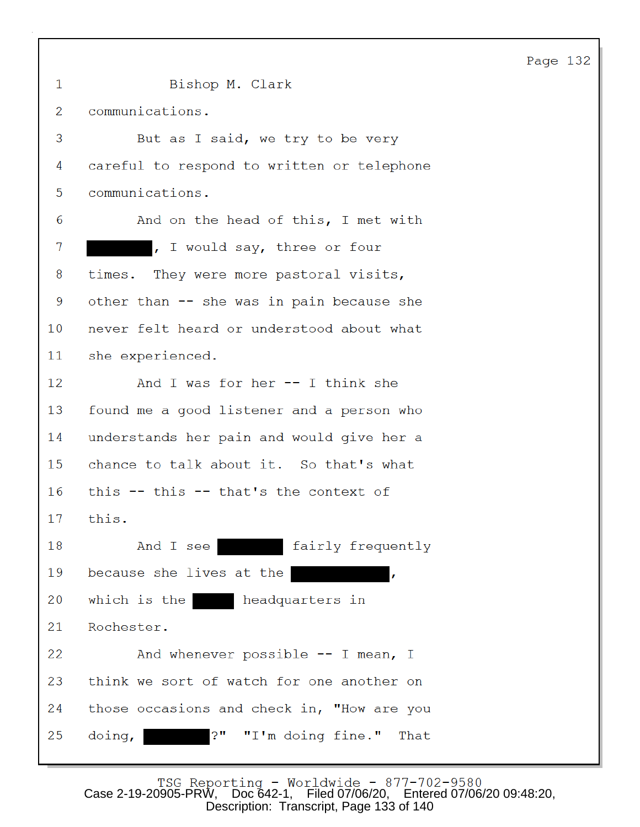| 1  | Bishop M. Clark                            |
|----|--------------------------------------------|
| 2  | communications.                            |
| 3  | But as I said, we try to be very           |
| 4  | careful to respond to written or telephone |
| 5  | communications.                            |
| 6  | And on the head of this, I met with        |
| 7  | , I would say, three or four               |
| 8  | times. They were more pastoral visits,     |
| 9  | other than -- she was in pain because she  |
| 10 | never felt heard or understood about what  |
| 11 | she experienced.                           |
| 12 | And I was for her -- I think she           |
| 13 | found me a good listener and a person who  |
| 14 | understands her pain and would give her a  |
| 15 | chance to talk about it. So that's what    |
| 16 | this $-$ this $-$ that's the context of    |
| 17 | this.                                      |
| 18 | fairly frequently<br>And I see             |
| 19 | because she lives at the<br>$\mathbf{r}$   |
| 20 | which is the beadquarters in               |
| 21 | Rochester.                                 |
| 22 | And whenever possible $--$ I mean, I       |
| 23 | think we sort of watch for one another on  |
| 24 | those occasions and check in, "How are you |
| 25 | "I'm doing fine." That<br>3 u<br>doing,    |

Case 2-19-20905-PRW, Doc 642-1, Filed 07/06/20, Entered 07/06/20 09:48:20, Description: Transcript, Page 133 of 140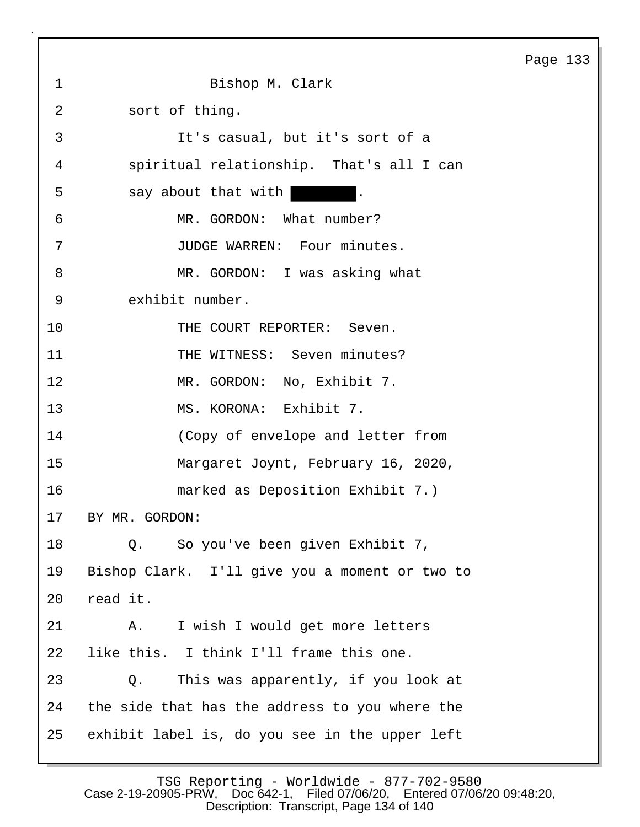1 Bishop M. Clark 2 sort of thing. 3 It's casual, but it's sort of a 4 spiritual relationship. That's all I can 5 say about that with 6 MR. GORDON: What number? 7 JUDGE WARREN: Four minutes. 8 MR. GORDON: I was asking what 9 exhibit number. 10 THE COURT REPORTER: Seven. 11 THE WITNESS: Seven minutes? 12 MR. GORDON: No, Exhibit 7. 13 MS. KORONA: Exhibit 7. 14 (Copy of envelope and letter from 15 Margaret Joynt, February 16, 2020, 16 marked as Deposition Exhibit 7.) 17 BY MR. GORDON: 18 Q. So you've been given Exhibit 7, 19 Bishop Clark. I'll give you a moment or two to 20 read it. 21 A. I wish I would get more letters 22 like this. I think I'll frame this one. 23 Q. This was apparently, if you look at 24 the side that has the address to you where the 25 exhibit label is, do you see in the upper left

Page 133

TSG Reporting - Worldwide - 877-702-9580 Case 2-19-20905-PRW, Doc 642-1, Filed 07/06/20, Entered 07/06/20 09:48:20, Description: Transcript, Page 134 of 140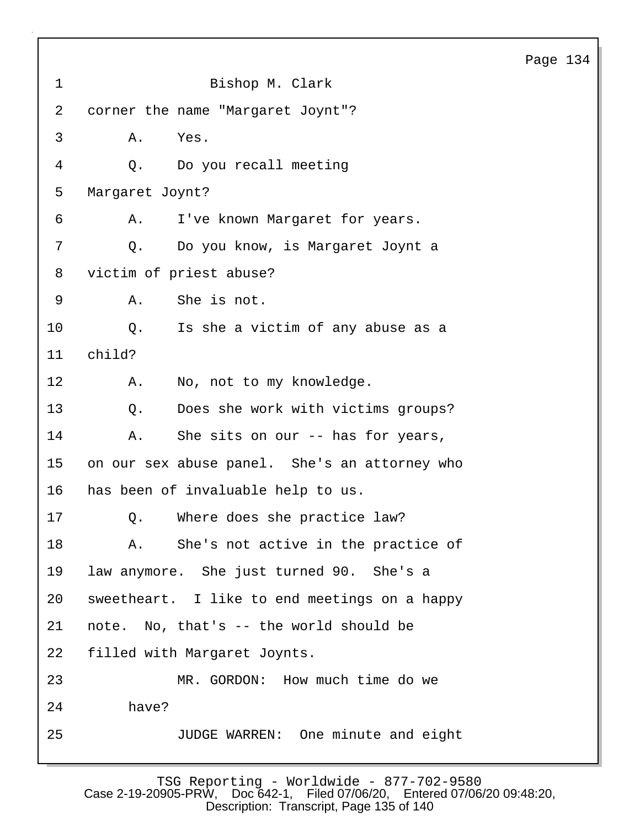|                |                                               | Page 134 |  |
|----------------|-----------------------------------------------|----------|--|
| $\mathbf 1$    | Bishop M. Clark                               |          |  |
| $\overline{a}$ | corner the name "Margaret Joynt"?             |          |  |
| 3              | Α.<br>Yes.                                    |          |  |
| 4              | Do you recall meeting<br>$Q$ .                |          |  |
| 5              | Margaret Joynt?                               |          |  |
| 6              | I've known Margaret for years.<br>Α.          |          |  |
| 7              | Do you know, is Margaret Joynt a<br>Q.        |          |  |
| 8              | victim of priest abuse?                       |          |  |
| 9              | She is not.<br>Α.                             |          |  |
| 10             | Is she a victim of any abuse as a<br>Q.       |          |  |
| 11             | child?                                        |          |  |
| 12             | No, not to my knowledge.<br>Α.                |          |  |
| 13             | Does she work with victims groups?<br>Q.      |          |  |
| 14             | She sits on our -- has for years,<br>Α.       |          |  |
| 15             | on our sex abuse panel. She's an attorney who |          |  |
| 16             | has been of invaluable help to us.            |          |  |
| 17             | Q. Where does she practice law?               |          |  |
| 18             | She's not active in the practice of<br>Α.     |          |  |
| 19             | law anymore. She just turned 90. She's a      |          |  |
| 20             | sweetheart. I like to end meetings on a happy |          |  |
| 21             | note. No, that's -- the world should be       |          |  |
| 22             | filled with Margaret Joynts.                  |          |  |
| 23             | MR. GORDON: How much time do we               |          |  |
| 24             | have?                                         |          |  |
| 25             | JUDGE WARREN: One minute and eight            |          |  |
|                |                                               |          |  |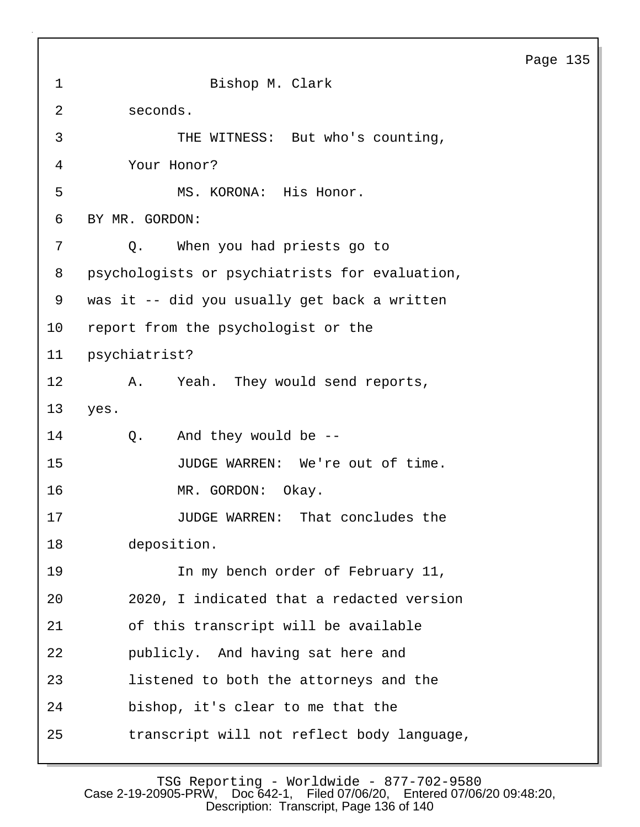1 Bishop M. Clark 2 seconds. 3 THE WITNESS: But who's counting, 4 Your Honor? 5 MS. KORONA: His Honor. 6 BY MR. GORDON: 7 Q. When you had priests go to 8 psychologists or psychiatrists for evaluation, 9 was it -- did you usually get back a written 10 report from the psychologist or the 11 psychiatrist? 12 A. Yeah. They would send reports, 13 yes. 14 Q. And they would be -- 15 JUDGE WARREN: We're out of time. 16 MR. GORDON: Okay. 17 **JUDGE WARREN:** That concludes the 18 deposition. 19 In my bench order of February 11, 20 2020, I indicated that a redacted version 21 of this transcript will be available 22 publicly. And having sat here and 23 listened to both the attorneys and the 24 bishop, it's clear to me that the 25 transcript will not reflect body language,

TSG Reporting - Worldwide - 877-702-9580 Case 2-19-20905-PRW, Doc 642-1, Filed 07/06/20, Entered 07/06/20 09:48:20, Description: Transcript, Page 136 of 140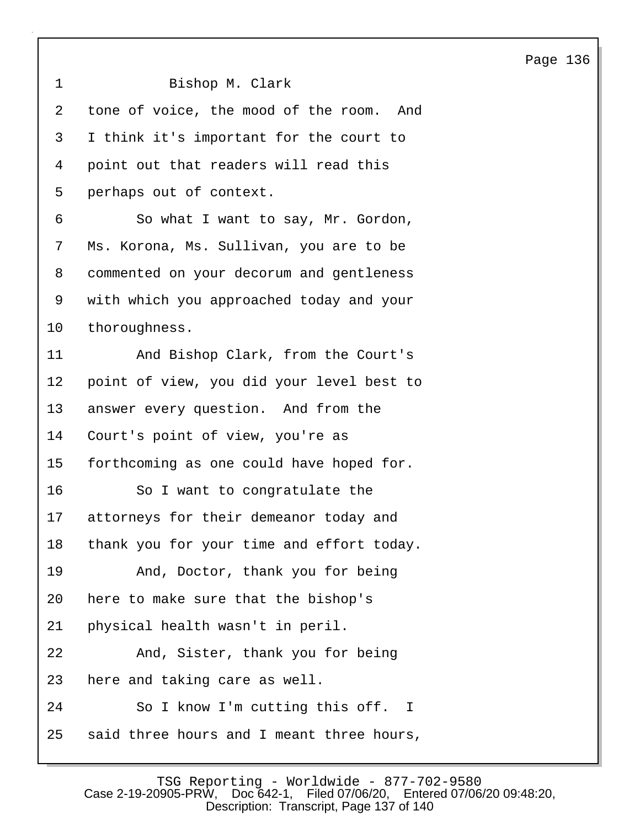1 Bishop M. Clark 2 tone of voice, the mood of the room. And 3 I think it's important for the court to 4 point out that readers will read this 5 perhaps out of context. 6 So what I want to say, Mr. Gordon, 7 Ms. Korona, Ms. Sullivan, you are to be 8 commented on your decorum and gentleness 9 with which you approached today and your 10 thoroughness. 11 And Bishop Clark, from the Court's 12 point of view, you did your level best to 13 answer every question. And from the 14 Court's point of view, you're as 15 forthcoming as one could have hoped for. 16 So I want to congratulate the 17 attorneys for their demeanor today and 18 thank you for your time and effort today. 19 And, Doctor, thank you for being 20 here to make sure that the bishop's 21 physical health wasn't in peril. 22 And, Sister, thank you for being 23 here and taking care as well. 24 So I know I'm cutting this off. I 25 said three hours and I meant three hours,

Page 136

TSG Reporting - Worldwide - 877-702-9580<br>Case 2-19-20905-PRW, Doc 642-1, Filed 07/06/20, Entered 07/06 Filed 07/06/20, Entered 07/06/20 09:48:20, Description: Transcript, Page 137 of 140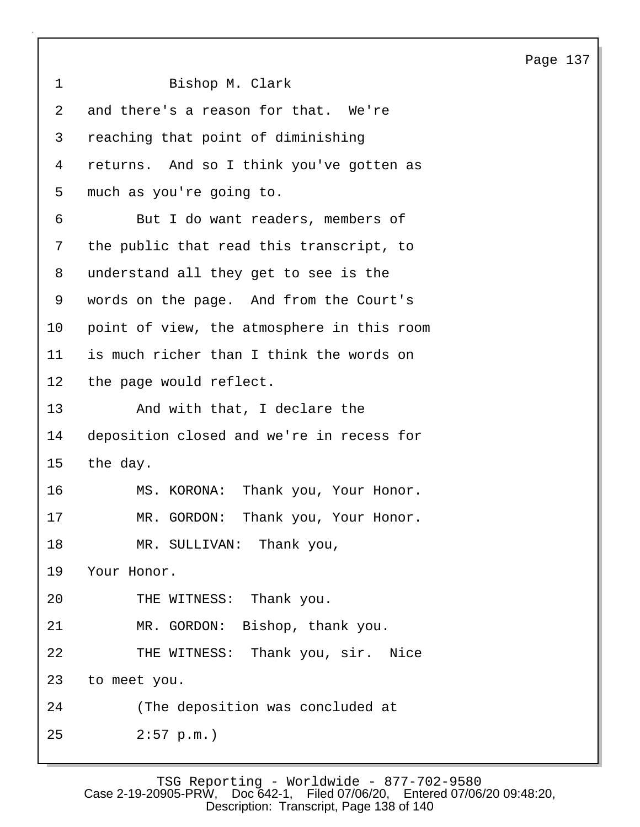1 Bishop M. Clark 2 and there's a reason for that. We're 3 reaching that point of diminishing 4 returns. And so I think you've gotten as 5 much as you're going to. 6 But I do want readers, members of 7 the public that read this transcript, to 8 understand all they get to see is the 9 words on the page. And from the Court's 10 point of view, the atmosphere in this room 11 is much richer than I think the words on 12 the page would reflect. 13 And with that, I declare the 14 deposition closed and we're in recess for 15 the day. 16 MS. KORONA: Thank you, Your Honor. 17 MR. GORDON: Thank you, Your Honor. 18 MR. SULLIVAN: Thank you, 19 Your Honor. 20 THE WITNESS: Thank you. 21 MR. GORDON: Bishop, thank you. 22 THE WITNESS: Thank you, sir. Nice 23 to meet you. 24 (The deposition was concluded at 25 2:57 p.m.)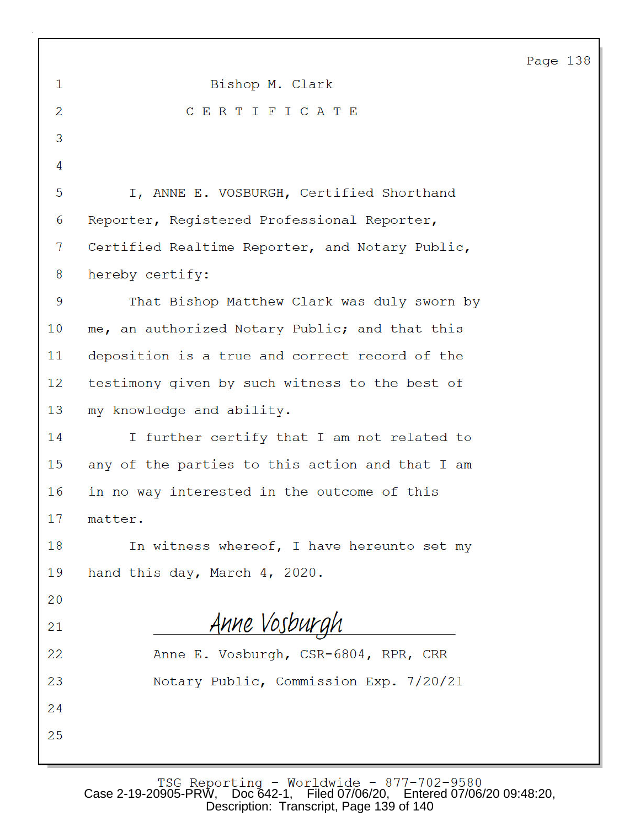|                |                                                 | Page |
|----------------|-------------------------------------------------|------|
| 1              | Bishop M. Clark                                 |      |
| $\overline{2}$ | CERTIFICATE                                     |      |
| 3              |                                                 |      |
| $\overline{4}$ |                                                 |      |
| 5              | I, ANNE E. VOSBURGH, Certified Shorthand        |      |
| 6              | Reporter, Registered Professional Reporter,     |      |
| 7              | Certified Realtime Reporter, and Notary Public, |      |
| 8              | hereby certify:                                 |      |
| 9              | That Bishop Matthew Clark was duly sworn by     |      |
| 10             | me, an authorized Notary Public; and that this  |      |
| 11             | deposition is a true and correct record of the  |      |
| 12             | testimony given by such witness to the best of  |      |
| 13             | my knowledge and ability.                       |      |
| 14             | I further certify that I am not related to      |      |
| 15             | any of the parties to this action and that I am |      |
| 16             | in no way interested in the outcome of this     |      |
| 17             | matter.                                         |      |
| 18             | In witness whereof, I have hereunto set my      |      |
| 19             | hand this day, March 4, 2020.                   |      |
| 20             |                                                 |      |
| 21             | Anne Vosburgh                                   |      |
| 22             | Anne E. Vosburgh, CSR-6804, RPR, CRR            |      |
| 23             | Notary Public, Commission Exp. 7/20/21          |      |
| 24             |                                                 |      |
| 25             |                                                 |      |
|                |                                                 |      |

138